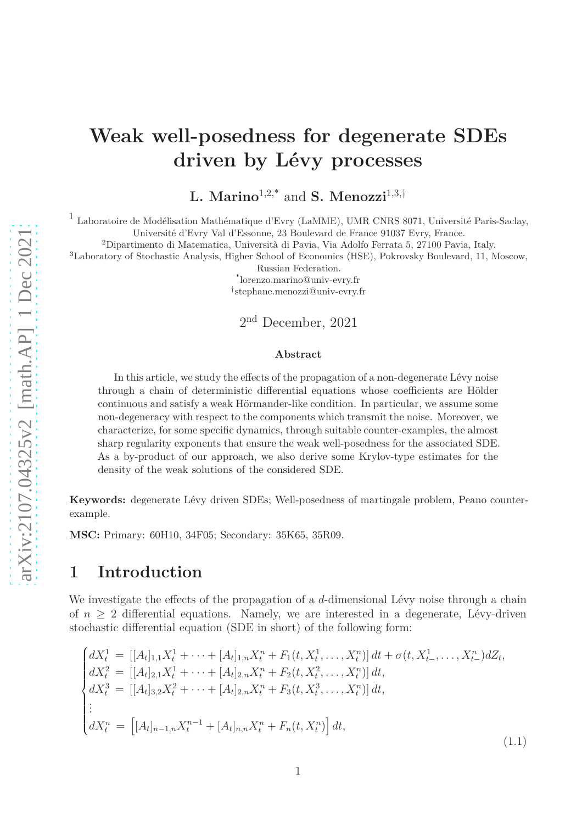# **Weak well-posedness for degenerate SDEs driven by Lévy processes**

**L. Marino**1,2,\* and **S. Menozzi**1,3,†

1 Laboratoire de Modélisation Mathématique d'Evry (LaMME), UMR CNRS 8071, Université Paris-Saclay, Université d'Evry Val d'Essonne, 23 Boulevard de France 91037 Evry, France.

<sup>2</sup>Dipartimento di Matematica, Università di Pavia, Via Adolfo Ferrata 5, 27100 Pavia, Italy.

<sup>3</sup>Laboratory of Stochastic Analysis, Higher School of Economics (HSE), Pokrovsky Boulevard, 11, Moscow,

Russian Federation.

\* lorenzo.marino@univ-evry.fr

† stephane.menozzi@univ-evry.fr

2 nd December, 2021

#### **Abstract**

In this article, we study the effects of the propagation of a non-degenerate Lévy noise through a chain of deterministic differential equations whose coefficients are Hölder continuous and satisfy a weak Hörmander-like condition. In particular, we assume some non-degeneracy with respect to the components which transmit the noise. Moreover, we characterize, for some specific dynamics, through suitable counter-examples, the almost sharp regularity exponents that ensure the weak well-posedness for the associated SDE. As a by-product of our approach, we also derive some Krylov-type estimates for the density of the weak solutions of the considered SDE.

**Keywords:** degenerate Lévy driven SDEs; Well-posedness of martingale problem, Peano counterexample.

**MSC:** Primary: 60H10, 34F05; Secondary: 35K65, 35R09.

### **1 Introduction**

We investigate the effects of the propagation of a *d*-dimensional Lévy noise through a chain of  $n \geq 2$  differential equations. Namely, we are interested in a degenerate, Lévy-driven stochastic differential equation (SDE in short) of the following form:

<span id="page-0-0"></span>
$$
\begin{cases}\ndX_t^1 = [[A_t]_{1,1}X_t^1 + \cdots + [A_t]_{1,n}X_t^n + F_1(t, X_t^1, \dots, X_t^n)] dt + \sigma(t, X_{t-}^1, \dots, X_{t-}^n) dZ_t, \\
dX_t^2 = [[A_t]_{2,1}X_t^1 + \cdots + [A_t]_{2,n}X_t^n + F_2(t, X_t^2, \dots, X_t^n)] dt, \\
dX_t^3 = [[A_t]_{3,2}X_t^2 + \cdots + [A_t]_{2,n}X_t^n + F_3(t, X_t^3, \dots, X_t^n)] dt, \\
\vdots \\
dX_t^n = [[A_t]_{n-1,n}X_t^{n-1} + [A_t]_{n,n}X_t^n + F_n(t, X_t^n)] dt,\n\end{cases} \tag{1.1}
$$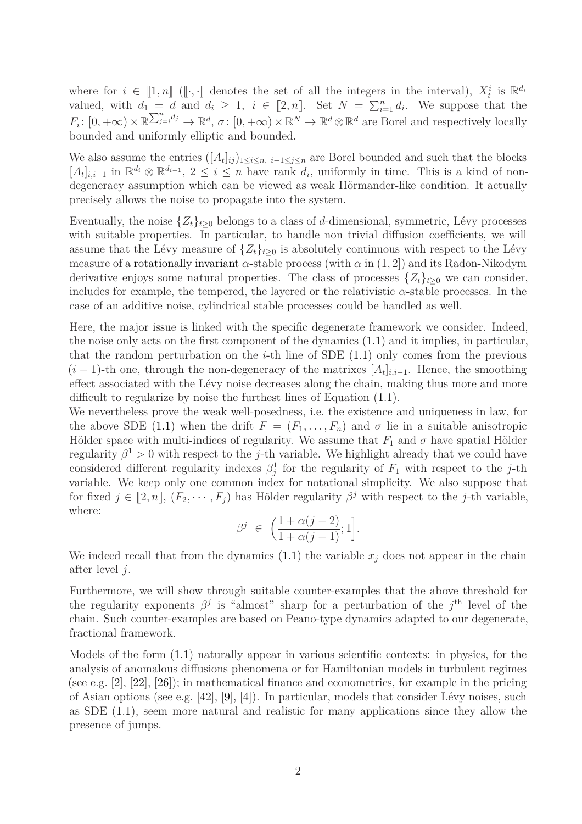where for  $i \in [1, n]$  ([ $\cdot$ *,* ·] denotes the set of all the integers in the interval),  $X_t^i$  is  $\mathbb{R}^{d_i}$ valued, with  $d_1 = d$  and  $d_i \geq 1$ ,  $i \in [2, n]$ . Set  $N = \sum_{i=1}^{n} d_i$ . We suppose that the  $F_i: [0, +\infty) \times \mathbb{R}^{\sum_{j=i}^n d_j} \to \mathbb{R}^d, \sigma: [0, +\infty) \times \mathbb{R}^N \to \mathbb{R}^d \otimes \mathbb{R}^d$  are Borel and respectively locally bounded and uniformly elliptic and bounded.

We also assume the entries  $([A_t]_{ij})_{1 \leq i \leq n, i-1 \leq j \leq n}$  are Borel bounded and such that the blocks  $[A_t]_{i,i-1}$  in  $\mathbb{R}^{d_i} \otimes \mathbb{R}^{d_{i-1}}$ , 2 ≤ *i* ≤ *n* have rank  $d_i$ , uniformly in time. This is a kind of nondegeneracy assumption which can be viewed as weak Hörmander-like condition. It actually precisely allows the noise to propagate into the system.

Eventually, the noise  $\{Z_t\}_{t\geq 0}$  belongs to a class of *d*-dimensional, symmetric, Lévy processes with suitable properties. In particular, to handle non trivial diffusion coefficients, we will assume that the Lévy measure of  $\{Z_t\}_{t>0}$  is absolutely continuous with respect to the Lévy measure of a rotationally invariant  $\alpha$ -stable process (with  $\alpha$  in  $(1, 2)$ ) and its Radon-Nikodym derivative enjoys some natural properties. The class of processes  $\{Z_t\}_{t>0}$  we can consider, includes for example, the tempered, the layered or the relativistic  $\alpha$ -stable processes. In the case of an additive noise, cylindrical stable processes could be handled as well.

Here, the major issue is linked with the specific degenerate framework we consider. Indeed, the noise only acts on the first component of the dynamics [\(1.1\)](#page-0-0) and it implies, in particular, that the random perturbation on the  $i$ -th line of SDE  $(1.1)$  only comes from the previous  $(i-1)$ -th one, through the non-degeneracy of the matrixes  $[A_t]_{i,i-1}$ . Hence, the smoothing effect associated with the Lévy noise decreases along the chain, making thus more and more difficult to regularize by noise the furthest lines of Equation [\(1.1\)](#page-0-0).

We nevertheless prove the weak well-posedness, i.e. the existence and uniqueness in law, for the above SDE [\(1.1\)](#page-0-0) when the drift  $F = (F_1, \ldots, F_n)$  and  $\sigma$  lie in a suitable anisotropic Hölder space with multi-indices of regularity. We assume that  $F_1$  and  $\sigma$  have spatial Hölder regularity  $\beta^1 > 0$  with respect to the *j*-th variable. We highlight already that we could have considered different regularity indexes  $\beta_j^1$  for the regularity of  $F_1$  with respect to the *j*-th variable. We keep only one common index for notational simplicity. We also suppose that for fixed  $j \in [2, n]$ ,  $(F_2, \dots, F_j)$  has Hölder regularity  $\beta^j$  with respect to the *j*-th variable, where:

$$
\beta^j \ \in \ \Big(\frac{1+\alpha(j-2)}{1+\alpha(j-1)};1\Big].
$$

We indeed recall that from the dynamics  $(1.1)$  the variable  $x_j$  does not appear in the chain after level *j*.

Furthermore, we will show through suitable counter-examples that the above threshold for the regularity exponents  $\beta^j$  is "almost" sharp for a perturbation of the  $j^{\text{th}}$  level of the chain. Such counter-examples are based on Peano-type dynamics adapted to our degenerate, fractional framework.

Models of the form [\(1.1\)](#page-0-0) naturally appear in various scientific contexts: in physics, for the analysis of anomalous diffusions phenomena or for Hamiltonian models in turbulent regimes (see e.g. [\[2\]](#page-62-0), [\[22\]](#page-63-0), [\[26\]](#page-63-1)); in mathematical finance and econometrics, for example in the pricing of Asian options (see e.g.  $[42]$ ,  $[9]$ ,  $[4]$ ). In particular, models that consider Lévy noises, such as SDE [\(1.1\)](#page-0-0), seem more natural and realistic for many applications since they allow the presence of jumps.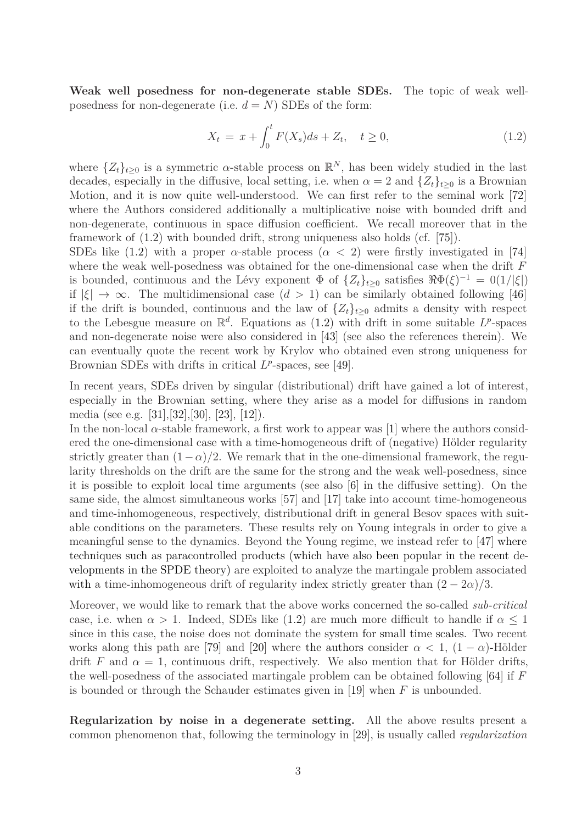**Weak well posedness for non-degenerate stable SDEs.** The topic of weak wellposedness for non-degenerate (i.e.  $d = N$ ) SDEs of the form:

<span id="page-2-0"></span>
$$
X_t = x + \int_0^t F(X_s)ds + Z_t, \quad t \ge 0,
$$
\n(1.2)

where  $\{Z_t\}_{t\geq 0}$  is a symmetric  $\alpha$ -stable process on  $\mathbb{R}^N$ , has been widely studied in the last decades, especially in the diffusive, local setting, i.e. when  $\alpha = 2$  and  $\{Z_t\}_{t>0}$  is a Brownian Motion, and it is now quite well-understood. We can first refer to the seminal work [\[72\]](#page-66-0) where the Authors considered additionally a multiplicative noise with bounded drift and non-degenerate, continuous in space diffusion coefficient. We recall moreover that in the framework of [\(1.2\)](#page-2-0) with bounded drift, strong uniqueness also holds (cf. [\[75\]](#page-66-1)).

SDEs like  $(1.2)$  with a proper  $\alpha$ -stable process  $(\alpha < 2)$  were firstly investigated in [\[74\]](#page-66-2) where the weak well-posedness was obtained for the one-dimensional case when the drift *F* is bounded, continuous and the Lévy exponent  $\Phi$  of  $\{Z_t\}_{t\geq 0}$  satisfies  $\Re \Phi(\xi)^{-1} = O(1/|\xi|)$ if  $|\xi| \to \infty$ . The multidimensional case  $(d > 1)$  can be similarly obtained following [\[46\]](#page-64-1) if the drift is bounded, continuous and the law of  $\{Z_t\}_{t\geq 0}$  admits a density with respect to the Lebesgue measure on  $\mathbb{R}^d$ . Equations as [\(1.2\)](#page-2-0) with drift in some suitable  $L^p$ -spaces and non-degenerate noise were also considered in [\[43\]](#page-64-2) (see also the references therein). We can eventually quote the recent work by Krylov who obtained even strong uniqueness for Brownian SDEs with drifts in critical  $L^p$ -spaces, see [\[49\]](#page-64-3).

In recent years, SDEs driven by singular (distributional) drift have gained a lot of interest, especially in the Brownian setting, where they arise as a model for diffusions in random media (see e.g. [\[31\]](#page-63-2),[\[32\]](#page-64-4),[\[30\]](#page-63-3), [\[23\]](#page-63-4), [\[12\]](#page-62-3)).

In the non-local  $\alpha$ -stable framework, a first work to appear was [\[1\]](#page-62-4) where the authors considered the one-dimensional case with a time-homogeneous drift of (negative) Hölder regularity strictly greater than  $(1-\alpha)/2$ . We remark that in the one-dimensional framework, the regularity thresholds on the drift are the same for the strong and the weak well-posedness, since it is possible to exploit local time arguments (see also [\[6\]](#page-62-5) in the diffusive setting). On the same side, the almost simultaneous works [\[57\]](#page-65-0) and [\[17\]](#page-63-5) take into account time-homogeneous and time-inhomogeneous, respectively, distributional drift in general Besov spaces with suitable conditions on the parameters. These results rely on Young integrals in order to give a meaningful sense to the dynamics. Beyond the Young regime, we instead refer to [\[47\]](#page-64-5) where techniques such as paracontrolled products (which have also been popular in the recent developments in the SPDE theory) are exploited to analyze the martingale problem associated with a time-inhomogeneous drift of regularity index strictly greater than  $(2 - 2\alpha)/3$ .

Moreover, we would like to remark that the above works concerned the so-called *sub-critical* case, i.e. when  $\alpha > 1$ . Indeed, SDEs like [\(1.2\)](#page-2-0) are much more difficult to handle if  $\alpha \leq 1$ since in this case, the noise does not dominate the system for small time scales. Two recent works along this path are [\[79\]](#page-66-3) and [\[20\]](#page-63-6) where the authors consider  $\alpha < 1$ ,  $(1 - \alpha)$ -Hölder drift *F* and  $\alpha = 1$ , continuous drift, respectively. We also mention that for Hölder drifts, the well-posedness of the associated martingale problem can be obtained following [\[64\]](#page-65-1) if *F* is bounded or through the Schauder estimates given in [\[19\]](#page-63-7) when *F* is unbounded.

**Regularization by noise in a degenerate setting.** All the above results present a common phenomenon that, following the terminology in [\[29\]](#page-63-8), is usually called *regularization*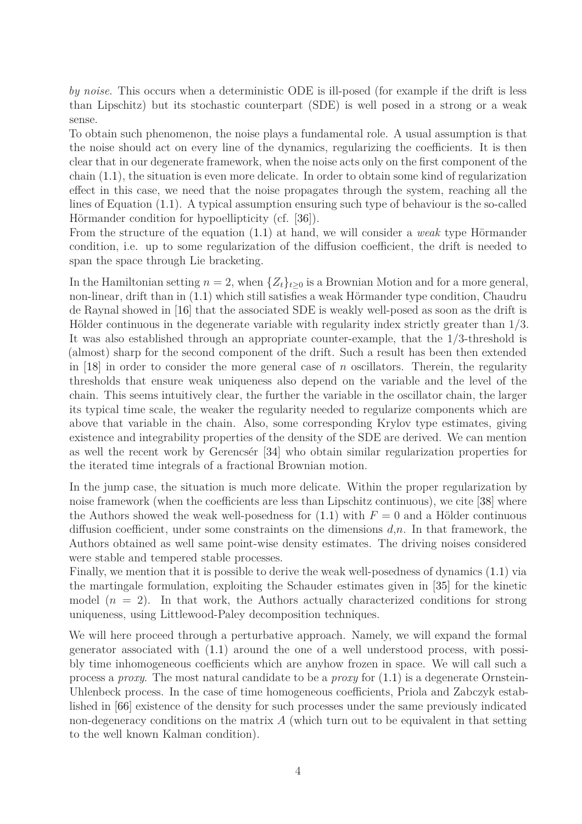*by noise*. This occurs when a deterministic ODE is ill-posed (for example if the drift is less than Lipschitz) but its stochastic counterpart (SDE) is well posed in a strong or a weak sense.

To obtain such phenomenon, the noise plays a fundamental role. A usual assumption is that the noise should act on every line of the dynamics, regularizing the coefficients. It is then clear that in our degenerate framework, when the noise acts only on the first component of the chain [\(1.1\)](#page-0-0), the situation is even more delicate. In order to obtain some kind of regularization effect in this case, we need that the noise propagates through the system, reaching all the lines of Equation [\(1.1\)](#page-0-0). A typical assumption ensuring such type of behaviour is the so-called Hörmander condition for hypoellipticity (cf. [\[36\]](#page-64-6)).

From the structure of the equation [\(1.1\)](#page-0-0) at hand, we will consider a *weak* type Hörmander condition, i.e. up to some regularization of the diffusion coefficient, the drift is needed to span the space through Lie bracketing.

In the Hamiltonian setting  $n = 2$ , when  $\{Z_t\}_{t \geq 0}$  is a Brownian Motion and for a more general, non-linear, drift than in [\(1.1\)](#page-0-0) which still satisfies a weak Hörmander type condition, Chaudru de Raynal showed in [\[16\]](#page-62-6) that the associated SDE is weakly well-posed as soon as the drift is Hölder continuous in the degenerate variable with regularity index strictly greater than 1*/*3. It was also established through an appropriate counter-example, that the 1*/*3-threshold is (almost) sharp for the second component of the drift. Such a result has been then extended in  $[18]$  in order to consider the more general case of *n* oscillators. Therein, the regularity thresholds that ensure weak uniqueness also depend on the variable and the level of the chain. This seems intuitively clear, the further the variable in the oscillator chain, the larger its typical time scale, the weaker the regularity needed to regularize components which are above that variable in the chain. Also, some corresponding Krylov type estimates, giving existence and integrability properties of the density of the SDE are derived. We can mention as well the recent work by Gerencsér [\[34\]](#page-64-7) who obtain similar regularization properties for the iterated time integrals of a fractional Brownian motion.

In the jump case, the situation is much more delicate. Within the proper regularization by noise framework (when the coefficients are less than Lipschitz continuous), we cite [\[38\]](#page-64-8) where the Authors showed the weak well-posedness for  $(1.1)$  with  $F = 0$  and a Hölder continuous diffusion coefficient, under some constraints on the dimensions *d*,*n*. In that framework, the Authors obtained as well same point-wise density estimates. The driving noises considered were stable and tempered stable processes.

Finally, we mention that it is possible to derive the weak well-posedness of dynamics [\(1.1\)](#page-0-0) via the martingale formulation, exploiting the Schauder estimates given in [\[35\]](#page-64-9) for the kinetic model  $(n = 2)$ . In that work, the Authors actually characterized conditions for strong uniqueness, using Littlewood-Paley decomposition techniques.

We will here proceed through a perturbative approach. Namely, we will expand the formal generator associated with [\(1.1\)](#page-0-0) around the one of a well understood process, with possibly time inhomogeneous coefficients which are anyhow frozen in space. We will call such a process a *proxy*. The most natural candidate to be a *proxy* for [\(1.1\)](#page-0-0) is a degenerate Ornstein-Uhlenbeck process. In the case of time homogeneous coefficients, Priola and Zabczyk established in [\[66\]](#page-65-2) existence of the density for such processes under the same previously indicated non-degeneracy conditions on the matrix A (which turn out to be equivalent in that setting to the well known Kalman condition).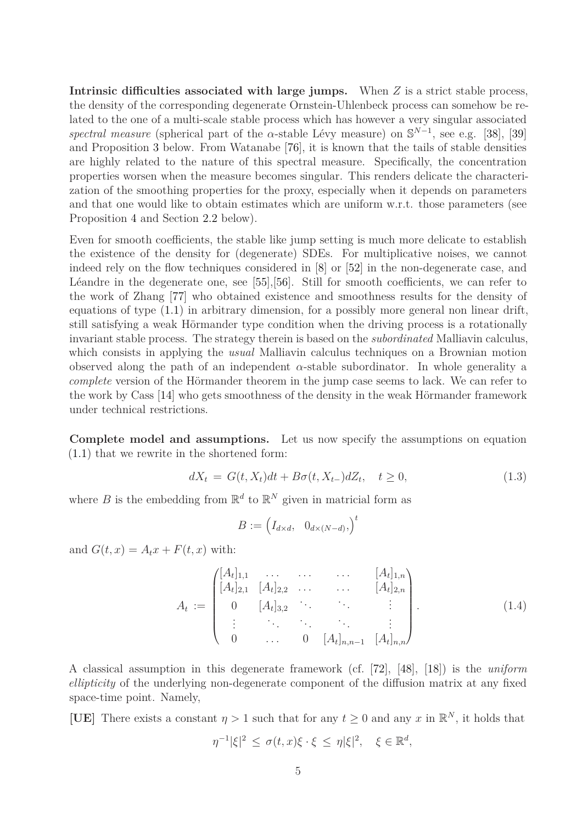**Intrinsic difficulties associated with large jumps.** When *Z* is a strict stable process, the density of the corresponding degenerate Ornstein-Uhlenbeck process can somehow be related to the one of a multi-scale stable process which has however a very singular associated *spectral measure* (spherical part of the *α*-stable Lévy measure) on  $\mathbb{S}^{N-1}$ , see e.g. [\[38\]](#page-64-8), [\[39\]](#page-64-10) and Proposition [3](#page-14-0) below. From Watanabe [\[76\]](#page-66-4), it is known that the tails of stable densities are highly related to the nature of this spectral measure. Specifically, the concentration properties worsen when the measure becomes singular. This renders delicate the characterization of the smoothing properties for the proxy, especially when it depends on parameters and that one would like to obtain estimates which are uniform w.r.t. those parameters (see Proposition [4](#page-16-0) and Section [2.2](#page-19-0) below).

Even for smooth coefficients, the stable like jump setting is much more delicate to establish the existence of the density for (degenerate) SDEs. For multiplicative noises, we cannot indeed rely on the flow techniques considered in [\[8\]](#page-62-7) or [\[52\]](#page-65-3) in the non-degenerate case, and Léandre in the degenerate one, see [\[55\]](#page-65-4),[\[56\]](#page-65-5). Still for smooth coefficients, we can refer to the work of Zhang [\[77\]](#page-66-5) who obtained existence and smoothness results for the density of equations of type [\(1.1\)](#page-0-0) in arbitrary dimension, for a possibly more general non linear drift, still satisfying a weak Hörmander type condition when the driving process is a rotationally invariant stable process. The strategy therein is based on the *subordinated* Malliavin calculus, which consists in applying the *usual* Malliavin calculus techniques on a Brownian motion observed along the path of an independent  $\alpha$ -stable subordinator. In whole generality a *complete* version of the Hörmander theorem in the jump case seems to lack. We can refer to the work by Cass [\[14\]](#page-62-8) who gets smoothness of the density in the weak Hörmander framework under technical restrictions.

**Complete model and assumptions.** Let us now specify the assumptions on equation [\(1.1\)](#page-0-0) that we rewrite in the shortened form:

<span id="page-4-1"></span>
$$
dX_t = G(t, X_t)dt + B\sigma(t, X_{t-})dZ_t, \quad t \ge 0,
$$
\n(1.3)

where *B* is the embedding from  $\mathbb{R}^d$  to  $\mathbb{R}^N$  given in matricial form as

$$
B := \begin{pmatrix} I_{d \times d}, & 0_{d \times (N-d)}, \end{pmatrix}^t
$$

and  $G(t, x) = A_t x + F(t, x)$  with:

<span id="page-4-0"></span>
$$
A_{t} := \begin{pmatrix} [A_{t}]_{1,1} & \cdots & \cdots & \cdots & [A_{t}]_{1,n} \\ [A_{t}]_{2,1} & [A_{t}]_{2,2} & \cdots & \cdots & [A_{t}]_{2,n} \\ 0 & [A_{t}]_{3,2} & \cdots & \cdots & \vdots \\ \vdots & \ddots & \ddots & \ddots & \vdots \\ 0 & \cdots & 0 & [A_{t}]_{n,n-1} & [A_{t}]_{n,n} \end{pmatrix} .
$$
 (1.4)

A classical assumption in this degenerate framework (cf. [\[72\]](#page-66-0), [\[48\]](#page-64-11), [\[18\]](#page-63-9)) is the *uniform ellipticity* of the underlying non-degenerate component of the diffusion matrix at any fixed space-time point. Namely,

**[UE]** There exists a constant  $\eta > 1$  such that for any  $t \geq 0$  and any *x* in  $\mathbb{R}^N$ , it holds that

$$
\eta^{-1}|\xi|^2 \leq \sigma(t,x)\xi \cdot \xi \leq \eta|\xi|^2, \quad \xi \in \mathbb{R}^d,
$$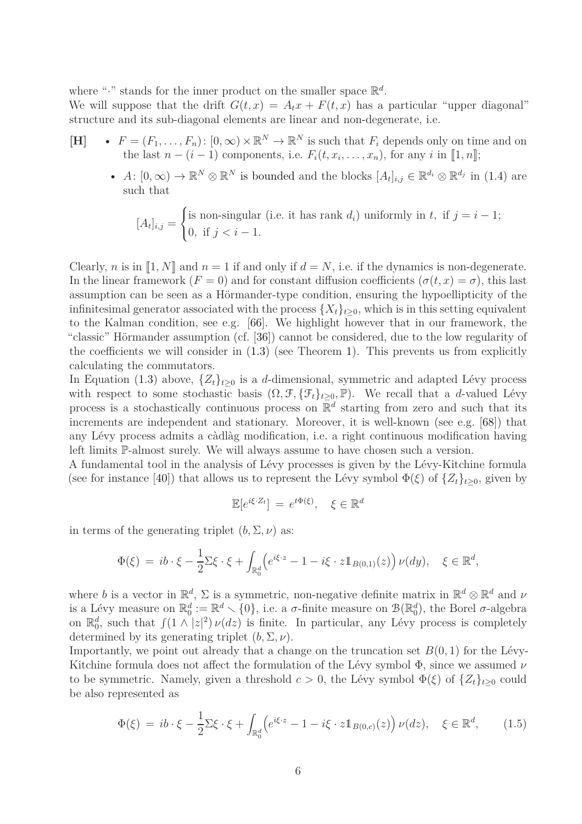where "." stands for the inner product on the smaller space  $\mathbb{R}^d$ .

We will suppose that the drift  $G(t, x) = A_t x + F(t, x)$  has a particular "upper diagonal" structure and its sub-diagonal elements are linear and non-degenerate, i.e.

- **[H]**  $F = (F_1, \ldots, F_n) : [0, \infty) \times \mathbb{R}^N \to \mathbb{R}^N$  is such that  $F_i$  depends only on time and on the last  $n - (i - 1)$  components, i.e.  $F_i(t, x_i, \ldots, x_n)$ , for any *i* in [1, *n*];
	- *A*:  $[0, \infty) \to \mathbb{R}^N \otimes \mathbb{R}^N$  is bounded and the blocks  $[A_t]_{i,j} \in \mathbb{R}^{d_i} \otimes \mathbb{R}^{d_j}$  in [\(1.4\)](#page-4-0) are such that

$$
[A_t]_{i,j} = \begin{cases} \text{is non-singular (i.e. it has rank } d_i) \text{ uniformly in } t, \text{ if } j = i - 1; \\ 0, \text{ if } j < i - 1. \end{cases}
$$

Clearly, *n* is in  $\llbracket 1, N \rrbracket$  and  $n = 1$  if and only if  $d = N$ , i.e. if the dynamics is non-degenerate. In the linear framework  $(F = 0)$  and for constant diffusion coefficients  $(\sigma(t, x) = \sigma)$ , this last assumption can be seen as a Hörmander-type condition, ensuring the hypoellipticity of the infinitesimal generator associated with the process  $\{X_t\}_{t\geq0}$ , which is in this setting equivalent to the Kalman condition, see e.g. [\[66\]](#page-65-2). We highlight however that in our framework, the "classic" Hörmander assumption (cf. [\[36\]](#page-64-6)) cannot be considered, due to the low regularity of the coefficients we will consider in [\(1.3\)](#page-4-1) (see Theorem [1\)](#page-10-0). This prevents us from explicitly calculating the commutators.

In Equation [\(1.3\)](#page-4-1) above,  $\{Z_t\}_{t\geq 0}$  is a *d*-dimensional, symmetric and adapted Lévy process with respect to some stochastic basis  $(\Omega, \mathcal{F}, \{\mathcal{F}_t\}_{t\geq 0}, \mathbb{P})$ . We recall that a *d*-valued Lévy process is a stochastically continuous process on  $\mathbb{R}^d$  starting from zero and such that its increments are independent and stationary. Moreover, it is well-known (see e.g. [\[68\]](#page-66-6)) that any Lévy process admits a càdlàg modification, i.e. a right continuous modification having left limits P-almost surely. We will always assume to have chosen such a version.

A fundamental tool in the analysis of Lévy processes is given by the Lévy-Kitchine formula (see for instance [\[40\]](#page-64-12)) that allows us to represent the Lévy symbol  $\Phi(\xi)$  of  $\{Z_t\}_{t>0}$ , given by

$$
\mathbb{E}[e^{i\xi \cdot Z_t}] = e^{t\Phi(\xi)}, \quad \xi \in \mathbb{R}^d
$$

in terms of the generating triplet  $(b, \Sigma, \nu)$  as:

$$
\Phi(\xi) = ib \cdot \xi - \frac{1}{2} \Sigma \xi \cdot \xi + \int_{\mathbb{R}_0^d} \left( e^{i\xi \cdot z} - 1 - i \xi \cdot z \mathbb{1}_{B(0,1)}(z) \right) \nu(dy), \quad \xi \in \mathbb{R}^d,
$$

where *b* is a vector in  $\mathbb{R}^d$ ,  $\Sigma$  is a symmetric, non-negative definite matrix in  $\mathbb{R}^d \otimes \mathbb{R}^d$  and  $\nu$ is a Lévy measure on  $\mathbb{R}_0^d := \mathbb{R}^d \setminus \{0\}$ , i.e. a *σ*-finite measure on  $\mathcal{B}(\mathbb{R}_0^d)$ , the Borel *σ*-algebra on  $\mathbb{R}_0^d$ , such that  $\int (1 \wedge |z|^2) \nu(dz)$  is finite. In particular, any Lévy process is completely determined by its generating triplet  $(b, \Sigma, \nu)$ .

Importantly, we point out already that a change on the truncation set  $B(0, 1)$  for the Lévy-Kitchine formula does not affect the formulation of the Lévy symbol Φ, since we assumed *ν* to be symmetric. Namely, given a threshold  $c > 0$ , the Lévy symbol  $\Phi(\xi)$  of  $\{Z_t\}_{t>0}$  could be also represented as

<span id="page-5-0"></span>
$$
\Phi(\xi) = ib \cdot \xi - \frac{1}{2} \Sigma \xi \cdot \xi + \int_{\mathbb{R}_0^d} \left( e^{i\xi \cdot z} - 1 - i \xi \cdot z \mathbb{1}_{B(0,c)}(z) \right) \nu(dz), \quad \xi \in \mathbb{R}^d, \tag{1.5}
$$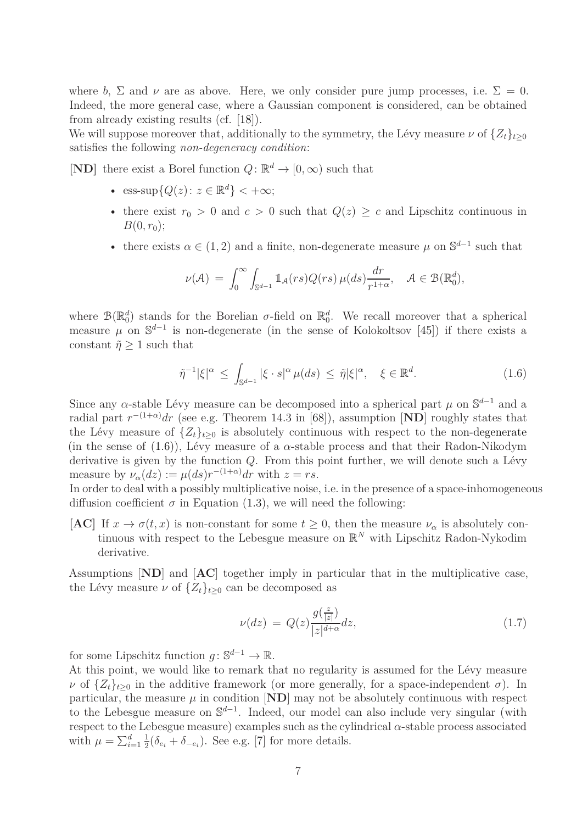where *b*,  $\Sigma$  and *v* are as above. Here, we only consider pure jump processes, i.e.  $\Sigma = 0$ . Indeed, the more general case, where a Gaussian component is considered, can be obtained from already existing results (cf. [\[18\]](#page-63-9)).

We will suppose moreover that, additionally to the symmetry, the Lévy measure  $\nu$  of  $\{Z_t\}_{t>0}$ satisfies the following *non-degeneracy condition*:

**[ND]** there exist a Borel function  $Q: \mathbb{R}^d \to [0, \infty)$  such that

- ess-sup $\{Q(z): z \in \mathbb{R}^d\}$  < + $\infty$ ;
- there exist  $r_0 > 0$  and  $c > 0$  such that  $Q(z) \geq c$  and Lipschitz continuous in  $B(0, r_0);$
- there exists  $\alpha \in (1, 2)$  and a finite, non-degenerate measure  $\mu$  on  $\mathbb{S}^{d-1}$  such that

$$
\nu(\mathcal{A}) \ = \ \int_0^\infty \int_{\mathbb{S}^{d-1}} \mathbb{1}_{\mathcal{A}}(rs) Q(rs) \, \mu(ds) \frac{dr}{r^{1+\alpha}}, \quad \mathcal{A} \in \mathcal{B}(\mathbb{R}_0^d),
$$

where  $\mathcal{B}(\mathbb{R}_0^d)$  stands for the Borelian  $\sigma$ -field on  $\mathbb{R}_0^d$ . We recall moreover that a spherical measure  $\mu$  on  $\mathbb{S}^{d-1}$  is non-degenerate (in the sense of Kolokoltsov [\[45\]](#page-64-13)) if there exists a constant  $\tilde{\eta} \geq 1$  such that

<span id="page-6-0"></span>
$$
\tilde{\eta}^{-1}|\xi|^{\alpha} \le \int_{\mathbb{S}^{d-1}} |\xi \cdot s|^{\alpha} \mu(ds) \le \tilde{\eta}|\xi|^{\alpha}, \quad \xi \in \mathbb{R}^{d}.
$$
 (1.6)

Since any  $\alpha$ -stable Lévy measure can be decomposed into a spherical part  $\mu$  on  $\mathbb{S}^{d-1}$  and a radial part  $r^{-(1+\alpha)}dr$  (see e.g. Theorem 14.3 in [\[68\]](#page-66-6)), assumption [**ND**] roughly states that the Lévy measure of  $\{Z_t\}_{t>0}$  is absolutely continuous with respect to the non-degenerate (in the sense of  $(1.6)$ ), Lévy measure of a  $\alpha$ -stable process and that their Radon-Nikodym derivative is given by the function *Q*. From this point further, we will denote such a Lévy measure by  $\nu_{\alpha}(dz) := \mu(ds) r^{-(1+\alpha)} dr$  with  $z = rs$ .

In order to deal with a possibly multiplicative noise, i.e. in the presence of a space-inhomogeneous diffusion coefficient  $\sigma$  in Equation [\(1.3\)](#page-4-1), we will need the following:

**[AC]** If  $x \to \sigma(t, x)$  is non-constant for some  $t \geq 0$ , then the measure  $\nu_{\alpha}$  is absolutely continuous with respect to the Lebesgue measure on  $\mathbb{R}^N$  with Lipschitz Radon-Nykodim derivative.

Assumptions [**ND**] and [**AC**] together imply in particular that in the multiplicative case, the Lévy measure  $\nu$  of  $\{Z_t\}_{t>0}$  can be decomposed as

<span id="page-6-1"></span>
$$
\nu(dz) = Q(z) \frac{g(\frac{z}{|z|})}{|z|^{d+\alpha}} dz, \qquad (1.7)
$$

for some Lipschitz function  $g: \mathbb{S}^{d-1} \to \mathbb{R}$ .

At this point, we would like to remark that no regularity is assumed for the Lévy measure *ν* of  $\{Z_t\}_{t\geq0}$  in the additive framework (or more generally, for a space-independent *σ*). In particular, the measure  $\mu$  in condition  $\text{[ND]}$  may not be absolutely continuous with respect to the Lebesgue measure on  $\mathbb{S}^{d-1}$ . Indeed, our model can also include very singular (with respect to the Lebesgue measure) examples such as the cylindrical *α*-stable process associated with  $\mu = \sum_{i=1}^d \frac{1}{2}$  $\frac{1}{2}(\delta_{e_i} + \delta_{-e_i})$ . See e.g. [\[7\]](#page-62-9) for more details.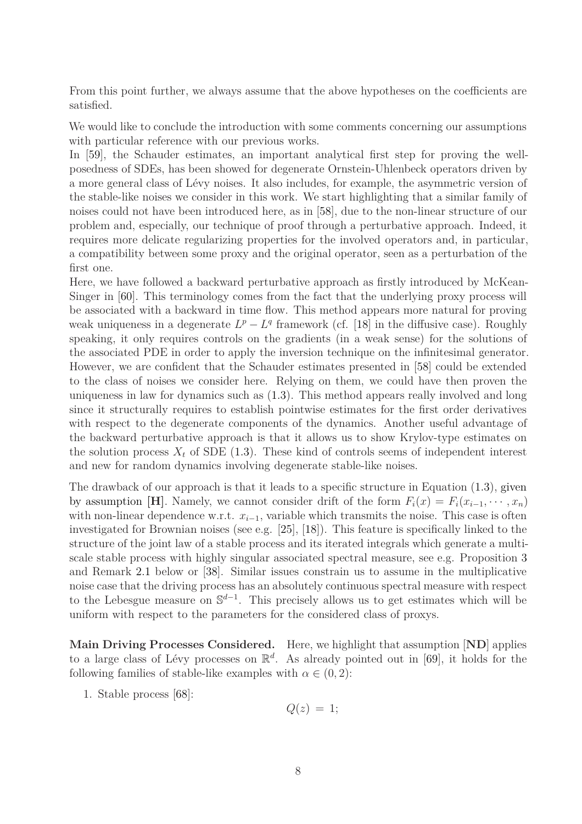From this point further, we always assume that the above hypotheses on the coefficients are satisfied.

We would like to conclude the introduction with some comments concerning our assumptions with particular reference with our previous works.

In [\[59\]](#page-65-6), the Schauder estimates, an important analytical first step for proving the wellposedness of SDEs, has been showed for degenerate Ornstein-Uhlenbeck operators driven by a more general class of Lévy noises. It also includes, for example, the asymmetric version of the stable-like noises we consider in this work. We start highlighting that a similar family of noises could not have been introduced here, as in [\[58\]](#page-65-7), due to the non-linear structure of our problem and, especially, our technique of proof through a perturbative approach. Indeed, it requires more delicate regularizing properties for the involved operators and, in particular, a compatibility between some proxy and the original operator, seen as a perturbation of the first one.

Here, we have followed a backward perturbative approach as firstly introduced by McKean-Singer in [\[60\]](#page-65-8). This terminology comes from the fact that the underlying proxy process will be associated with a backward in time flow. This method appears more natural for proving weak uniqueness in a degenerate  $L^p - L^q$  framework (cf. [\[18\]](#page-63-9) in the diffusive case). Roughly speaking, it only requires controls on the gradients (in a weak sense) for the solutions of the associated PDE in order to apply the inversion technique on the infinitesimal generator. However, we are confident that the Schauder estimates presented in [\[58\]](#page-65-7) could be extended to the class of noises we consider here. Relying on them, we could have then proven the uniqueness in law for dynamics such as [\(1.3\)](#page-4-1). This method appears really involved and long since it structurally requires to establish pointwise estimates for the first order derivatives with respect to the degenerate components of the dynamics. Another useful advantage of the backward perturbative approach is that it allows us to show Krylov-type estimates on the solution process  $X_t$  of SDE [\(1.3\)](#page-4-1). These kind of controls seems of independent interest and new for random dynamics involving degenerate stable-like noises.

The drawback of our approach is that it leads to a specific structure in Equation [\(1.3\)](#page-4-1), given by assumption [**H**]. Namely, we cannot consider drift of the form  $F_i(x) = F_i(x_{i-1}, \dots, x_n)$ with non-linear dependence w.r.t.  $x_{i-1}$ , variable which transmits the noise. This case is often investigated for Brownian noises (see e.g. [\[25\]](#page-63-10), [\[18\]](#page-63-9)). This feature is specifically linked to the structure of the joint law of a stable process and its iterated integrals which generate a multiscale stable process with highly singular associated spectral measure, see e.g. Proposition [3](#page-14-0) and Remark [2.1](#page-16-1) below or [\[38\]](#page-64-8). Similar issues constrain us to assume in the multiplicative noise case that the driving process has an absolutely continuous spectral measure with respect to the Lebesgue measure on  $\mathbb{S}^{d-1}$ . This precisely allows us to get estimates which will be uniform with respect to the parameters for the considered class of proxys.

**Main Driving Processes Considered.** Here, we highlight that assumption [**ND**] applies to a large class of Lévy processes on  $\mathbb{R}^d$ . As already pointed out in [\[69\]](#page-66-7), it holds for the following families of stable-like examples with  $\alpha \in (0, 2)$ :

1. Stable process [\[68\]](#page-66-6):

$$
Q(z) = 1;
$$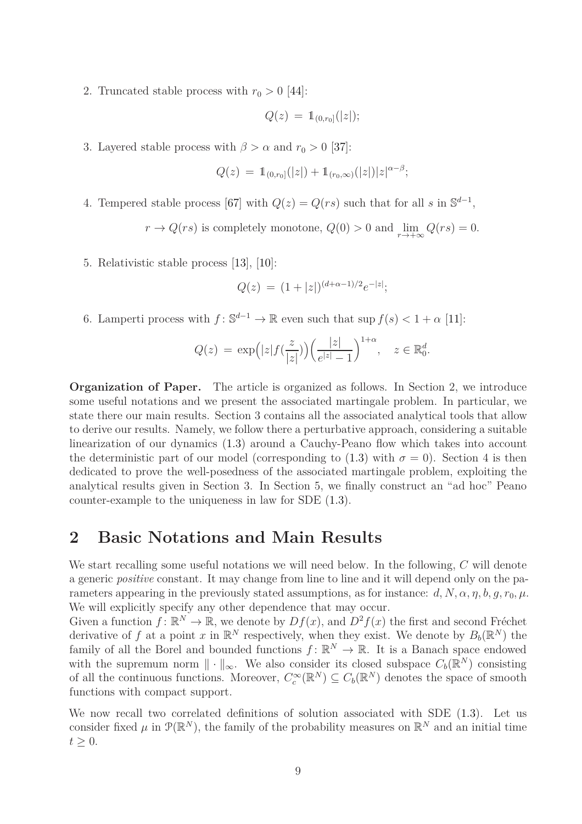2. Truncated stable process with  $r_0 > 0$  [\[44\]](#page-64-14):

$$
Q(z) = \mathbb{1}_{(0,r_0]}(|z|);
$$

3. Layered stable process with  $\beta > \alpha$  and  $r_0 > 0$  [\[37\]](#page-64-15):

$$
Q(z) \, = \, \mathbbm{1}_{(0,r_0]}(|z|) + \mathbbm{1}_{(r_0,\infty)}(|z|) |z|^{\alpha-\beta};
$$

4. Tempered stable process [\[67\]](#page-66-8) with  $Q(z) = Q(rs)$  such that for all *s* in  $\mathbb{S}^{d-1}$ ,

 $r \to Q(rs)$  is completely monotone,  $Q(0) > 0$  and  $\lim_{r \to +\infty} Q(rs) = 0$ .

5. Relativistic stable process [\[13\]](#page-62-10), [\[10\]](#page-62-11):

$$
Q(z) = (1+|z|)^{(d+\alpha-1)/2}e^{-|z|};
$$

6. Lamperti process with  $f: \mathbb{S}^{d-1} \to \mathbb{R}$  even such that  $\sup f(s) < 1 + \alpha$  [\[11\]](#page-62-12):

$$
Q(z) = \exp\Big(|z|f(\frac{z}{|z|})\Big)\Big(\frac{|z|}{e^{|z|}-1}\Big)^{1+\alpha}, \quad z \in \mathbb{R}_0^d.
$$

**Organization of Paper.** The article is organized as follows. In Section 2, we introduce some useful notations and we present the associated martingale problem. In particular, we state there our main results. Section 3 contains all the associated analytical tools that allow to derive our results. Namely, we follow there a perturbative approach, considering a suitable linearization of our dynamics  $(1.3)$  around a Cauchy-Peano flow which takes into account the deterministic part of our model (corresponding to [\(1.3\)](#page-4-1) with  $\sigma = 0$ ). Section 4 is then dedicated to prove the well-posedness of the associated martingale problem, exploiting the analytical results given in Section 3. In Section 5, we finally construct an "ad hoc" Peano counter-example to the uniqueness in law for SDE [\(1.3\)](#page-4-1).

### **2 Basic Notations and Main Results**

We start recalling some useful notations we will need below. In the following, *C* will denote a generic *positive* constant. It may change from line to line and it will depend only on the parameters appearing in the previously stated assumptions, as for instance:  $d, N, \alpha, \eta, b, q, r_0, \mu$ . We will explicitly specify any other dependence that may occur.

Given a function  $f: \mathbb{R}^N \to \mathbb{R}$ , we denote by  $Df(x)$ , and  $D^2f(x)$  the first and second Fréchet derivative of f at a point x in  $\mathbb{R}^N$  respectively, when they exist. We denote by  $B_b(\mathbb{R}^N)$  the family of all the Borel and bounded functions  $f: \mathbb{R}^N \to \mathbb{R}$ . It is a Banach space endowed with the supremum norm  $\|\cdot\|_{\infty}$ . We also consider its closed subspace  $C_b(\mathbb{R}^N)$  consisting of all the continuous functions. Moreover,  $C_c^{\infty}(\mathbb{R}^N) \subseteq C_b(\mathbb{R}^N)$  denotes the space of smooth functions with compact support.

We now recall two correlated definitions of solution associated with SDE [\(1.3\)](#page-4-1). Let us consider fixed  $\mu$  in  $\mathcal{P}(\mathbb{R}^N)$ , the family of the probability measures on  $\mathbb{R}^N$  and an initial time  $t\geq 0.$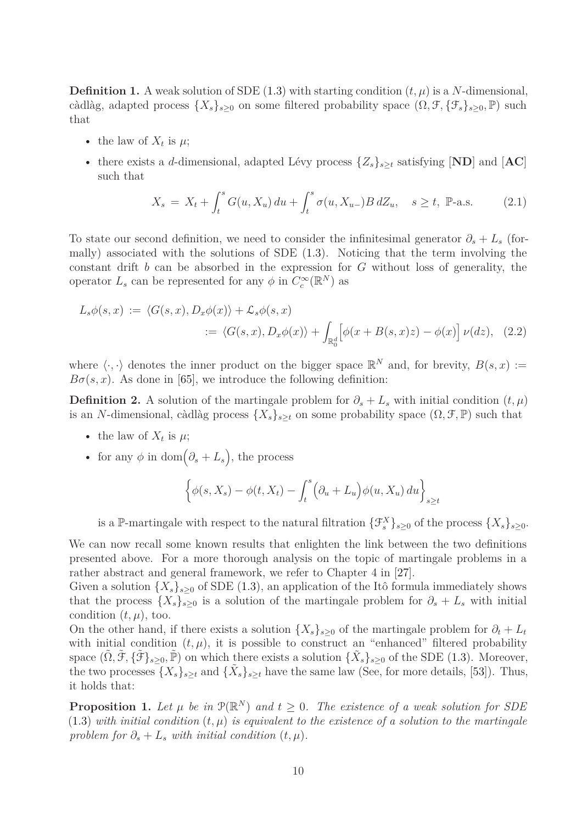**Definition 1.** A weak solution of SDE [\(1.3\)](#page-4-1) with starting condition  $(t, \mu)$  is a *N*-dimensional, càdlàg, adapted process  $\{X_s\}_{s\geq0}$  on some filtered probability space  $(\Omega, \mathcal{F}, \{\mathcal{F}_s\}_{s\geq0}, \mathbb{P})$  such that

- the law of  $X_t$  is  $\mu$ ;
- there exists a *d*-dimensional, adapted Lévy process {*Zs*}*<sup>s</sup>*≥*<sup>t</sup>* satisfying [**ND**] and [**AC**] such that

$$
X_s = X_t + \int_t^s G(u, X_u) \, du + \int_t^s \sigma(u, X_{u-}) B \, dZ_u, \quad s \ge t, \ \mathbb{P}\text{-a.s.}
$$
 (2.1)

To state our second definition, we need to consider the infinitesimal generator  $\partial_s + L_s$  (formally) associated with the solutions of SDE [\(1.3\)](#page-4-1). Noticing that the term involving the constant drift *b* can be absorbed in the expression for *G* without loss of generality, the operator  $L_s$  can be represented for any  $\phi$  in  $C_c^{\infty}(\mathbb{R}^N)$  as

$$
L_s \phi(s, x) := \langle G(s, x), D_x \phi(x) \rangle + \mathcal{L}_s \phi(s, x)
$$
  
 :=  $\langle G(s, x), D_x \phi(x) \rangle + \int_{\mathbb{R}_0^d} \left[ \phi(x + B(s, x)z) - \phi(x) \right] \nu(dz), \quad (2.2)$ 

where  $\langle \cdot, \cdot \rangle$  denotes the inner product on the bigger space  $\mathbb{R}^N$  and, for brevity,  $B(s, x) :=$  $B\sigma(s, x)$ . As done in [\[65\]](#page-65-9), we introduce the following definition:

**Definition 2.** A solution of the martingale problem for  $\partial_s + L_s$  with initial condition  $(t, \mu)$ is an *N*-dimensional, càdlàg process  $\{X_s\}_{s\geq t}$  on some probability space  $(\Omega, \mathcal{F}, \mathbb{P})$  such that

- the law of  $X_t$  is  $\mu$ ;
- for any  $\phi$  in dom $(\partial_s + L_s)$ , the process

$$
\left\{\phi(s,X_s) - \phi(t,X_t) - \int_t^s \left(\partial_u + L_u\right)\phi(u,X_u) \, du\right\}_{s \ge t}
$$

is a P-martingale with respect to the natural filtration  $\{\mathcal{F}_{s}^{X}\}_{s\geq0}$  of the process  $\{X_{s}\}_{s\geq0}$ .

We can now recall some known results that enlighten the link between the two definitions presented above. For a more thorough analysis on the topic of martingale problems in a rather abstract and general framework, we refer to Chapter 4 in [\[27\]](#page-63-11).

Given a solution  $\{X_s\}_{s\geq0}$  of SDE [\(1.3\)](#page-4-1), an application of the Itô formula immediately shows that the process  $\{X_s\}_{s\geq 0}$  is a solution of the martingale problem for  $\partial_s + L_s$  with initial condition  $(t, \mu)$ , too.

On the other hand, if there exists a solution  $\{X_s\}_{s>0}$  of the martingale problem for  $\partial_t + L_t$ with initial condition  $(t, \mu)$ , it is possible to construct an "enhanced" filtered probability space  $(\tilde{\Omega}, \tilde{\mathcal{F}}, \{\tilde{\mathcal{F}}\}_{s\geq 0}, \tilde{\mathbb{P}})$  on which there exists a solution  $\{\tilde{X}_s\}_{s\geq 0}$  of the SDE [\(1.3\)](#page-4-1). Moreover, the two processes  $\{X_s\}_{s\geq t}$  and  $\{\tilde{X}_s\}_{s\geq t}$  have the same law (See, for more details, [\[53\]](#page-65-10)). Thus, it holds that:

<span id="page-9-0"></span>**Proposition 1.** Let  $\mu$  be in  $\mathcal{P}(\mathbb{R}^N)$  and  $t \geq 0$ . The existence of a weak solution for SDE [\(1.3\)](#page-4-1) with initial condition  $(t, \mu)$  is equivalent to the existence of a solution to the martingale *problem for*  $\partial_s + L_s$  *with initial condition*  $(t, \mu)$ *.*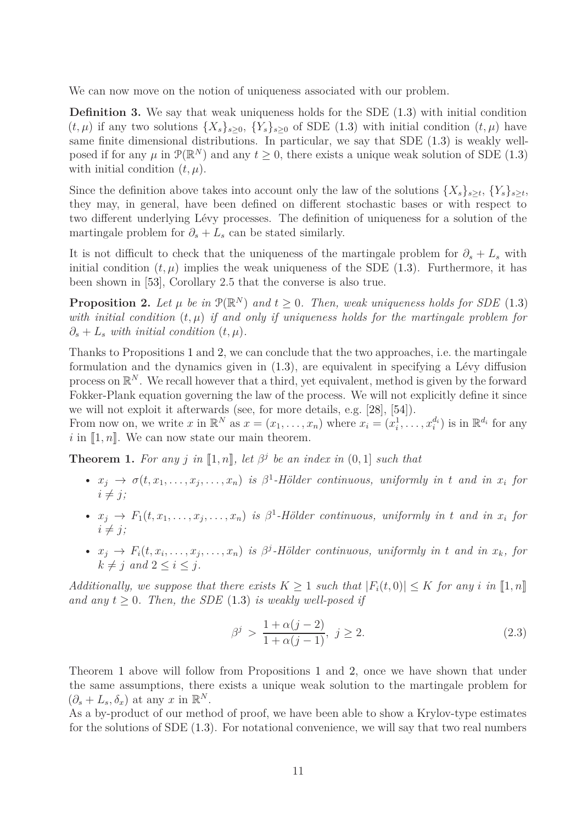We can now move on the notion of uniqueness associated with our problem.

**Definition 3.** We say that weak uniqueness holds for the SDE [\(1.3\)](#page-4-1) with initial condition  $(t, \mu)$  if any two solutions  $\{X_s\}_{s>0}$ ,  $\{Y_s\}_{s>0}$  of SDE [\(1.3\)](#page-4-1) with initial condition  $(t, \mu)$  have same finite dimensional distributions. In particular, we say that SDE [\(1.3\)](#page-4-1) is weakly wellposed if for any  $\mu$  in  $\mathcal{P}(\mathbb{R}^N)$  and any  $t \geq 0$ , there exists a unique weak solution of SDE [\(1.3\)](#page-4-1) with initial condition  $(t, \mu)$ .

Since the definition above takes into account only the law of the solutions  $\{X_s\}_{s\geq t}$ ,  $\{Y_s\}_{s\geq t}$ they may, in general, have been defined on different stochastic bases or with respect to two different underlying Lévy processes. The definition of uniqueness for a solution of the martingale problem for  $\partial_s + L_s$  can be stated similarly.

It is not difficult to check that the uniqueness of the martingale problem for  $\partial_s + L_s$  with initial condition  $(t, \mu)$  implies the weak uniqueness of the SDE  $(1.3)$ . Furthermore, it has been shown in [\[53\]](#page-65-10), Corollary 2*.*5 that the converse is also true.

<span id="page-10-1"></span>**Proposition 2.** Let  $\mu$  be in  $\mathcal{P}(\mathbb{R}^N)$  and  $t \geq 0$ . Then, weak uniqueness holds for SDE [\(1.3\)](#page-4-1) *with initial condition* (*t, µ*) *if and only if uniqueness holds for the martingale problem for*  $\partial_s + L_s$  *with initial condition*  $(t, \mu)$ *.* 

Thanks to Propositions [1](#page-9-0) and [2,](#page-10-1) we can conclude that the two approaches, i.e. the martingale formulation and the dynamics given in [\(1.3\)](#page-4-1), are equivalent in specifying a Lévy diffusion process on  $\mathbb{R}^N$ . We recall however that a third, yet equivalent, method is given by the forward Fokker-Plank equation governing the law of the process. We will not explicitly define it since we will not exploit it afterwards (see, for more details, e.g. [\[28\]](#page-63-12), [\[54\]](#page-65-11)).

From now on, we write x in  $\mathbb{R}^N$  as  $x = (x_1, \ldots, x_n)$  where  $x_i = (x_i^1, \ldots, x_i^d)$  is in  $\mathbb{R}^{d_i}$  for any  $i$  in  $\llbracket 1, n \rrbracket$ . We can now state our main theorem.

<span id="page-10-0"></span>**Theorem 1.** For any *j* in  $\llbracket 1,n \rrbracket$ , let  $\beta^j$  be an index in  $(0,1]$  such that

- $x_j \rightarrow \sigma(t, x_1, \ldots, x_j, \ldots, x_n)$  *is*  $\beta^1$ -Hölder continuous, uniformly in t and in  $x_i$  for  $i \neq j$ ;
- $x_j \rightarrow F_1(t, x_1, \ldots, x_j, \ldots, x_n)$  *is*  $\beta^1$ -Hölder continuous, uniformly in t and in  $x_i$  for  $i \neq j$ ;
- $x_j \rightarrow F_i(t, x_i, \ldots, x_j, \ldots, x_n)$  is  $\beta^j$ -Hölder continuous, uniformly in t and in  $x_k$ , for  $k \neq j$  and  $2 \leq i \leq j$ .

*Additionally, we suppose that there exists*  $K \geq 1$  *such that*  $|F_i(t,0)| \leq K$  *for any i in*  $\llbracket 1,n \rrbracket$ and any  $t \geq 0$ . Then, the SDE [\(1.3\)](#page-4-1) *is weakly well-posed if* 

$$
\beta^j > \frac{1 + \alpha(j - 2)}{1 + \alpha(j - 1)}, \ j \ge 2.
$$
\n(2.3)

Theorem [1](#page-10-0) above will follow from Propositions [1](#page-9-0) and [2,](#page-10-1) once we have shown that under the same assumptions, there exists a unique weak solution to the martingale problem for  $(\partial_s + L_s, \delta_x)$  at any *x* in  $\mathbb{R}^N$ .

As a by-product of our method of proof, we have been able to show a Krylov-type estimates for the solutions of SDE [\(1.3\)](#page-4-1). For notational convenience, we will say that two real numbers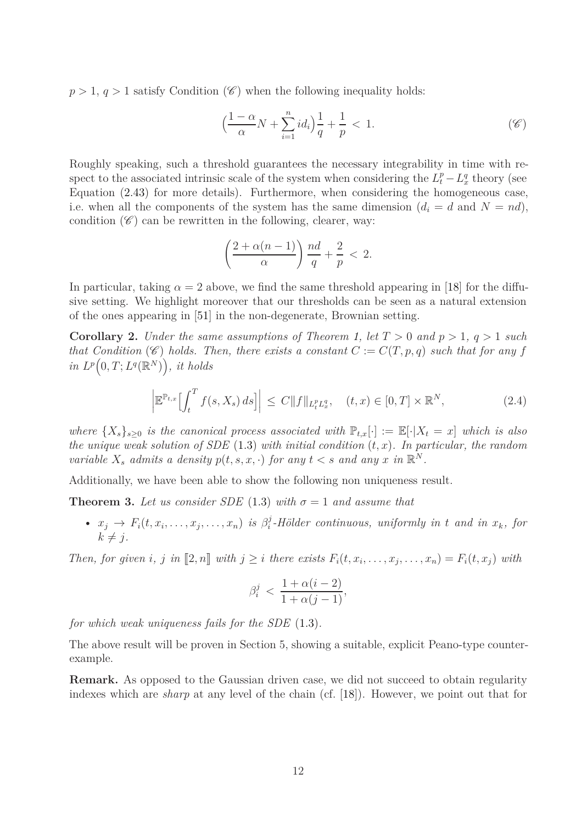$p > 1$ ,  $q > 1$  satisfy Condition (*C*) when the following inequality holds:

$$
\left(\frac{1-\alpha}{\alpha}N + \sum_{i=1}^{n} id_i\right)\frac{1}{q} + \frac{1}{p} < 1. \tag{6}
$$

Roughly speaking, such a threshold guarantees the necessary integrability in time with respect to the associated intrinsic scale of the system when considering the  $L_t^p - L_x^q$  theory (see Equation [\(2.43\)](#page-26-0) for more details). Furthermore, when considering the homogeneous case, i.e. when all the components of the system has the same dimension  $(d_i = d \text{ and } N = nd)$ , condition  $(\mathscr{C})$  can be rewritten in the following, clearer, way:

$$
\left(\frac{2+\alpha(n-1)}{\alpha}\right)\frac{nd}{q}+\frac{2}{p}<2.
$$

In particular, taking  $\alpha = 2$  above, we find the same threshold appearing in [\[18\]](#page-63-9) for the diffusive setting. We highlight moreover that our thresholds can be seen as a natural extension of the ones appearing in [\[51\]](#page-65-12) in the non-degenerate, Brownian setting.

<span id="page-11-1"></span>**Corollary 2.** *Under the same assumptions of Theorem [1,](#page-10-0) let*  $T > 0$  *and*  $p > 1$ ,  $q > 1$  *such that Condition* ( $\mathscr{C}$ ) *holds. Then, there exists a constant*  $C := C(T, p, q)$  *such that for any*  $f$  $in L^p(0,T;L^q(\mathbb{R}^N))$ , *it holds* 

$$
\left| \mathbb{E}^{\mathbb{P}_{t,x}} \left[ \int_t^T f(s, X_s) \, ds \right] \right| \le C \| f \|_{L_t^p L_x^q}, \quad (t,x) \in [0,T] \times \mathbb{R}^N, \tag{2.4}
$$

*where*  $\{X_s\}_{s\geq0}$  *is the canonical process associated with*  $\mathbb{P}_{t,x}[\cdot] := \mathbb{E}[\cdot|X_t = x]$  *which is also the unique weak solution of SDE*  $(1.3)$  *with initial condition*  $(t, x)$ *. In particular, the random variable*  $X_s$  *admits a density*  $p(t, s, x, \cdot)$  *for any*  $t < s$  *and any x in*  $\mathbb{R}^N$ *.* 

Additionally, we have been able to show the following non uniqueness result.

<span id="page-11-0"></span>**Theorem 3.** Let us consider SDE [\(1.3\)](#page-4-1) with  $\sigma = 1$  and assume that

•  $x_j \to F_i(t, x_i, \ldots, x_j, \ldots, x_n)$  *is*  $\beta_i^j$ *i -Hölder continuous, uniformly in t and in xk, for*  $k \neq j$ .

Then, for given i, j in  $[2,n]$  with  $j \geq i$  there exists  $F_i(t, x_i, \ldots, x_j, \ldots, x_n) = F_i(t, x_j)$  with

$$
\beta_i^j < \frac{1 + \alpha(i - 2)}{1 + \alpha(j - 1)},
$$

*for which weak uniqueness fails for the SDE* [\(1.3\)](#page-4-1)*.*

The above result will be proven in Section 5, showing a suitable, explicit Peano-type counterexample.

**Remark.** As opposed to the Gaussian driven case, we did not succeed to obtain regularity indexes which are *sharp* at any level of the chain (cf. [\[18\]](#page-63-9)). However, we point out that for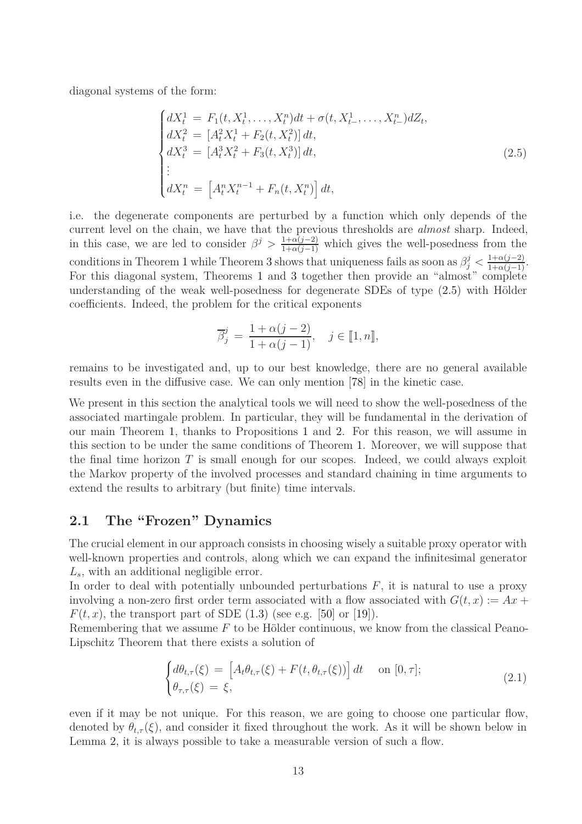diagonal systems of the form:

$$
\begin{cases}\ndX_t^1 = F_1(t, X_t^1, \dots, X_t^n)dt + \sigma(t, X_{t-}^1, \dots, X_{t-}^n)dZ_t, \\
dX_t^2 = [A_t^2 X_t^1 + F_2(t, X_t^2)]dt, \\
dX_t^3 = [A_t^3 X_t^2 + F_3(t, X_t^3)]dt, \\
\vdots \\
dX_t^n = [A_t^n X_t^{n-1} + F_n(t, X_t^n)]dt,\n\end{cases} \tag{2.5}
$$

i.e. the degenerate components are perturbed by a function which only depends of the current level on the chain, we have that the previous thresholds are *almost* sharp. Indeed, in this case, we are led to consider  $\beta^j > \frac{1+\alpha(j-2)}{1+\alpha(j-1)}$  which gives the well-posedness from the conditions in Theorem [1](#page-10-0) while Theorem [3](#page-11-0) shows that uniqueness fails as soon as  $\beta_j^j < \frac{1+\alpha(j-2)}{1+\alpha(j-1)}$ . For this diagonal system, Theorems [1](#page-10-0) and [3](#page-11-0) together then provide an "almost" complete understanding of the weak well-posedness for degenerate SDEs of type [\(2.5\)](#page-13-0) with Hölder coefficients. Indeed, the problem for the critical exponents

$$
\overline{\beta}_j^j = \frac{1 + \alpha(j-2)}{1 + \alpha(j-1)}, \quad j \in [\![1, n]\!],
$$

remains to be investigated and, up to our best knowledge, there are no general available results even in the diffusive case. We can only mention [\[78\]](#page-66-9) in the kinetic case.

We present in this section the analytical tools we will need to show the well-posedness of the associated martingale problem. In particular, they will be fundamental in the derivation of our main Theorem [1,](#page-10-0) thanks to Propositions [1](#page-9-0) and [2.](#page-10-1) For this reason, we will assume in this section to be under the same conditions of Theorem [1.](#page-10-0) Moreover, we will suppose that the final time horizon *T* is small enough for our scopes. Indeed, we could always exploit the Markov property of the involved processes and standard chaining in time arguments to extend the results to arbitrary (but finite) time intervals.

### **2.1 The "Frozen" Dynamics**

The crucial element in our approach consists in choosing wisely a suitable proxy operator with well-known properties and controls, along which we can expand the infinitesimal generator *Ls*, with an additional negligible error.

In order to deal with potentially unbounded perturbations *F*, it is natural to use a proxy involving a non-zero first order term associated with a flow associated with  $G(t, x) := Ax +$  $F(t, x)$ , the transport part of SDE  $(1.3)$  (see e.g. [\[50\]](#page-65-13) or [\[19\]](#page-63-7)).

Remembering that we assume *F* to be Hölder continuous, we know from the classical Peano-Lipschitz Theorem that there exists a solution of

<span id="page-12-0"></span>
$$
\begin{cases} d\theta_{t,\tau}(\xi) = \left[ A_t \theta_{t,\tau}(\xi) + F(t, \theta_{t,\tau}(\xi)) \right] dt & \text{on } [0, \tau]; \\ \theta_{\tau,\tau}(\xi) = \xi, \end{cases}
$$
 (2.1)

even if it may be not unique. For this reason, we are going to choose one particular flow, denoted by  $\theta_{t,\tau}(\xi)$ , and consider it fixed throughout the work. As it will be shown below in Lemma [2,](#page-20-0) it is always possible to take a measurable version of such a flow.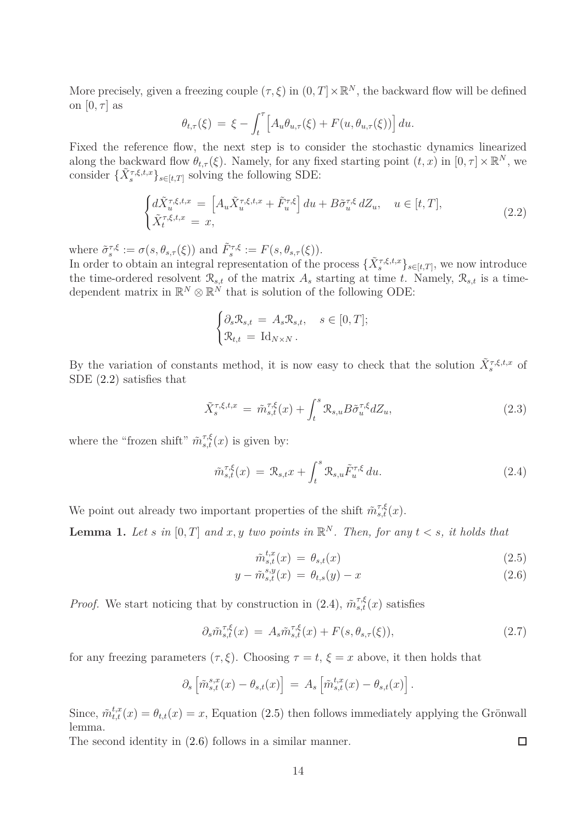More precisely, given a freezing couple  $(\tau, \xi)$  in  $(0, T] \times \mathbb{R}^N$ , the backward flow will be defined on  $[0, \tau]$  as

$$
\theta_{t,\tau}(\xi) = \xi - \int_t^{\tau} \left[ A_u \theta_{u,\tau}(\xi) + F(u, \theta_{u,\tau}(\xi)) \right] du.
$$

Fixed the reference flow, the next step is to consider the stochastic dynamics linearized along the backward flow  $\theta_{t,\tau}(\xi)$ . Namely, for any fixed starting point  $(t, x)$  in  $[0, \tau] \times \mathbb{R}^N$ , we consider  $\{\tilde{X}_{s}^{\tau,\xi,t,x}\}_{s\in[t,T]}$  solving the following SDE:

<span id="page-13-1"></span>
$$
\begin{cases} d\tilde{X}_{u}^{\tau,\xi,t,x} = \left[ A_{u}\tilde{X}_{u}^{\tau,\xi,t,x} + \tilde{F}_{u}^{\tau,\xi} \right] du + B\tilde{\sigma}_{u}^{\tau,\xi} dZ_{u}, \quad u \in [t,T],\\ \tilde{X}_{t}^{\tau,\xi,t,x} = x, \end{cases}
$$
\n(2.2)

where  $\tilde{\sigma}_s^{\tau,\xi} := \sigma(s, \theta_{s,\tau}(\xi))$  and  $\tilde{F}_s^{\tau,\xi} := F(s, \theta_{s,\tau}(\xi)).$ 

In order to obtain an integral representation of the process  $\{\tilde{X}_{s}^{\tau,\xi,t,x}\}_{s\in[t,T]}$ , we now introduce the time-ordered resolvent  $\mathcal{R}_{s,t}$  of the matrix  $A_s$  starting at time *t*. Namely,  $\mathcal{R}_{s,t}$  is a timedependent matrix in  $\mathbb{R}^N \otimes \mathbb{R}^N$  that is solution of the following ODE:

$$
\begin{cases} \partial_s \mathcal{R}_{s,t} = A_s \mathcal{R}_{s,t}, & s \in [0,T]; \\ \mathcal{R}_{t,t} = \mathrm{Id}_{N \times N} . \end{cases}
$$

By the variation of constants method, it is now easy to check that the solution  $\tilde{X}_{s}^{\tau,\xi,t,x}$  of SDE [\(2.2\)](#page-13-1) satisfies that

<span id="page-13-4"></span>
$$
\tilde{X}_s^{\tau,\xi,t,x} = \tilde{m}_{s,t}^{\tau,\xi}(x) + \int_t^s \mathcal{R}_{s,u} B \tilde{\sigma}_u^{\tau,\xi} dZ_u,\tag{2.3}
$$

where the "frozen shift"  $\tilde{m}_{s,t}^{\tau,\xi}(x)$  is given by:

<span id="page-13-2"></span>
$$
\tilde{m}_{s,t}^{\tau,\xi}(x) = \mathcal{R}_{s,t}x + \int_t^s \mathcal{R}_{s,u} \tilde{F}_u^{\tau,\xi} du.
$$
\n(2.4)

We point out already two important properties of the shift  $\tilde{m}_{s,t}^{\tau,\xi}(x)$ .

<span id="page-13-6"></span>**Lemma 1.** Let *s* in  $[0, T]$  and  $x, y$  two points in  $\mathbb{R}^N$ . Then, for any  $t < s$ , it holds that

$$
\tilde{m}_{s,t}^{t,x}(x) = \theta_{s,t}(x) \tag{2.5}
$$

$$
y - \tilde{m}_{s,t}^{s,y}(x) = \theta_{t,s}(y) - x \tag{2.6}
$$

*Proof.* We start noticing that by construction in [\(2.4\)](#page-13-2),  $\tilde{m}_{s,t}^{\tau,\xi}(x)$  satisfies

<span id="page-13-5"></span>
$$
\partial_s \tilde{m}_{s,t}^{\tau,\xi}(x) = A_s \tilde{m}_{s,t}^{\tau,\xi}(x) + F(s, \theta_{s,\tau}(\xi)),
$$
\n(2.7)

for any freezing parameters  $(\tau, \xi)$ . Choosing  $\tau = t$ ,  $\xi = x$  above, it then holds that

$$
\partial_s \left[ \tilde{m}_{s,t}^{s,x}(x) - \theta_{s,t}(x) \right] = A_s \left[ \tilde{m}_{s,t}^{t,x}(x) - \theta_{s,t}(x) \right].
$$

Since,  $\tilde{m}_{t,t}^{t,x}(x) = \theta_{t,t}(x) = x$ , Equation [\(2.5\)](#page-13-0) then follows immediately applying the Grönwall lemma.

The second identity in [\(2.6\)](#page-13-3) follows in a similar manner.

<span id="page-13-3"></span><span id="page-13-0"></span> $\Box$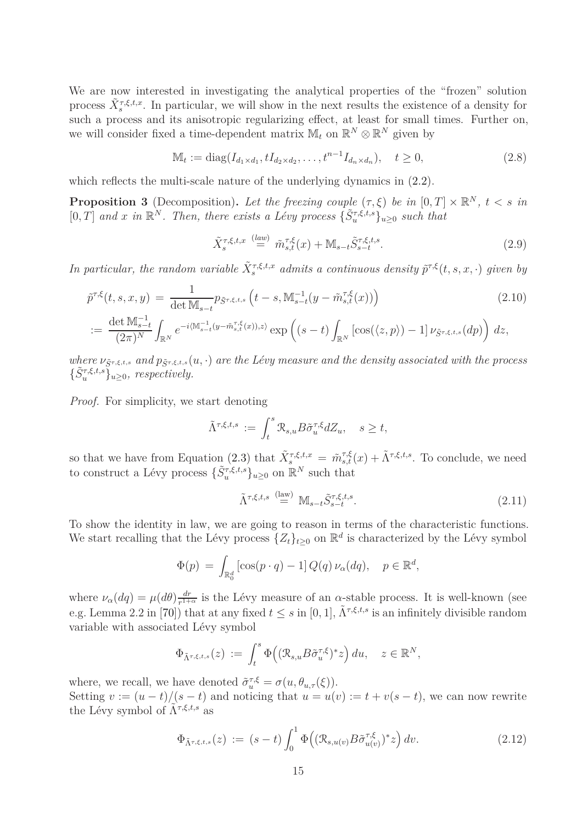We are now interested in investigating the analytical properties of the "frozen" solution process  $\tilde{X}_{s}^{\tau,\xi,t,x}$ . In particular, we will show in the next results the existence of a density for such a process and its anisotropic regularizing effect, at least for small times. Further on, we will consider fixed a time-dependent matrix  $\mathbb{M}_t$  on  $\mathbb{R}^N \otimes \mathbb{R}^N$  given by

<span id="page-14-1"></span>
$$
\mathbb{M}_t := \text{diag}(I_{d_1 \times d_1}, tI_{d_2 \times d_2}, \dots, t^{n-1}I_{d_n \times d_n}), \quad t \ge 0,
$$
\n(2.8)

which reflects the multi-scale nature of the underlying dynamics in  $(2.2)$ .

<span id="page-14-0"></span>**Proposition 3** (Decomposition). Let the freezing couple  $(\tau, \xi)$  be in  $[0, T] \times \mathbb{R}^N$ ,  $t < s$  in  $[0, T]$  *and x in*  $\mathbb{R}^N$ *. Then, there exists a Lévy process*  $\{\tilde{S}_u^{\tau, \xi, t, s}\}_{u \geq 0}$  *such that* 

<span id="page-14-4"></span><span id="page-14-3"></span>
$$
\tilde{X}_s^{\tau,\xi,t,x} \stackrel{(law)}{=} \tilde{m}_{s,t}^{\tau,\xi}(x) + \mathbb{M}_{s-t} \tilde{S}_{s-t}^{\tau,\xi,t,s}.
$$
\n(2.9)

*In particular, the random variable*  $\tilde{X}_s^{\tau, \xi, t, x}$  *admits a continuous density*  $\tilde{p}^{\tau, \xi}(t, s, x, \cdot)$  *given by* 

$$
\tilde{p}^{\tau,\xi}(t,s,x,y) = \frac{1}{\det \mathbb{M}_{s-t}} p_{\tilde{S}^{\tau,\xi,t,s}} \left( t-s, \mathbb{M}_{s-t}^{-1} (y - \tilde{m}_{s,t}^{\tau,\xi}(x)) \right)
$$
\n(2.10)

$$
:=\frac{\det \mathbb{M}_{s-t}^{-1}}{(2\pi)^N} \int_{\mathbb{R}^N} e^{-i\langle \mathbb{M}_{s-t}^{-1}(y-\tilde{m}_{s,t}^{\tau,\xi}(x)),z\rangle} \exp\left((s-t)\int_{\mathbb{R}^N} \left[\cos(\langle z,p\rangle)-1\right]\nu_{\tilde{S}^{\tau,\xi,t,s}}(dp)\right) dz,
$$

*where*  $\nu_{\tilde{S}^{\tau,\xi,t,s}}$  and  $p_{\tilde{S}^{\tau,\xi,t,s}}(u,\cdot)$  are the Lévy measure and the density associated with the process  $\{\tilde{S}_u^{\tau,\xi,t,s}\}_{u\geq0}$ *, respectively.* 

*Proof.* For simplicity, we start denoting

$$
\tilde{\Lambda}^{\tau,\xi,t,s} := \int_t^s \mathcal{R}_{s,u} B \tilde{\sigma}_u^{\tau,\xi} dZ_u, \quad s \ge t,
$$

so that we have from Equation [\(2.3\)](#page-13-4) that  $\tilde{X}_{s}^{\tau,\xi,t,x} = \tilde{m}_{s,t}^{\tau,\xi}(x) + \tilde{\Lambda}^{\tau,\xi,t,s}$ . To conclude, we need to construct a Lévy process  $\{\tilde{S}_u^{\tau,\xi,t,s}\}_{u\geq 0}$  on  $\mathbb{R}^N$  such that

<span id="page-14-2"></span>
$$
\tilde{\Lambda}^{\tau,\xi,t,s} \stackrel{\text{(law)}}{=} \mathbb{M}_{s-t} \tilde{S}_{s-t}^{\tau,\xi,t,s}.
$$
\n(2.11)

To show the identity in law, we are going to reason in terms of the characteristic functions. We start recalling that the Lévy process  $\{Z_t\}_{t\geq 0}$  on  $\mathbb{R}^d$  is characterized by the Lévy symbol

$$
\Phi(p) = \int_{\mathbb{R}_0^d} \left[ \cos(p \cdot q) - 1 \right] Q(q) \nu_\alpha(dq), \quad p \in \mathbb{R}^d,
$$

where  $\nu_{\alpha}(dq) = \mu(d\theta) \frac{dr}{r^{1+}}$  $\frac{dr}{r^{1+\alpha}}$  is the Lévy measure of an *α*-stable process. It is well-known (see e.g. Lemma 2.2 in [\[70\]](#page-66-10)) that at any fixed  $t \leq s$  in [0, 1],  $\tilde{\Lambda}^{\tau,\xi,t,s}$  is an infinitely divisible random variable with associated Lévy symbol

$$
\Phi_{\tilde{\Lambda}^{\tau,\xi,t,s}}(z) := \int_t^s \Phi\big((\mathcal{R}_{s,u} B\tilde{\sigma}_u^{\tau,\xi})^* z\big) du, \quad z \in \mathbb{R}^N,
$$

where, we recall, we have denoted  $\tilde{\sigma}_{u}^{\tau,\xi} = \sigma(u, \theta_{u,\tau}(\xi)).$ 

Setting  $v := (u - t)/(s - t)$  and noticing that  $u = u(v) := t + v(s - t)$ , we can now rewrite the Lévy symbol of  $\tilde{\Lambda}^{\tau,\xi,t,s}$  as

<span id="page-14-5"></span>
$$
\Phi_{\tilde{\Lambda}^{\tau,\xi,t,s}}(z) := (s-t) \int_0^1 \Phi\Big( (\mathcal{R}_{s,u(v)} B \tilde{\sigma}_{u(v)}^{\tau,\xi})^* z \Big) dv. \tag{2.12}
$$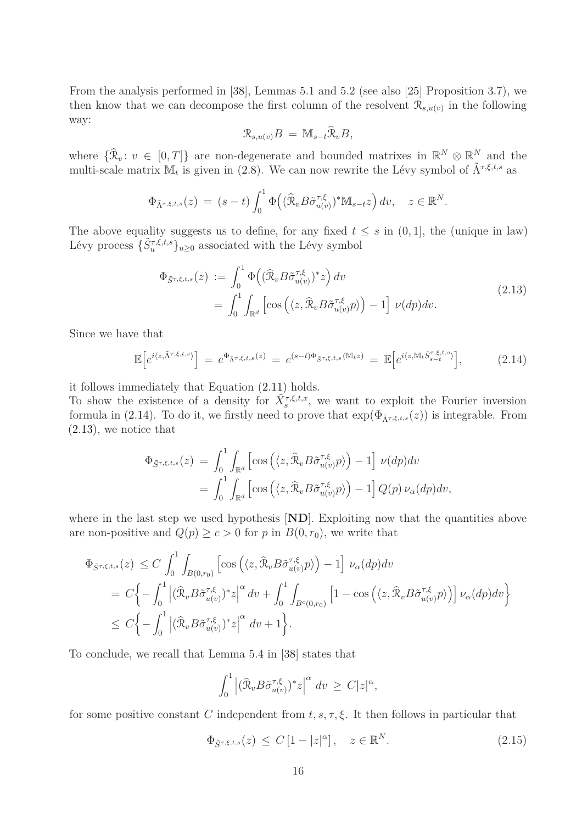From the analysis performed in [\[38\]](#page-64-8), Lemmas 5*.*1 and 5*.*2 (see also [\[25\]](#page-63-10) Proposition 3*.*7), we then know that we can decompose the first column of the resolvent  $\mathcal{R}_{s,u(v)}$  in the following way:

$$
\mathcal{R}_{s,u(v)}B = \mathbb{M}_{s-t}\widehat{\mathcal{R}}_vB,
$$

where  $\{\hat{\mathcal{R}}_v : v \in [0,T]\}$  are non-degenerate and bounded matrixes in  $\mathbb{R}^N \otimes \mathbb{R}^N$  and the multi-scale matrix  $\mathbb{M}_t$  is given in [\(2.8\)](#page-14-1). We can now rewrite the Lévy symbol of  $\tilde{\Lambda}^{\tau,\xi,t,s}$  as

$$
\Phi_{\tilde{\Lambda}^{\tau,\xi,t,s}}(z) = (s-t) \int_0^1 \Phi\big((\widehat{\mathcal{R}}_v B \widetilde{\sigma}_{u(v)}^{\tau,\xi})^* \mathbb{M}_{s-t} z\big) dv, \quad z \in \mathbb{R}^N.
$$

The above equality suggests us to define, for any fixed  $t \leq s$  in  $(0, 1]$ , the (unique in law) Lévy process  $\{\tilde{S}_{u}^{\tau,\xi,t,s}\}_{u\geq0}$  associated with the Lévy symbol

$$
\Phi_{\tilde{S}^{\tau,\xi,t,s}}(z) := \int_0^1 \Phi\left((\widehat{\mathcal{R}}_v B \tilde{\sigma}_{u(v)}^{\tau,\xi})^* z\right) dv \n= \int_0^1 \int_{\mathbb{R}^d} \left[\cos\left(\langle z, \widehat{\mathcal{R}}_v B \tilde{\sigma}_{u(v)}^{\tau,\xi} p \rangle\right) - 1\right] \nu(dp) dv.
$$
\n(2.13)

<span id="page-15-1"></span>Since we have that

<span id="page-15-0"></span>
$$
\mathbb{E}\left[e^{i\langle z,\tilde{\Lambda}^{\tau,\xi,t,s}\rangle}\right] = e^{\Phi_{\tilde{\Lambda}^{\tau,\xi,t,s}}(z)} = e^{(s-t)\Phi_{\tilde{S}^{\tau,\xi,t,s}}(\mathbb{M}_t z)} = \mathbb{E}\left[e^{i\langle z,\mathbb{M}_t\tilde{S}_{s-t}^{\tau,\xi,t,s}\rangle}\right],\tag{2.14}
$$

it follows immediately that Equation [\(2.11\)](#page-14-2) holds.

To show the existence of a density for  $\tilde{X}_s^{\tau,\xi,t,x}$ , we want to exploit the Fourier inversion formula in [\(2.14\)](#page-15-0). To do it, we firstly need to prove that  $\exp(\Phi_{\tilde{\Lambda}^{\tau,\xi,t,s}}(z))$  is integrable. From [\(2.13\)](#page-15-1), we notice that

$$
\Phi_{\tilde{S}^{\tau,\xi,t,s}}(z) = \int_0^1 \int_{\mathbb{R}^d} \left[ \cos \left( \langle z, \hat{\mathcal{R}}_v B \tilde{\sigma}_{u(v)}^{\tau,\xi} p \rangle \right) - 1 \right] \nu(dp) dv \n= \int_0^1 \int_{\mathbb{R}^d} \left[ \cos \left( \langle z, \hat{\mathcal{R}}_v B \tilde{\sigma}_{u(v)}^{\tau,\xi} p \rangle \right) - 1 \right] Q(p) \nu_\alpha(dp) dv,
$$

where in the last step we used hypothesis [**ND**]. Exploiting now that the quantities above are non-positive and  $Q(p) \ge c > 0$  for *p* in  $B(0, r_0)$ , we write that

$$
\Phi_{\tilde{S}^{\tau,\xi,t,s}}(z) \leq C \int_0^1 \int_{B(0,r_0)} \left[ \cos \left( \langle z, \hat{\mathcal{R}}_v B \tilde{\sigma}_{u(v)}^{\tau,\xi} p \rangle \right) - 1 \right] \nu_\alpha(dp) dv
$$
\n
$$
= C \Big\{ - \int_0^1 \left| (\hat{\mathcal{R}}_v B \tilde{\sigma}_{u(v)}^{\tau,\xi})^* z \right|^\alpha dv + \int_0^1 \int_{B^c(0,r_0)} \left[ 1 - \cos \left( \langle z, \hat{\mathcal{R}}_v B \tilde{\sigma}_{u(v)}^{\tau,\xi} p \rangle \right) \right] \nu_\alpha(dp) dv \Big\}
$$
\n
$$
\leq C \Big\{ - \int_0^1 \left| (\hat{\mathcal{R}}_v B \tilde{\sigma}_{u(v)}^{\tau,\xi})^* z \right|^\alpha dv + 1 \Big\}.
$$

To conclude, we recall that Lemma 5*.*4 in [\[38\]](#page-64-8) states that

$$
\int_0^1 \left| (\widehat{\mathcal{R}}_v B \widetilde{\sigma}_{u(v)}^{\tau,\xi})^* z \right|^\alpha dv \ge C|z|^\alpha,
$$

for some positive constant *C* independent from  $t, s, \tau, \xi$ . It then follows in particular that

<span id="page-15-2"></span>
$$
\Phi_{\tilde{S}^{\tau,\xi,t,s}}(z) \le C\left[1-|z|^{\alpha}\right], \quad z \in \mathbb{R}^N. \tag{2.15}
$$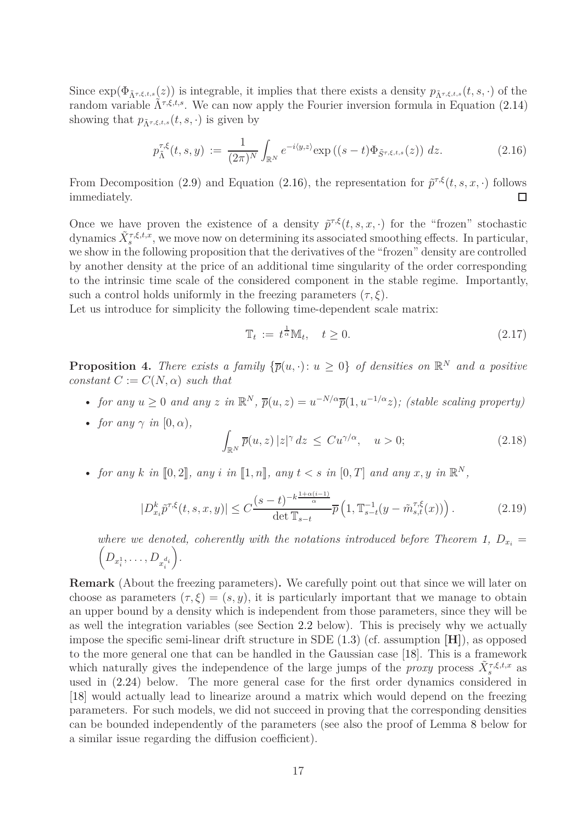Since  $\exp(\Phi_{\tilde{\Lambda}^{\tau,\xi,t,s}}(z))$  is integrable, it implies that there exists a density  $p_{\tilde{\Lambda}^{\tau,\xi,t,s}}(t,s,\cdot)$  of the random variable  $\tilde{\Lambda}^{\tau,\xi,t,s}$ . We can now apply the Fourier inversion formula in Equation [\(2.14\)](#page-15-0) showing that  $p_{\tilde{\Lambda}^{\tau,\xi,t,s}}(t,s,\cdot)$  is given by

<span id="page-16-2"></span>
$$
p_{\tilde{\Lambda}}^{\tau,\xi}(t,s,y) := \frac{1}{(2\pi)^N} \int_{\mathbb{R}^N} e^{-i\langle y,z\rangle} \exp\left((s-t)\Phi_{\tilde{S}^{\tau,\xi,t,s}}(z)\right) dz.
$$
 (2.16)

From Decomposition [\(2.9\)](#page-14-3) and Equation [\(2.16\)](#page-16-2), the representation for  $\tilde{p}^{\tau,\xi}(t,s,x,\cdot)$  follows immediately.  $\Box$ 

Once we have proven the existence of a density  $\tilde{p}^{\tau,\xi}(t,s,x,\cdot)$  for the "frozen" stochastic dynamics  $\tilde{X}_s^{\tau,\xi,t,x}$ , we move now on determining its associated smoothing effects. In particular, we show in the following proposition that the derivatives of the "frozen" density are controlled by another density at the price of an additional time singularity of the order corresponding to the intrinsic time scale of the considered component in the stable regime. Importantly, such a control holds uniformly in the freezing parameters  $(\tau, \xi)$ .

Let us introduce for simplicity the following time-dependent scale matrix:

<span id="page-16-4"></span>
$$
\mathbb{T}_t := t^{\frac{1}{\alpha}} \mathbb{M}_t, \quad t \ge 0. \tag{2.17}
$$

<span id="page-16-0"></span>**Proposition 4.** There exists a family  ${\overline{p}(u, \cdot): u \ge 0}$  of densities on  $\mathbb{R}^N$  and a positive *constant*  $C := C(N, \alpha)$  *such that* 

- *for any*  $u \geq 0$  *and any*  $z$  *in*  $\mathbb{R}^N$ ,  $\overline{p}(u, z) = u^{-N/\alpha} \overline{p}(1, u^{-1/\alpha}z)$ ; (stable scaling property)
- *for any*  $\gamma$  *in*  $[0, \alpha)$ *,*

<span id="page-16-3"></span>
$$
\int_{\mathbb{R}^N} \overline{p}(u, z) |z|^\gamma dz \leq C u^{\gamma/\alpha}, \quad u > 0; \tag{2.18}
$$

• *for any k in*  $[0,2]$ *, any i in*  $[1,n]$ *, any*  $t < s$  *in*  $[0,T]$  *and any*  $x, y$  *in*  $\mathbb{R}^N$ *,* 

<span id="page-16-1"></span>
$$
|D_{x_i}^k \tilde{p}^{\tau,\xi}(t,s,x,y)| \le C \frac{(s-t)^{-k\frac{1+\alpha(i-1)}{\alpha}}}{\det \mathbb{T}_{s-t}} \overline{p}\left(1, \mathbb{T}_{s-t}^{-1}(y-\tilde{m}_{s,t}^{\tau,\xi}(x))\right). \tag{2.19}
$$

where we denoted, coherently with the notations introduced before Theorem [1,](#page-10-0)  $D_{x_i} =$  $\left(D_{x_i^1}, \ldots, D_{x_i^{d_i}}\right)$ *.*

**Remark** (About the freezing parameters)**.** We carefully point out that since we will later on choose as parameters  $(\tau, \xi) = (s, y)$ , it is particularly important that we manage to obtain an upper bound by a density which is independent from those parameters, since they will be as well the integration variables (see Section [2.2](#page-19-0) below). This is precisely why we actually impose the specific semi-linear drift structure in SDE [\(1.3\)](#page-4-1) (cf. assumption **[H]**), as opposed to the more general one that can be handled in the Gaussian case [\[18\]](#page-63-9). This is a framework which naturally gives the independence of the large jumps of the *proxy* process  $\tilde{X}_{s}^{\tau,\xi,t,x}$  as used in [\(2.24\)](#page-17-0) below. The more general case for the first order dynamics considered in [\[18\]](#page-63-9) would actually lead to linearize around a matrix which would depend on the freezing parameters. For such models, we did not succeed in proving that the corresponding densities can be bounded independently of the parameters (see also the proof of Lemma [8](#page-45-0) below for a similar issue regarding the diffusion coefficient).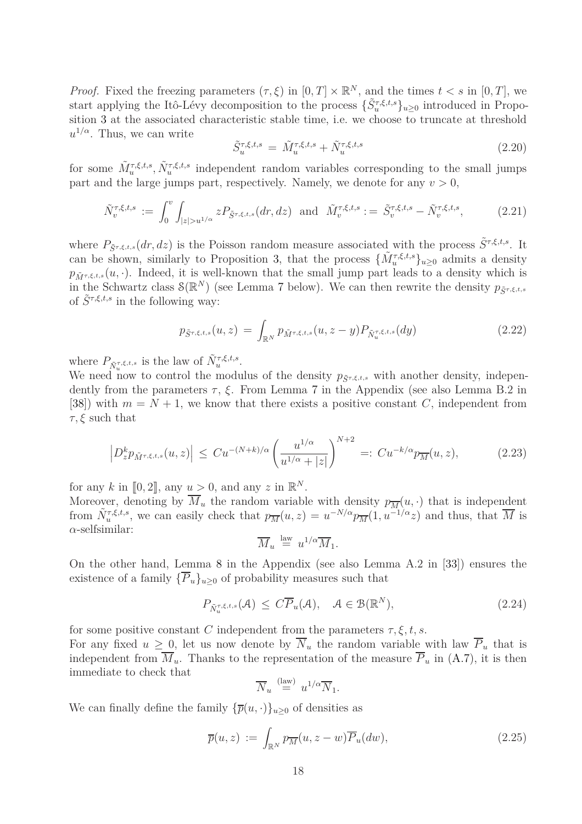*Proof.* Fixed the freezing parameters  $(\tau, \xi)$  in  $[0, T] \times \mathbb{R}^N$ , and the times  $t < s$  in  $[0, T]$ , we start applying the Itô-Lévy decomposition to the process  $\{\tilde{S}_u^{\tau,\xi,t,s}\}_{u\geq0}$  introduced in Proposition [3](#page-14-0) at the associated characteristic stable time, i.e. we choose to truncate at threshold *u* <sup>1</sup>*/α*. Thus, we can write

<span id="page-17-4"></span>
$$
\tilde{S}_u^{\tau,\xi,t,s} = \tilde{M}_u^{\tau,\xi,t,s} + \tilde{N}_u^{\tau,\xi,t,s}
$$
\n(2.20)

for some  $\tilde{M}_u^{\tau,\xi,t,s}$ ,  $\tilde{N}_u^{\tau,\xi,t,s}$  independent random variables corresponding to the small jumps part and the large jumps part, respectively. Namely, we denote for any  $v > 0$ ,

<span id="page-17-5"></span>
$$
\tilde{N}_v^{\tau,\xi,t,s} := \int_0^v \int_{|z| > u^{1/\alpha}} z P_{\tilde{S}^{\tau,\xi,t,s}}(dr,dz) \text{ and } \tilde{M}_v^{\tau,\xi,t,s} := \tilde{S}_v^{\tau,\xi,t,s} - \tilde{N}_v^{\tau,\xi,t,s}, \tag{2.21}
$$

where  $P_{\tilde{S}^{\tau,\xi,t,s}}(dr,dz)$  is the Poisson random measure associated with the process  $\tilde{S}^{\tau,\xi,t,s}$ . It can be shown, similarly to Proposition [3,](#page-14-0) that the process  $\{\tilde{M}_u^{\tau,\xi,t,s}\}_{u\geq 0}$  admits a density  $p_{\tilde{M}\tau,\xi,t,s}(u,\cdot)$ . Indeed, it is well-known that the small jump part leads to a density which is in the Schwartz class  $\mathcal{S}(\mathbb{R}^N)$  (see Lemma [7](#page-43-0) below). We can then rewrite the density  $p_{\tilde{S}^{\tau,\xi,t,s}}$ of  $\tilde{S}^{\tau,\xi,t,s}$  in the following way:

<span id="page-17-1"></span>
$$
p_{\tilde{S}^{\tau,\xi,t,s}}(u,z) = \int_{\mathbb{R}^N} p_{\tilde{M}^{\tau,\xi,t,s}}(u,z-y) P_{\tilde{N}_u^{\tau,\xi,t,s}}(dy)
$$
(2.22)

where  $P_{\tilde{N}_u^{\tau,\xi,t,s}}$  is the law of  $\tilde{N}_u^{\tau,\xi,t,s}$ .

We need now to control the modulus of the density  $p_{\tilde{S}^{\tau,\xi,t,s}}$  with another density, independently from the parameters  $\tau$ ,  $\xi$ . From Lemma [7](#page-43-0) in the Appendix (see also Lemma B.2 in [\[38\]](#page-64-8)) with  $m = N + 1$ , we know that there exists a positive constant *C*, independent from *τ, ξ* such that

<span id="page-17-2"></span>
$$
\left| D_z^k p_{\tilde{M}^{\tau,\xi,t,s}}(u,z) \right| \leq C u^{-(N+k)/\alpha} \left( \frac{u^{1/\alpha}}{u^{1/\alpha} + |z|} \right)^{N+2} =: C u^{-k/\alpha} p_{\overline{M}}(u,z), \tag{2.23}
$$

for any *k* in  $[0, 2]$ , any  $u > 0$ , and any *z* in  $\mathbb{R}^N$ .

Moreover, denoting by  $\overline{M}_u$  the random variable with density  $p_{\overline{M}}(u, \cdot)$  that is independent from  $\tilde{N}_u^{\tau,\xi,t,s}$ , we can easily check that  $p_{\overline{M}}(u,z) = u^{-N/\alpha} p_{\overline{M}}(1, u^{-1/\alpha}z)$  and thus, that  $\overline{M}$  is *α*-selfsimilar:

$$
\overline{M}_u \stackrel{\text{law}}{=} u^{1/\alpha} \overline{M}_1.
$$

On the other hand, Lemma [8](#page-45-0) in the Appendix (see also Lemma A.2 in [\[33\]](#page-64-16)) ensures the existence of a family  $\{\overline{P}_u\}_{u\geq 0}$  of probability measures such that

<span id="page-17-0"></span>
$$
P_{\tilde{N}_u^{\tau,\xi,t,s}}(\mathcal{A}) \leq C\overline{P}_u(\mathcal{A}), \quad \mathcal{A} \in \mathcal{B}(\mathbb{R}^N), \tag{2.24}
$$

for some positive constant *C* independent from the parameters  $\tau$ ,  $\xi$ ,  $t$ ,  $s$ .

For any fixed  $u \geq 0$ , let us now denote by  $\overline{N}_u$  the random variable with law  $\overline{P}_u$  that is independent from  $\overline{M}_u$ . Thanks to the representation of the measure  $\overline{P}_u$  in [\(A.7\)](#page-47-0), it is then immediate to check that

$$
\overline{N}_u \stackrel{\text{(law)}}{=} u^{1/\alpha} \overline{N}_1.
$$

We can finally define the family  ${\{\overline{p}(u, \cdot)\}}_{u>0}$  of densities as

<span id="page-17-3"></span>
$$
\overline{p}(u,z) := \int_{\mathbb{R}^N} p_{\overline{M}}(u,z-w) \overline{P}_u(dw), \qquad (2.25)
$$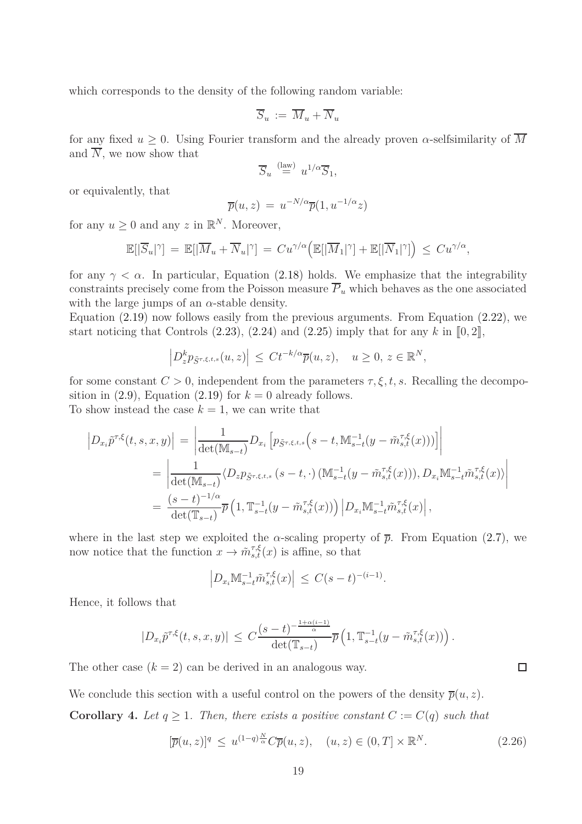which corresponds to the density of the following random variable:

$$
\overline{S}_u \, := \, \overline{M}_u + \overline{N}_u
$$

for any fixed  $u \geq 0$ . Using Fourier transform and the already proven  $\alpha$ -selfsimilarity of  $\overline{M}$ and  $\overline{N}$ , we now show that

$$
\overline{S}_u \stackrel{\text{(law)}}{=} u^{1/\alpha} \overline{S}_1,
$$

or equivalently, that

$$
\overline{p}(u,z) = u^{-N/\alpha} \overline{p}(1, u^{-1/\alpha} z)
$$

for any  $u \geq 0$  and any  $z$  in  $\mathbb{R}^N$ . Moreover,

$$
\mathbb{E}[|\overline{S}_u|^\gamma] = \mathbb{E}[|\overline{M}_u + \overline{N}_u|^\gamma] = C u^{\gamma/\alpha} \Big( \mathbb{E}[|\overline{M}_1|^\gamma] + \mathbb{E}[|\overline{N}_1|^\gamma] \Big) \leq C u^{\gamma/\alpha},
$$

for any  $\gamma < \alpha$ . In particular, Equation [\(2.18\)](#page-16-3) holds. We emphasize that the integrability constraints precisely come from the Poisson measure  $\overline{P}_u$  which behaves as the one associated with the large jumps of an  $\alpha$ -stable density.

Equation [\(2.19\)](#page-16-1) now follows easily from the previous arguments. From Equation [\(2.22\)](#page-17-1), we start noticing that Controls  $(2.23)$ ,  $(2.24)$  and  $(2.25)$  imply that for any k in  $[0, 2]$ ,

$$
\left| D_z^k p_{\tilde{S}^{\tau,\xi,t,s}}(u,z) \right| \leq C t^{-k/\alpha} \overline{p}(u,z), \quad u \geq 0, \, z \in \mathbb{R}^N,
$$

for some constant  $C > 0$ , independent from the parameters  $\tau, \xi, t, s$ . Recalling the decomposition in  $(2.9)$ , Equation  $(2.19)$  for  $k = 0$  already follows. To show instead the case  $k = 1$ , we can write that

$$
\begin{split}\n\left| D_{x_i} \tilde{p}^{\tau,\xi}(t,s,x,y) \right| &= \left| \frac{1}{\det(\mathbb{M}_{s-t})} D_{x_i} \left[ p_{\tilde{S}^{\tau,\xi,t,s}} \left( s-t, \mathbb{M}_{s-t}^{-1} (y - \tilde{m}_{s,t}^{\tau,\xi}(x)) \right) \right] \right| \\
&= \left| \frac{1}{\det(\mathbb{M}_{s-t})} \langle D_{z} p_{\tilde{S}^{\tau,\xi,t,s}} \left( s-t, \cdot \right) (\mathbb{M}_{s-t}^{-1} (y - \tilde{m}_{s,t}^{\tau,\xi}(x))), D_{x_i} \mathbb{M}_{s-t}^{-1} \tilde{m}_{s,t}^{\tau,\xi}(x) \rangle \right| \\
&= \frac{(s-t)^{-1/\alpha}}{\det(\mathbb{T}_{s-t})} \overline{p} \left( 1, \mathbb{T}_{s-t}^{-1} (y - \tilde{m}_{s,t}^{\tau,\xi}(x)) \right) \left| D_{x_i} \mathbb{M}_{s-t}^{-1} \tilde{m}_{s,t}^{\tau,\xi}(x) \right|, \n\end{split}
$$

where in the last step we exploited the  $\alpha$ -scaling property of  $\bar{p}$ . From Equation [\(2.7\)](#page-13-5), we now notice that the function  $x \to \tilde{m}_{s,t}^{\tau,\xi}(x)$  is affine, so that

$$
\left| D_{x_i} \mathbb{M}_{s-t}^{-1} \tilde{m}_{s,t}^{\tau,\xi}(x) \right| \leq C(s-t)^{-(i-1)}.
$$

Hence, it follows that

$$
|D_{x_i}\tilde{p}^{\tau,\xi}(t,s,x,y)| \leq C \frac{(s-t)^{-\frac{1+\alpha(i-1)}{\alpha}}}{\det(\mathbb{T}_{s-t})} \overline{p}\left(1,\mathbb{T}_{s-t}^{-1}(y-\tilde{m}_{s,t}^{\tau,\xi}(x))\right).
$$

The other case  $(k = 2)$  can be derived in an analogous way.

We conclude this section with a useful control on the powers of the density  $\overline{p}(u, z)$ .

<span id="page-18-0"></span>**Corollary 4.** Let  $q \geq 1$ . Then, there exists a positive constant  $C := C(q)$  such that

$$
[\overline{p}(u,z)]^q \le u^{(1-q)\frac{N}{\alpha}} C\overline{p}(u,z), \quad (u,z) \in (0,T] \times \mathbb{R}^N. \tag{2.26}
$$

 $\Box$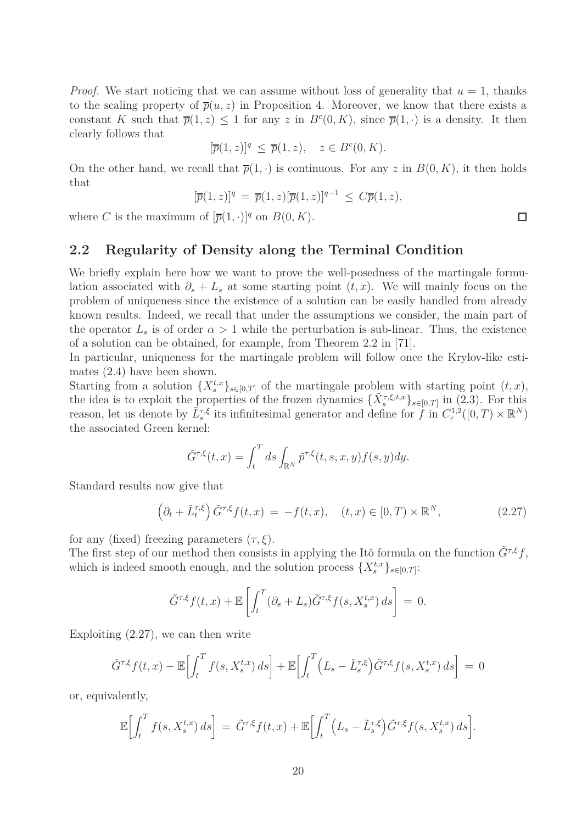*Proof.* We start noticing that we can assume without loss of generality that  $u = 1$ , thanks to the scaling property of  $\bar{p}(u, z)$  in Proposition [4.](#page-16-0) Moreover, we know that there exists a constant *K* such that  $\overline{p}(1, z) \leq 1$  for any *z* in  $B<sup>c</sup>(0, K)$ , since  $\overline{p}(1, \cdot)$  is a density. It then clearly follows that

$$
[\overline{p}(1,z)]^q \le \overline{p}(1,z), \quad z \in B^c(0,K).
$$

On the other hand, we recall that  $\overline{p}(1, \cdot)$  is continuous. For any *z* in  $B(0, K)$ , it then holds that

$$
[\overline{p}(1, z)]^q = \overline{p}(1, z)[\overline{p}(1, z)]^{q-1} \leq C\overline{p}(1, z),
$$

<span id="page-19-0"></span>where *C* is the maximum of  $[\overline{p}(1, \cdot)]^q$  on  $B(0, K)$ .

#### **2.2 Regularity of Density along the Terminal Condition**

We briefly explain here how we want to prove the well-posedness of the martingale formulation associated with  $\partial_s + L_s$  at some starting point  $(t, x)$ . We will mainly focus on the problem of uniqueness since the existence of a solution can be easily handled from already known results. Indeed, we recall that under the assumptions we consider, the main part of the operator  $L_s$  is of order  $\alpha > 1$  while the perturbation is sub-linear. Thus, the existence of a solution can be obtained, for example, from Theorem 2*.*2 in [\[71\]](#page-66-11).

In particular, uniqueness for the martingale problem will follow once the Krylov-like estimates [\(2.4\)](#page-13-2) have been shown.

Starting from a solution  $\{X_s^{t,x}\}_{s\in[0,T]}$  of the martingale problem with starting point  $(t, x)$ , the idea is to exploit the properties of the frozen dynamics  $\{\tilde{X}_{s}^{\tau,\xi,t,x}\}_{s\in[0,T]}$  in [\(2.3\)](#page-13-4). For this reason, let us denote by  $\tilde{L}_s^{\tau,\xi}$  its infinitesimal generator and define for f in  $C_c^{1,2}([0,T)\times\mathbb{R}^N)$ the associated Green kernel:

$$
\tilde{G}^{\tau,\xi}(t,x) = \int_t^T ds \int_{\mathbb{R}^N} \tilde{p}^{\tau,\xi}(t,s,x,y) f(s,y) dy.
$$

Standard results now give that

<span id="page-19-1"></span>
$$
\left(\partial_t + \tilde{L}_t^{\tau,\xi}\right)\tilde{G}^{\tau,\xi}f(t,x) = -f(t,x), \quad (t,x) \in [0,T) \times \mathbb{R}^N,
$$
\n(2.27)

for any (fixed) freezing parameters  $(\tau, \xi)$ .

The first step of our method then consists in applying the Itô formula on the function  $\tilde{G}^{\tau,\xi}f$ , which is indeed smooth enough, and the solution process  $\{X_s^{t,x}\}_{s\in[0,T]}\$ :

$$
\tilde{G}^{\tau,\xi}f(t,x) + \mathbb{E}\left[\int_t^T (\partial_s + L_s)\tilde{G}^{\tau,\xi}f(s,X_s^{t,x})\,ds\right] = 0.
$$

Exploiting [\(2.27\)](#page-19-1), we can then write

$$
\tilde{G}^{\tau,\xi}f(t,x) - \mathbb{E}\bigg[\int_t^T f(s,X_s^{t,x})\,ds\bigg] + \mathbb{E}\bigg[\int_t^T \Big(L_s - \tilde{L}_s^{\tau,\xi}\Big)\tilde{G}^{\tau,\xi}f(s,X_s^{t,x})\,ds\bigg] = 0
$$

or, equivalently,

$$
\mathbb{E}\Big[\int_t^T f(s,X_s^{t,x})\,ds\Big] = \tilde{G}^{\tau,\xi}f(t,x) + \mathbb{E}\Big[\int_t^T \Big(L_s - \tilde{L}_s^{\tau,\xi}\Big)\tilde{G}^{\tau,\xi}f(s,X_s^{t,x})\,ds\Big].
$$

 $\Box$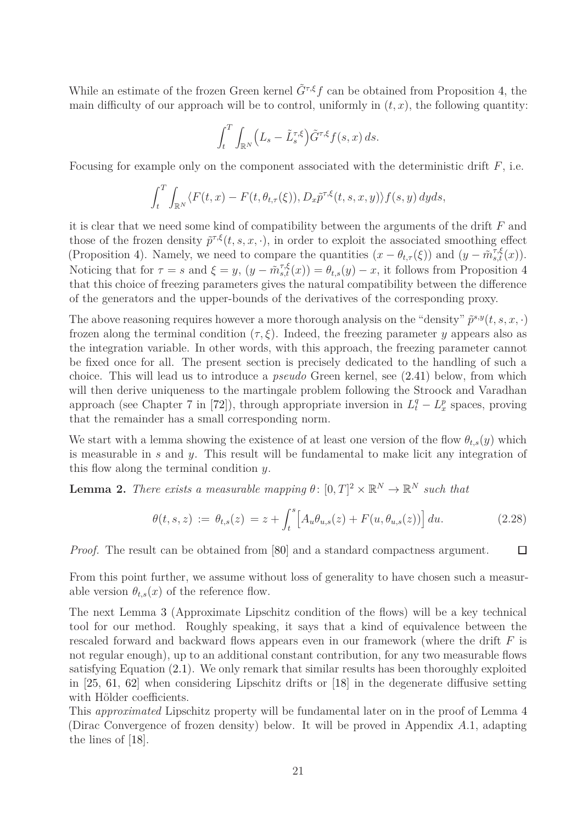While an estimate of the frozen Green kernel  $\tilde{G}^{\tau,\xi}f$  can be obtained from Proposition [4,](#page-16-0) the main difficulty of our approach will be to control, uniformly in  $(t, x)$ , the following quantity:

$$
\int_t^T \int_{\mathbb{R}^N} \left( L_s - \tilde{L}_s^{\tau,\xi} \right) \tilde{G}^{\tau,\xi} f(s,x) \, ds.
$$

Focusing for example only on the component associated with the deterministic drift *F*, i.e.

$$
\int_t^T \int_{\mathbb{R}^N} \langle F(t,x) - F(t,\theta_{t,\tau}(\xi)), D_x \tilde{p}^{\tau,\xi}(t,s,x,y) \rangle f(s,y) \, dyds,
$$

it is clear that we need some kind of compatibility between the arguments of the drift *F* and those of the frozen density  $\tilde{p}^{\tau,\xi}(t,s,x,\cdot)$ , in order to exploit the associated smoothing effect (Proposition [4\)](#page-16-0). Namely, we need to compare the quantities  $(x - \theta_{t,\tau}(\xi))$  and  $(y - \tilde{m}_{s,t}^{\tau,\xi}(x))$ . Noticing that for  $\tau = s$  and  $\xi = y$ ,  $(y - \tilde{m}_{s,t}^{\tau,\xi}(x)) = \theta_{t,s}(y) - x$ , it follows from Proposition [4](#page-16-0) that this choice of freezing parameters gives the natural compatibility between the difference of the generators and the upper-bounds of the derivatives of the corresponding proxy.

The above reasoning requires however a more thorough analysis on the "density"  $\tilde{p}^{s,y}(t, s, x, \cdot)$ frozen along the terminal condition  $(\tau, \xi)$ . Indeed, the freezing parameter *y* appears also as the integration variable. In other words, with this approach, the freezing parameter cannot be fixed once for all. The present section is precisely dedicated to the handling of such a choice. This will lead us to introduce a *pseudo* Green kernel, see [\(2.41\)](#page-25-0) below, from which will then derive uniqueness to the martingale problem following the Stroock and Varadhan approach (see Chapter 7 in [\[72\]](#page-66-0)), through appropriate inversion in  $L_t^q - L_x^p$  spaces, proving that the remainder has a small corresponding norm.

We start with a lemma showing the existence of at least one version of the flow  $\theta_{t,s}(y)$  which is measurable in *s* and *y*. This result will be fundamental to make licit any integration of this flow along the terminal condition *y*.

<span id="page-20-0"></span>**Lemma 2.** *There exists a measurable mapping*  $\theta$ :  $[0,T]^2 \times \mathbb{R}^N \to \mathbb{R}^N$  *such that* 

<span id="page-20-1"></span>
$$
\theta(t,s,z) := \theta_{t,s}(z) = z + \int_t^s \left[ A_u \theta_{u,s}(z) + F(u, \theta_{u,s}(z)) \right] du.
$$
 (2.28)

*Proof.* The result can be obtained from [\[80\]](#page-66-12) and a standard compactness argument.  $\Box$ 

From this point further, we assume without loss of generality to have chosen such a measurable version  $\theta_{t,s}(x)$  of the reference flow.

The next Lemma [3](#page-21-0) (Approximate Lipschitz condition of the flows) will be a key technical tool for our method. Roughly speaking, it says that a kind of equivalence between the rescaled forward and backward flows appears even in our framework (where the drift *F* is not regular enough), up to an additional constant contribution, for any two measurable flows satisfying Equation [\(2.1\)](#page-12-0). We only remark that similar results has been thoroughly exploited in [\[25,](#page-63-10) [61,](#page-65-14) [62\]](#page-65-15) when considering Lipschitz drifts or [\[18\]](#page-63-9) in the degenerate diffusive setting with Hölder coefficients.

This *approximated* Lipschitz property will be fundamental later on in the proof of Lemma [4](#page-27-0) (Dirac Convergence of frozen density) below. It will be proved in Appendix *A.*1, adapting the lines of [\[18\]](#page-63-9).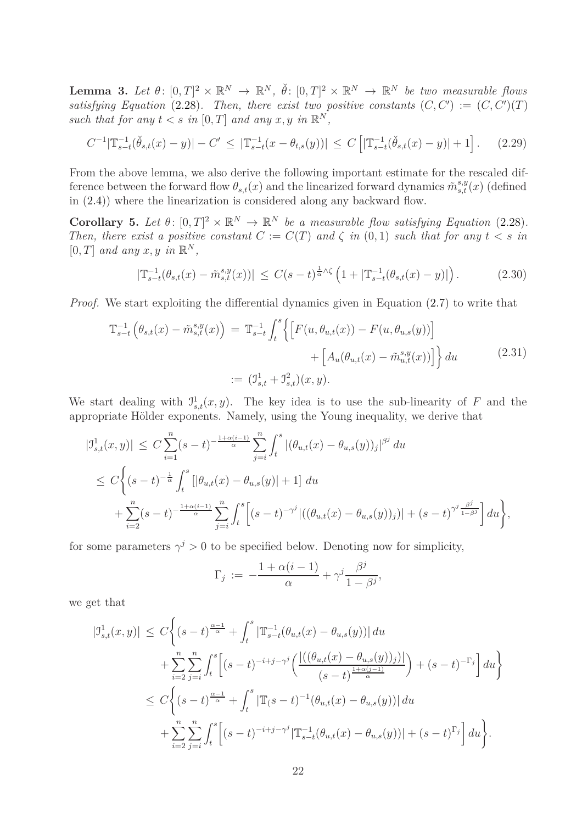<span id="page-21-0"></span>**Lemma 3.** Let  $\theta: [0,T]^2 \times \mathbb{R}^N \to \mathbb{R}^N$ ,  $\check{\theta}: [0,T]^2 \times \mathbb{R}^N \to \mathbb{R}^N$  be two measurable flows *satisfying Equation* [\(2.28\)](#page-20-1). Then, there exist two positive constants  $(C, C') := (C, C')(T)$ *such that for any*  $t < s$  *in*  $[0, T]$  *and any*  $x, y$  *in*  $\mathbb{R}^N$ *,* 

<span id="page-21-1"></span>
$$
C^{-1}|\mathbb{T}_{s-t}^{-1}(\check{\theta}_{s,t}(x)-y)|-C' \leq |\mathbb{T}_{s-t}^{-1}(x-\theta_{t,s}(y))| \leq C\left[|\mathbb{T}_{s-t}^{-1}(\check{\theta}_{s,t}(x)-y)|+1\right].
$$
 (2.29)

From the above lemma, we also derive the following important estimate for the rescaled difference between the forward flow  $\theta_{s,t}(x)$  and the linearized forward dynamics  $\tilde{m}_{s,t}^{s,y}(x)$  (defined in [\(2.4\)](#page-13-2)) where the linearization is considered along any backward flow.

<span id="page-21-4"></span>**Corollary 5.** Let  $\theta$ :  $[0,T]^2 \times \mathbb{R}^N \to \mathbb{R}^N$  be a measurable flow satisfying Equation [\(2.28\)](#page-20-1). *Then, there exist a positive constant*  $C := C(T)$  *and*  $\zeta$  *in* (0*,* 1) *such that for any*  $t < s$  *in*  $[0, T]$  *and any*  $x, y$  *in*  $\mathbb{R}^N$ *,* 

<span id="page-21-2"></span>
$$
|\mathbb{T}_{s-t}^{-1}(\theta_{s,t}(x) - \tilde{m}_{s,t}^{s,y}(x))| \le C(s-t)^{\frac{1}{\alpha}\wedge\zeta} \left(1 + |\mathbb{T}_{s-t}^{-1}(\theta_{s,t}(x) - y)|\right). \tag{2.30}
$$

<span id="page-21-3"></span>*Proof.* We start exploiting the differential dynamics given in Equation  $(2.7)$  to write that

$$
\mathbb{T}_{s-t}^{-1} \left( \theta_{s,t}(x) - \tilde{m}_{s,t}^{s,y}(x) \right) = \mathbb{T}_{s-t}^{-1} \int_{t}^{s} \left\{ \left[ F(u, \theta_{u,t}(x)) - F(u, \theta_{u,s}(y)) \right] + \left[ A_u(\theta_{u,t}(x) - \tilde{m}_{u,t}^{s,y}(x)) \right] \right\} du
$$
\n
$$
:= \left( \mathcal{I}_{s,t}^1 + \mathcal{I}_{s,t}^2 \right) (x, y).
$$
\n(2.31)

We start dealing with  $J_{s,t}^1(x, y)$ . The key idea is to use the sub-linearity of *F* and the appropriate Hölder exponents. Namely, using the Young inequality, we derive that

$$
\begin{split} |\mathcal{I}_{s,t}^{1}(x,y)| &\leq C \sum_{i=1}^{n} (s-t)^{-\frac{1+\alpha(i-1)}{\alpha}} \sum_{j=i}^{n} \int_{t}^{s} |(\theta_{u,t}(x)-\theta_{u,s}(y))_{j}|^{\beta^{j}} du \\ &\leq C \bigg\{ (s-t)^{-\frac{1}{\alpha}} \int_{t}^{s} \left[ |\theta_{u,t}(x)-\theta_{u,s}(y)|+1 \right] du \\ &+ \sum_{i=2}^{n} (s-t)^{-\frac{1+\alpha(i-1)}{\alpha}} \sum_{j=i}^{n} \int_{t}^{s} \left[ (s-t)^{-\gamma^{j}} |((\theta_{u,t}(x)-\theta_{u,s}(y))_{j})| + (s-t)^{\gamma^{j}} \frac{\beta^{j}}{1-\beta^{j}} \right] du \bigg\}, \end{split}
$$

for some parameters  $\gamma^j > 0$  to be specified below. Denoting now for simplicity,

$$
\Gamma_j \, := \, -\frac{1+\alpha(i-1)}{\alpha} + \gamma^j \frac{\beta^j}{1-\beta^j},
$$

we get that

$$
\begin{split} |\mathbb{J}_{s,t}^{1}(x,y)| &\leq C\bigg\{(s-t)^{\frac{\alpha-1}{\alpha}}+\int_{t}^{s}|\mathbb{T}_{s-t}^{-1}(\theta_{u,t}(x)-\theta_{u,s}(y))|\,du \\ &+\sum_{i=2}^{n}\sum_{j=i}^{n}\int_{t}^{s}\Big[(s-t)^{-i+j-\gamma^{j}}\Big(\frac{|((\theta_{u,t}(x)-\theta_{u,s}(y))_{j})|}{(s-t)^{\frac{1+\alpha(j-1)}{\alpha}}}\Big)+(s-t)^{-\Gamma_{j}}\Big]\,du\bigg\} \\ &\leq C\bigg\{(s-t)^{\frac{\alpha-1}{\alpha}}+\int_{t}^{s}|\mathbb{T}_{(s)}^{-1}(s-t)^{-1}(\theta_{u,t}(x)-\theta_{u,s}(y))|\,du \\ &+\sum_{i=2}^{n}\sum_{j=i}^{n}\int_{t}^{s}\Big[(s-t)^{-i+j-\gamma^{j}}|\mathbb{T}_{s-t}^{-1}(\theta_{u,t}(x)-\theta_{u,s}(y))|+(s-t)^{\Gamma_{j}}\Big]\,du\bigg\}. \end{split}
$$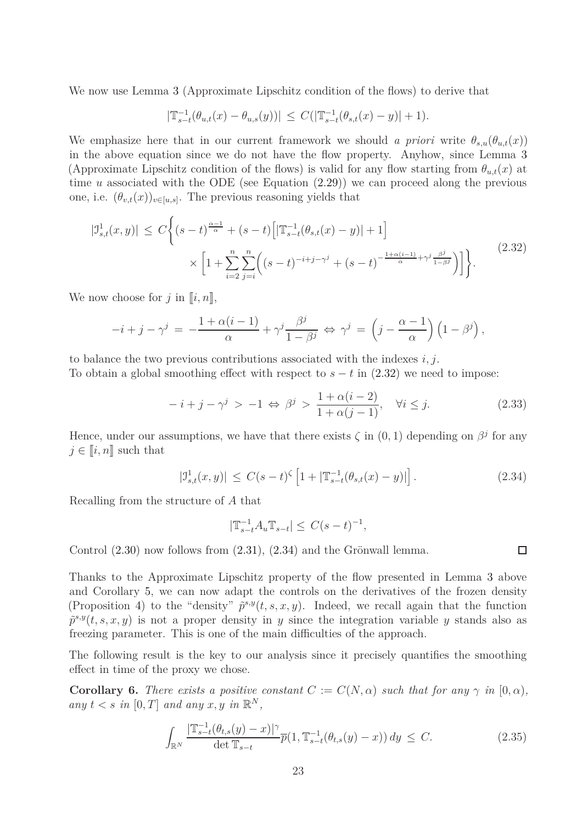We now use Lemma [3](#page-21-0) (Approximate Lipschitz condition of the flows) to derive that

$$
|\mathbb{T}_{s-t}^{-1}(\theta_{u,t}(x)-\theta_{u,s}(y))| \leq C(|\mathbb{T}_{s-t}^{-1}(\theta_{s,t}(x)-y)|+1).
$$

We emphasize here that in our current framework we should *a priori* write  $\theta_{s,u}(\theta_{u,t}(x))$ in the above equation since we do not have the flow property. Anyhow, since Lemma [3](#page-21-0) (Approximate Lipschitz condition of the flows) is valid for any flow starting from  $\theta_{u,t}(x)$  at time *u* associated with the ODE (see Equation  $(2.29)$ ) we can proceed along the previous one, i.e.  $(\theta_{v,t}(x))_{v \in [u,s]}$ . The previous reasoning yields that

<span id="page-22-0"></span>
$$
|\mathcal{I}_{s,t}^{1}(x,y)| \leq C \Biggl\{ (s-t)^{\frac{\alpha-1}{\alpha}} + (s-t) \Biggl[ |\mathbb{T}_{s-t}^{-1}(\theta_{s,t}(x)-y)| + 1 \Biggr] \times \Biggl[ 1 + \sum_{i=2}^{n} \sum_{j=i}^{n} \Bigl( (s-t)^{-i+j-\gamma^{j}} + (s-t)^{-\frac{1+\alpha(i-1)}{\alpha}+\gamma^{j} \frac{\beta^{j}}{1-\beta^{j}}} \Bigr) \Biggr] \Biggr\}.
$$
 (2.32)

We now choose for  $j$  in  $\llbracket i, n \rrbracket$ ,

$$
-i + j - \gamma^{j} = -\frac{1 + \alpha(i - 1)}{\alpha} + \gamma^{j} \frac{\beta^{j}}{1 - \beta^{j}} \Leftrightarrow \gamma^{j} = \left(j - \frac{\alpha - 1}{\alpha}\right) \left(1 - \beta^{j}\right),
$$

to balance the two previous contributions associated with the indexes *i, j*.

To obtain a global smoothing effect with respect to  $s - t$  in [\(2.32\)](#page-22-0) we need to impose:

<span id="page-22-2"></span>
$$
-i + j - \gamma^j > -1 \Leftrightarrow \beta^j > \frac{1 + \alpha(i - 2)}{1 + \alpha(j - 1)}, \quad \forall i \le j.
$$
 (2.33)

Hence, under our assumptions, we have that there exists  $\zeta$  in  $(0, 1)$  depending on  $\beta^j$  for any  $j \in \llbracket i, n \rrbracket$  such that

<span id="page-22-1"></span>
$$
|\mathcal{I}_{s,t}^{1}(x,y)| \leq C(s-t)^{\zeta} \left[1 + |\mathbb{T}_{s-t}^{-1}(\theta_{s,t}(x)-y)|\right].
$$
 (2.34)

Recalling from the structure of *A* that

$$
|\mathbb{T}_{s-t}^{-1}A_u \mathbb{T}_{s-t}| \leq C(s-t)^{-1},
$$

Control [\(2.30\)](#page-21-2) now follows from [\(2.31\)](#page-21-3), [\(2.34\)](#page-22-1) and the Grönwall lemma.

Thanks to the Approximate Lipschitz property of the flow presented in Lemma [3](#page-21-0) above and Corollary [5,](#page-21-4) we can now adapt the controls on the derivatives of the frozen density (Proposition [4\)](#page-16-0) to the "density"  $\tilde{p}^{s,y}(t,s,x,y)$ . Indeed, we recall again that the function  $\tilde{p}^{s,y}(t,s,x,y)$  is not a proper density in *y* since the integration variable *y* stands also as freezing parameter. This is one of the main difficulties of the approach.

The following result is the key to our analysis since it precisely quantifies the smoothing effect in time of the proxy we chose.

<span id="page-22-4"></span>**Corollary 6.** *There exists a positive constant*  $C := C(N, \alpha)$  *such that for any*  $\gamma$  *in*  $[0, \alpha)$ *, any*  $t < s$  *in*  $[0, T]$  *and any*  $x, y$  *in*  $\mathbb{R}^N$ *,* 

<span id="page-22-3"></span>
$$
\int_{\mathbb{R}^N} \frac{|\mathbb{T}_{s-t}^{-1}(\theta_{t,s}(y) - x)|^{\gamma}}{\det \mathbb{T}_{s-t}} \overline{p}(1, \mathbb{T}_{s-t}^{-1}(\theta_{t,s}(y) - x)) dy \le C.
$$
 (2.35)

 $\Box$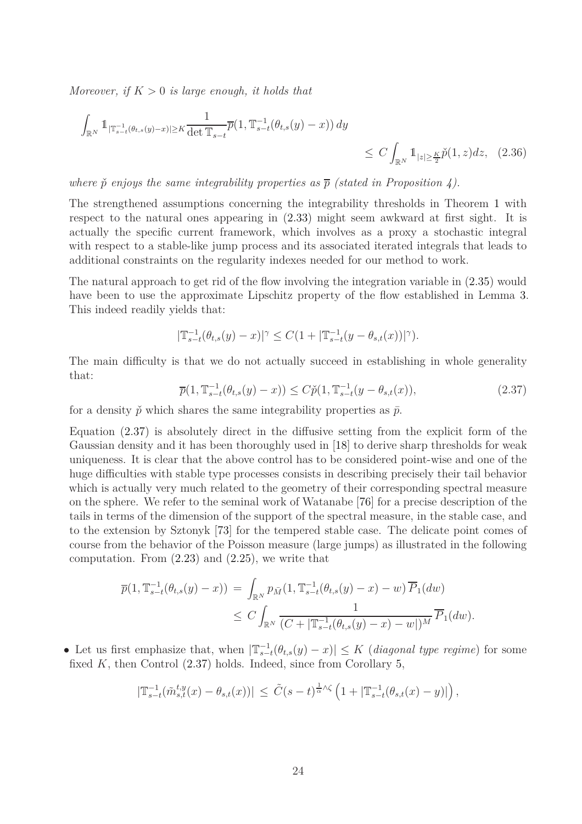*Moreover, if K >* 0 *is large enough, it holds that*

$$
\int_{\mathbb{R}^N} \mathbb{1}_{|\mathbb{T}_{s-t}^{-1}(\theta_{t,s}(y)-x)| \ge K} \frac{1}{\det \mathbb{T}_{s-t}} \overline{p}(1, \mathbb{T}_{s-t}^{-1}(\theta_{t,s}(y)-x)) dy \le C \int_{\mathbb{R}^N} \mathbb{1}_{|z| \ge \frac{K}{2}} \check{p}(1, z) dz, \quad (2.36)
$$

*where*  $\check{p}$  *enjoys the same integrability properties as*  $\overline{p}$  *(stated in Proposition [4\)](#page-16-0).* 

The strengthened assumptions concerning the integrability thresholds in Theorem [1](#page-10-0) with respect to the natural ones appearing in [\(2.33\)](#page-22-2) might seem awkward at first sight. It is actually the specific current framework, which involves as a proxy a stochastic integral with respect to a stable-like jump process and its associated iterated integrals that leads to additional constraints on the regularity indexes needed for our method to work.

The natural approach to get rid of the flow involving the integration variable in [\(2.35\)](#page-22-3) would have been to use the approximate Lipschitz property of the flow established in Lemma [3.](#page-21-0) This indeed readily yields that:

<span id="page-23-1"></span>
$$
|\mathbb{T}_{s-t}^{-1}(\theta_{t,s}(y)-x)|^{\gamma} \leq C(1+|\mathbb{T}_{s-t}^{-1}(y-\theta_{s,t}(x))|^{\gamma}).
$$

The main difficulty is that we do not actually succeed in establishing in whole generality that:

<span id="page-23-0"></span>
$$
\overline{p}(1, \mathbb{T}_{s-t}^{-1}(\theta_{t,s}(y) - x)) \le C\check{p}(1, \mathbb{T}_{s-t}^{-1}(y - \theta_{s,t}(x))), \tag{2.37}
$$

for a density  $\check{p}$  which shares the same integrability properties as  $\bar{p}$ .

Equation [\(2.37\)](#page-23-0) is absolutely direct in the diffusive setting from the explicit form of the Gaussian density and it has been thoroughly used in [\[18\]](#page-63-9) to derive sharp thresholds for weak uniqueness. It is clear that the above control has to be considered point-wise and one of the huge difficulties with stable type processes consists in describing precisely their tail behavior which is actually very much related to the geometry of their corresponding spectral measure on the sphere. We refer to the seminal work of Watanabe [\[76\]](#page-66-4) for a precise description of the tails in terms of the dimension of the support of the spectral measure, in the stable case, and to the extension by Sztonyk [\[73\]](#page-66-13) for the tempered stable case. The delicate point comes of course from the behavior of the Poisson measure (large jumps) as illustrated in the following computation. From  $(2.23)$  and  $(2.25)$ , we write that

$$
\overline{p}(1, \mathbb{T}_{s-t}^{-1}(\theta_{t,s}(y) - x)) = \int_{\mathbb{R}^N} p_{\bar{M}}(1, \mathbb{T}_{s-t}^{-1}(\theta_{t,s}(y) - x) - w) \overline{P}_1(dw)
$$
  
\n
$$
\leq C \int_{\mathbb{R}^N} \frac{1}{(C + |\mathbb{T}_{s-t}^{-1}(\theta_{t,s}(y) - x) - w|)^M} \overline{P}_1(dw).
$$

• Let us first emphasize that, when  $|\mathbb{T}_{s-t}^{-1}(\theta_{t,s}(y)-x)| \leq K$  (*diagonal type regime*) for some fixed *K*, then Control [\(2.37\)](#page-23-0) holds. Indeed, since from Corollary [5,](#page-21-4)

$$
|\mathbb{T}_{s-t}^{-1}(\tilde{m}_{s,t}^{t,y}(x)-\theta_{s,t}(x))|\leq \tilde{C}(s-t)^{\frac{1}{\alpha}\wedge\zeta}\left(1+|\mathbb{T}_{s-t}^{-1}(\theta_{s,t}(x)-y)|\right),
$$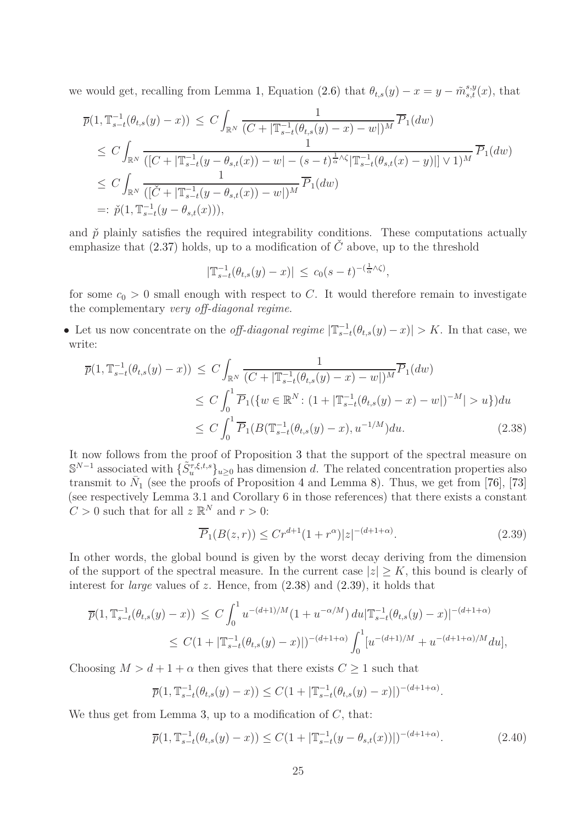we would get, recalling from Lemma [1,](#page-13-6) Equation [\(2.6\)](#page-13-3) that  $\theta_{t,s}(y) - x = y - \tilde{m}_{s,t}^{s,y}(x)$ , that

$$
\overline{p}(1, \mathbb{T}_{s-t}^{-1}(\theta_{t,s}(y) - x)) \leq C \int_{\mathbb{R}^N} \frac{1}{(C + |\mathbb{T}_{s-t}^{-1}(\theta_{t,s}(y) - x) - w|)^M} \overline{P}_1(dw)
$$
\n
$$
\leq C \int_{\mathbb{R}^N} \frac{1}{([C + |\mathbb{T}_{s-t}^{-1}(y - \theta_{s,t}(x)) - w| - (s - t)^{\frac{1}{\alpha} \wedge \zeta} |\mathbb{T}_{s-t}^{-1}(\theta_{s,t}(x) - y)|] \vee 1)^M} \overline{P}_1(dw)
$$
\n
$$
\leq C \int_{\mathbb{R}^N} \frac{1}{([\check{C} + |\mathbb{T}_{s-t}^{-1}(y - \theta_{s,t}(x)) - w|)^M} \overline{P}_1(dw)
$$
\n
$$
=: \check{p}(1, \mathbb{T}_{s-t}^{-1}(y - \theta_{s,t}(x))),
$$

and  $\check{p}$  plainly satisfies the required integrability conditions. These computations actually emphasize that  $(2.37)$  holds, up to a modification of  $\check{C}$  above, up to the threshold

$$
|\mathbb{T}_{s-t}^{-1}(\theta_{t,s}(y)-x)| \leq c_0(s-t)^{-(\frac{1}{\alpha}\wedge\zeta)},
$$

for some  $c_0 > 0$  small enough with respect to *C*. It would therefore remain to investigate the complementary *very off-diagonal regime*.

• Let us now concentrate on the *off-diagonal regime*  $|\mathbb{T}_{s-t}^{-1}(\theta_{t,s}(y)-x)| > K$ . In that case, we write:

$$
\overline{p}(1, \mathbb{T}_{s-t}^{-1}(\theta_{t,s}(y) - x)) \le C \int_{\mathbb{R}^N} \frac{1}{(C + |\mathbb{T}_{s-t}^{-1}(\theta_{t,s}(y) - x) - w|)^M} \overline{P}_1(dw)
$$
\n
$$
\le C \int_0^1 \overline{P}_1(\{w \in \mathbb{R}^N : (1 + |\mathbb{T}_{s-t}^{-1}(\theta_{t,s}(y) - x) - w|)^{-M}| > u\}) du
$$
\n
$$
\le C \int_0^1 \overline{P}_1(B(\mathbb{T}_{s-t}^{-1}(\theta_{t,s}(y) - x), u^{-1/M}) du. \tag{2.38}
$$

It now follows from the proof of Proposition [3](#page-14-0) that the support of the spectral measure on  $\mathbb{S}^{N-1}$  associated with  $\{\tilde{S}_u^{\tau,\xi,t,s}\}_{u\geq 0}$  has dimension *d*. The related concentration properties also transmit to  $\bar{N}_1$  (see the proofs of Proposition [4](#page-16-0) and Lemma [8\)](#page-45-0). Thus, we get from [\[76\]](#page-66-4), [\[73\]](#page-66-13) (see respectively Lemma 3.1 and Corollary 6 in those references) that there exists a constant  $C > 0$  such that for all  $z \mathbb{R}^N$  and  $r > 0$ :

<span id="page-24-1"></span><span id="page-24-0"></span>
$$
\overline{P}_1(B(z,r)) \le Cr^{d+1}(1+r^{\alpha})|z|^{-(d+1+\alpha)}.\tag{2.39}
$$

In other words, the global bound is given by the worst decay deriving from the dimension of the support of the spectral measure. In the current case  $|z| \geq K$ , this bound is clearly of interest for *large* values of *z*. Hence, from  $(2.38)$  and  $(2.39)$ , it holds that

$$
\overline{p}(1, \mathbb{T}_{s-t}^{-1}(\theta_{t,s}(y) - x)) \le C \int_0^1 u^{-(d+1)/M} (1 + u^{-\alpha/M}) du |\mathbb{T}_{s-t}^{-1}(\theta_{t,s}(y) - x)|^{-(d+1+\alpha)} \le C(1 + |\mathbb{T}_{s-t}^{-1}(\theta_{t,s}(y) - x)|)^{-(d+1+\alpha)} \int_0^1 [u^{-(d+1)/M} + u^{-(d+1+\alpha)/M} du],
$$

Choosing  $M > d + 1 + \alpha$  then gives that there exists  $C \geq 1$  such that

$$
\overline{p}(1, \mathbb{T}_{s-t}^{-1}(\theta_{t,s}(y)-x)) \leq C(1+|\mathbb{T}_{s-t}^{-1}(\theta_{t,s}(y)-x)|)^{-(d+1+\alpha)}.
$$

We thus get from Lemma [3,](#page-21-0) up to a modification of *C*, that:

<span id="page-24-2"></span>
$$
\overline{p}(1, \mathbb{T}_{s-t}^{-1}(\theta_{t,s}(y) - x)) \le C(1 + |\mathbb{T}_{s-t}^{-1}(y - \theta_{s,t}(x))|)^{-(d+1+\alpha)}.
$$
\n(2.40)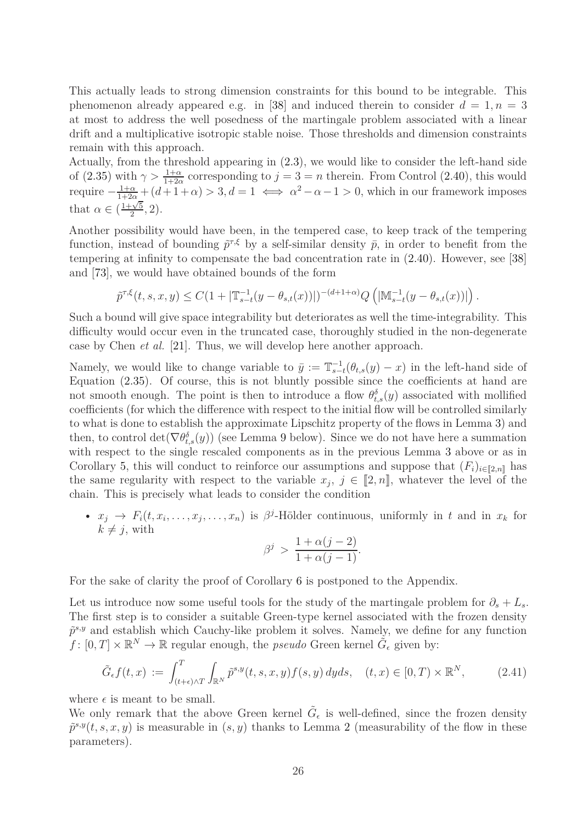This actually leads to strong dimension constraints for this bound to be integrable. This phenomenon already appeared e.g. in [\[38\]](#page-64-8) and induced therein to consider  $d = 1, n = 3$ at most to address the well posedness of the martingale problem associated with a linear drift and a multiplicative isotropic stable noise. Those thresholds and dimension constraints remain with this approach.

Actually, from the threshold appearing in [\(2.3\)](#page-13-4), we would like to consider the left-hand side of [\(2.35\)](#page-22-3) with  $\gamma > \frac{1+\alpha}{1+2\alpha}$  corresponding to  $j = 3 = n$  therein. From Control [\(2.40\)](#page-24-2), this would require  $-\frac{1+\alpha}{1+2\alpha} + (d+1+\alpha) > 3, d = 1 \iff \alpha^2 - \alpha - 1 > 0$ , which in our framework imposes that  $\alpha \in \left(\frac{1+\sqrt{5}}{2}\right)$  $\frac{1}{2}$ , 2).

Another possibility would have been, in the tempered case, to keep track of the tempering function, instead of bounding  $\tilde{p}^{\tau,\xi}$  by a self-similar density  $\bar{p}$ , in order to benefit from the tempering at infinity to compensate the bad concentration rate in [\(2.40\)](#page-24-2). However, see [\[38\]](#page-64-8) and [\[73\]](#page-66-13), we would have obtained bounds of the form

$$
\tilde{p}^{\tau,\xi}(t,s,x,y)\leq C(1+|\mathbb{T}_{s-t}^{-1}(y-\theta_{s,t}(x))|)^{-(d+1+\alpha)}Q\left(|\mathbb{M}_{s-t}^{-1}(y-\theta_{s,t}(x))|\right).
$$

Such a bound will give space integrability but deteriorates as well the time-integrability. This difficulty would occur even in the truncated case, thoroughly studied in the non-degenerate case by Chen *et al.* [\[21\]](#page-63-13). Thus, we will develop here another approach.

Namely, we would like to change variable to  $\bar{y} := \mathbb{T}_{s-t}^{-1}(\theta_{t,s}(y) - x)$  in the left-hand side of Equation [\(2.35\)](#page-22-3). Of course, this is not bluntly possible since the coefficients at hand are not smooth enough. The point is then to introduce a flow  $\theta_{t,s}^{\delta}(y)$  associated with mollified coefficients (for which the difference with respect to the initial flow will be controlled similarly to what is done to establish the approximate Lipschitz property of the flows in Lemma [3\)](#page-21-0) and then, to control  $\det(\nabla \theta_{t,s}^{\delta}(y))$  (see Lemma [9](#page-59-0) below). Since we do not have here a summation with respect to the single rescaled components as in the previous Lemma [3](#page-21-0) above or as in Corollary [5,](#page-21-4) this will conduct to reinforce our assumptions and suppose that  $(F_i)_{i\in[\![2,n]\!]}$  has the same regularity with respect to the variable  $x_j$ ,  $j \in [2, n]$ , whatever the level of the chain. This is precisely what leads to consider the condition

•  $x_j \rightarrow F_i(t, x_i, \ldots, x_j, \ldots, x_n)$  is  $\beta^j$ -Hölder continuous, uniformly in *t* and in  $x_k$  for  $k \neq j$ , with

$$
\beta^j > \frac{1 + \alpha(j-2)}{1 + \alpha(j-1)}.
$$

For the sake of clarity the proof of Corollary [6](#page-22-4) is postponed to the Appendix.

Let us introduce now some useful tools for the study of the martingale problem for  $\partial_s + L_s$ . The first step is to consider a suitable Green-type kernel associated with the frozen density  $\tilde{p}^{s,y}$  and establish which Cauchy-like problem it solves. Namely, we define for any function  $f: [0,T] \times \mathbb{R}^N \to \mathbb{R}$  regular enough, the *pseudo* Green kernel  $\tilde{G}_{\epsilon}$  given by:

<span id="page-25-0"></span>
$$
\tilde{G}_{\epsilon}f(t,x) := \int_{(t+\epsilon)\wedge T}^{T} \int_{\mathbb{R}^N} \tilde{p}^{s,y}(t,s,x,y) f(s,y) \, dyds, \quad (t,x) \in [0,T) \times \mathbb{R}^N, \tag{2.41}
$$

where  $\epsilon$  is meant to be small.

We only remark that the above Green kernel  $\tilde{G}_{\epsilon}$  is well-defined, since the frozen density  $\tilde{p}^{s,y}(t,s,x,y)$  is measurable in  $(s, y)$  thanks to Lemma [2](#page-20-0) (measurability of the flow in these parameters).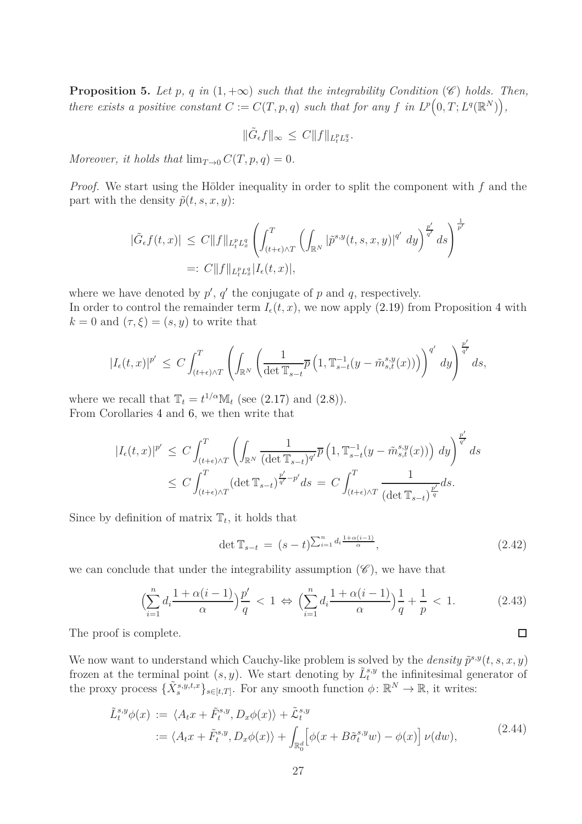<span id="page-26-3"></span>**Proposition 5.** *Let*  $p$ *,*  $q$  *in*  $(1, +\infty)$  *such that the integrability Condition* ( $\mathscr{C}$ ) *holds. Then, there exists a positive constant*  $C := C(T, p, q)$  *such that for any*  $f$  *in*  $L^p(0, T; L^q(\mathbb{R}^N))$ ,

$$
\|\tilde{G}_{\epsilon}f\|_{\infty} \leq C \|f\|_{L_t^p L_x^q}.
$$

*Moreover, it holds that*  $\lim_{T\to 0} C(T, p, q) = 0$ *.* 

*Proof.* We start using the Hölder inequality in order to split the component with *f* and the part with the density  $\tilde{p}(t, s, x, y)$ :

$$
\begin{aligned} |\tilde{G}_{\epsilon}f(t,x)| &\leq C\|f\|_{L_t^p L_x^q} \left( \int_{(t+\epsilon)\wedge T}^T \left( \int_{\mathbb{R}^N} |\tilde{p}^{s,y}(t,s,x,y)|^{q'} \ dy \right)^{\frac{p'}{q'}} ds \right)^{\frac{1}{p'}}\\ &=: C\|f\|_{L_t^p L_x^q} |I_{\epsilon}(t,x)|, \end{aligned}
$$

where we have denoted by  $p'$ ,  $q'$  the conjugate of  $p$  and  $q$ , respectively.

In order to control the remainder term  $I_{\epsilon}(t, x)$ , we now apply [\(2.19\)](#page-16-1) from Proposition [4](#page-16-0) with  $k = 0$  and  $(\tau, \xi) = (s, y)$  to write that

$$
|I_\epsilon(t,x)|^{p'}\,\leq\,C\int_{(t+\epsilon)\wedge T}^T\left(\int_{\mathbb{R}^N}\left(\frac{1}{\det\mathbb{T}_{s-t}}\overline{p}\left(1,\mathbb{T}_{s-t}^{-1}(y-\tilde{m}_{s,t}^{s,y}(x))\right)\right)^{q'}\,dy\right)^{\frac{p'}{q'}}ds,
$$

where we recall that  $\mathbb{T}_t = t^{1/\alpha} \mathbb{M}_t$  (see [\(2.17\)](#page-16-4) and [\(2.8\)](#page-14-1)). From Corollaries [4](#page-18-0) and [6,](#page-22-4) we then write that

$$
\begin{split} |I_{\epsilon}(t,x)|^{p'} &\leq C\int_{(t+\epsilon)\wedge T}^{T}\left(\int_{\mathbb{R}^{N}}\frac{1}{(\det\mathbb{T}_{s-t})^{q'}}\overline{p}\left(1,\mathbb{T}_{s-t}^{-1}(y-\tilde{m}_{s,t}^{s,y}(x))\right)\,dy\right)^{\frac{p'}{q'}}ds\\ &\leq C\int_{(t+\epsilon)\wedge T}^{T}(\det\mathbb{T}_{s-t})^{\frac{p'}{q'}-p'}ds\,=\,C\int_{(t+\epsilon)\wedge T}^{T}\frac{1}{(\det\mathbb{T}_{s-t})^{\frac{p'}{q}}}ds. \end{split}
$$

Since by definition of matrix  $\mathbb{T}_t$ , it holds that

<span id="page-26-2"></span>
$$
\det \mathbb{T}_{s-t} = (s-t)^{\sum_{i=1}^{n} d_i \frac{1+\alpha(i-1)}{\alpha}}, \tag{2.42}
$$

we can conclude that under the integrability assumption  $(\mathscr{C})$ , we have that

<span id="page-26-0"></span>
$$
\left(\sum_{i=1}^{n} d_i \frac{1+\alpha(i-1)}{\alpha}\right) \frac{p'}{q} < 1 \Leftrightarrow \left(\sum_{i=1}^{n} d_i \frac{1+\alpha(i-1)}{\alpha}\right) \frac{1}{q} + \frac{1}{p} < 1. \tag{2.43}
$$

The proof is complete.

We now want to understand which Cauchy-like problem is solved by the *density*  $\tilde{p}^{s,y}(t, s, x, y)$ frozen at the terminal point  $(s, y)$ . We start denoting by  $\tilde{L}_t^{s,y}$  the infinitesimal generator of the proxy process  $\{\tilde{X}_{s}^{s,y,t,x}\}_{s\in[t,T]}$ . For any smooth function  $\phi: \mathbb{R}^{N} \to \mathbb{R}$ , it writes:

<span id="page-26-1"></span>
$$
\tilde{L}_t^{s,y}\phi(x) := \langle A_t x + \tilde{F}_t^{s,y}, D_x \phi(x) \rangle + \tilde{\mathcal{L}}_t^{s,y}
$$
\n
$$
:= \langle A_t x + \tilde{F}_t^{s,y}, D_x \phi(x) \rangle + \int_{\mathbb{R}_0^d} \left[ \phi(x + B \tilde{\sigma}_t^{s,y} w) - \phi(x) \right] \nu(dw), \tag{2.44}
$$

 $\Box$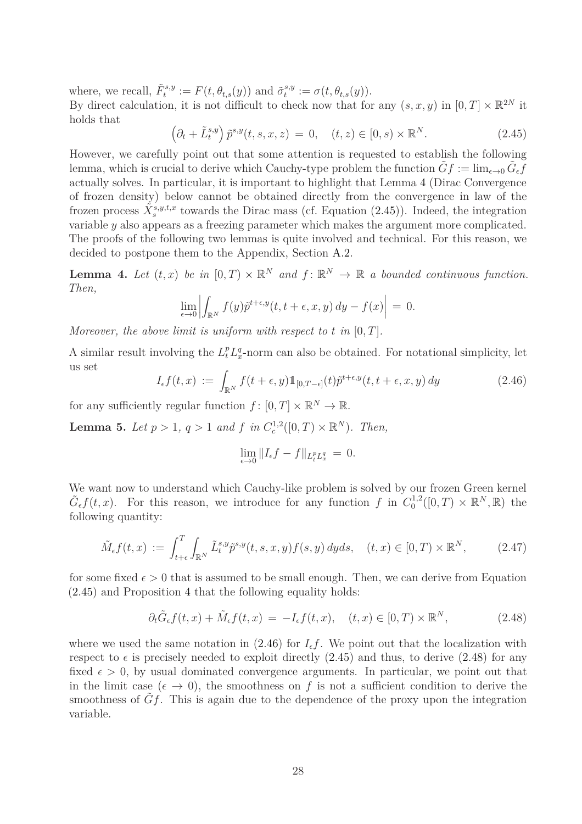where, we recall,  $\tilde{F}^{s,y}_t := F(t, \theta_{t,s}(y))$  and  $\tilde{\sigma}^{s,y}_t$  $t^{s,y} := \sigma(t, \theta_{t,s}(y)).$ 

By direct calculation, it is not difficult to check now that for any  $(s, x, y)$  in  $[0, T] \times \mathbb{R}^{2N}$  it holds that

<span id="page-27-1"></span>
$$
\left(\partial_t + \tilde{L}_t^{s,y}\right)\tilde{p}^{s,y}(t,s,x,z) = 0, \quad (t,z) \in [0,s) \times \mathbb{R}^N. \tag{2.45}
$$

However, we carefully point out that some attention is requested to establish the following lemma, which is crucial to derive which Cauchy-type problem the function  $\tilde{G}f := \lim_{\epsilon \to 0} \tilde{G}_{\epsilon}f$ actually solves. In particular, it is important to highlight that Lemma [4](#page-27-0) (Dirac Convergence of frozen density) below cannot be obtained directly from the convergence in law of the frozen process  $\tilde{X}_{s}^{s,y,t,x}$  towards the Dirac mass (cf. Equation [\(2.45\)](#page-27-1)). Indeed, the integration variable *y* also appears as a freezing parameter which makes the argument more complicated. The proofs of the following two lemmas is quite involved and technical. For this reason, we decided to postpone them to the Appendix, Section [A.2.](#page-48-0)

<span id="page-27-0"></span>**Lemma 4.** Let  $(t, x)$  be in  $[0, T) \times \mathbb{R}^N$  and  $f: \mathbb{R}^N \to \mathbb{R}$  a bounded continuous function. *Then,*

$$
\lim_{\epsilon \to 0} \left| \int_{\mathbb{R}^N} f(y) \tilde{p}^{t+\epsilon, y}(t, t+\epsilon, x, y) dy - f(x) \right| = 0.
$$

*Moreover, the above limit is uniform with respect to t in* [0*, T*]*.*

A similar result involving the  $L_t^p L_x^q$ -norm can also be obtained. For notational simplicity, let us set

<span id="page-27-2"></span>
$$
I_{\epsilon}f(t,x) := \int_{\mathbb{R}^N} f(t+\epsilon,y) \mathbb{1}_{[0,T-\epsilon]}(t) \tilde{p}^{t+\epsilon,y}(t,t+\epsilon,x,y) dy \qquad (2.46)
$$

for any sufficiently regular function  $f: [0, T] \times \mathbb{R}^N \to \mathbb{R}$ .

<span id="page-27-5"></span>**Lemma 5.** *Let*  $p > 1$ *,*  $q > 1$  *and*  $f$  *in*  $C_c^{1,2}([0, T) \times \mathbb{R}^N)$ *. Then,* 

$$
\lim_{\epsilon \to 0} \|I_{\epsilon}f - f\|_{L_t^p L_x^q} = 0.
$$

We want now to understand which Cauchy-like problem is solved by our frozen Green kernel  $\tilde{G}_{\epsilon}f(t,x)$ . For this reason, we introduce for any function *f* in  $C_0^{1,2}$  $\mathbb{R}^{1,2}([0,T)\times\mathbb{R}^{N},\mathbb{R})$  the following quantity:

<span id="page-27-4"></span>
$$
\tilde{M}_{\epsilon}f(t,x) := \int_{t+\epsilon}^{T} \int_{\mathbb{R}^N} \tilde{L}_t^{s,y} \tilde{p}^{s,y}(t,s,x,y) f(s,y) \, dyds, \quad (t,x) \in [0,T) \times \mathbb{R}^N, \tag{2.47}
$$

for some fixed  $\epsilon > 0$  that is assumed to be small enough. Then, we can derive from Equation [\(2.45\)](#page-27-1) and Proposition [4](#page-16-0) that the following equality holds:

<span id="page-27-3"></span>
$$
\partial_t \tilde{G}_{\epsilon} f(t, x) + \tilde{M}_{\epsilon} f(t, x) = -I_{\epsilon} f(t, x), \quad (t, x) \in [0, T) \times \mathbb{R}^N, \tag{2.48}
$$

where we used the same notation in  $(2.46)$  for  $I<sub>ef</sub>$ . We point out that the localization with respect to  $\epsilon$  is precisely needed to exploit directly [\(2.45\)](#page-27-1) and thus, to derive [\(2.48\)](#page-27-3) for any fixed  $\epsilon > 0$ , by usual dominated convergence arguments. In particular, we point out that in the limit case  $(\epsilon \to 0)$ , the smoothness on f is not a sufficient condition to derive the smoothness of *Gf*. This is again due to the dependence of the proxy upon the integration variable.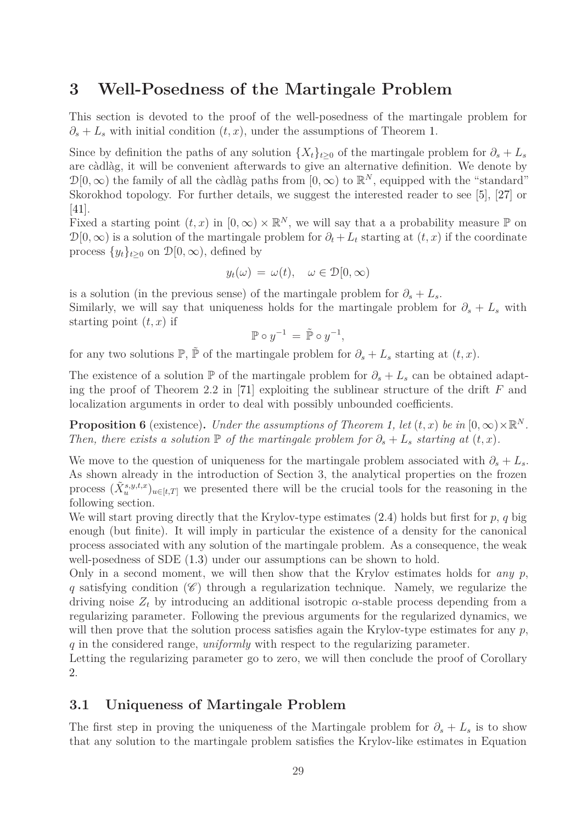## **3 Well-Posedness of the Martingale Problem**

This section is devoted to the proof of the well-posedness of the martingale problem for  $\partial_s + L_s$  with initial condition  $(t, x)$ , under the assumptions of Theorem [1.](#page-10-0)

Since by definition the paths of any solution  $\{X_t\}_{t\geq 0}$  of the martingale problem for  $\partial_s + L_s$ are càdlàg, it will be convenient afterwards to give an alternative definition. We denote by  $\mathcal{D}[0,\infty)$  the family of all the càdlàg paths from  $[0,\infty)$  to  $\mathbb{R}^N$ , equipped with the "standard" Skorokhod topology. For further details, we suggest the interested reader to see [\[5\]](#page-62-13), [\[27\]](#page-63-11) or [\[41\]](#page-64-17).

Fixed a starting point  $(t, x)$  in  $[0, \infty) \times \mathbb{R}^N$ , we will say that a a probability measure  $\mathbb P$  on  $\mathcal{D}[0,\infty)$  is a solution of the martingale problem for  $\partial_t + L_t$  starting at  $(t, x)$  if the coordinate process  $\{y_t\}_{t>0}$  on  $\mathcal{D}[0,\infty)$ , defined by

$$
y_t(\omega) = \omega(t), \quad \omega \in \mathcal{D}[0, \infty)
$$

is a solution (in the previous sense) of the martingale problem for  $\partial_s + L_s$ . Similarly, we will say that uniqueness holds for the martingale problem for  $\partial_s + L_s$  with starting point (*t, x*) if

$$
\mathbb{P}\circ y^{-1} = \tilde{\mathbb{P}}\circ y^{-1},
$$

for any two solutions  $\mathbb{P}, \tilde{\mathbb{P}}$  of the martingale problem for  $\partial_s + L_s$  starting at  $(t, x)$ .

The existence of a solution  $\mathbb{P}$  of the martingale problem for  $\partial_s + L_s$  can be obtained adapting the proof of Theorem 2*.*2 in [\[71\]](#page-66-11) exploiting the sublinear structure of the drift *F* and localization arguments in order to deal with possibly unbounded coefficients.

**Proposition 6** (existence). *Under the assumptions of Theorem [1,](#page-10-0) let*  $(t, x)$  *be in*  $[0, \infty) \times \mathbb{R}^N$ *. Then, there exists a solution*  $\mathbb P$  *of the martingale problem for*  $\partial_s + L_s$  *starting at*  $(t, x)$ *.* 

We move to the question of uniqueness for the martingale problem associated with  $\partial_s + L_s$ . As shown already in the introduction of Section 3, the analytical properties on the frozen process  $(\tilde{X}_{u}^{s,y,t,x})_{u\in[t,T]}$  we presented there will be the crucial tools for the reasoning in the following section.

We will start proving directly that the Krylov-type estimates [\(2.4\)](#page-13-2) holds but first for *p*, *q* big enough (but finite). It will imply in particular the existence of a density for the canonical process associated with any solution of the martingale problem. As a consequence, the weak well-posedness of SDE  $(1.3)$  under our assumptions can be shown to hold.

Only in a second moment, we will then show that the Krylov estimates holds for *any*  $p$ ,  $q$  satisfying condition  $(\mathscr{C})$  through a regularization technique. Namely, we regularize the driving noise  $Z_t$  by introducing an additional isotropic  $\alpha$ -stable process depending from a regularizing parameter. Following the previous arguments for the regularized dynamics, we will then prove that the solution process satisfies again the Krylov-type estimates for any  $p$ , *q* in the considered range, *uniformly* with respect to the regularizing parameter.

Letting the regularizing parameter go to zero, we will then conclude the proof of Corollary [2.](#page-11-1)

#### **3.1 Uniqueness of Martingale Problem**

The first step in proving the uniqueness of the Martingale problem for  $\partial_s + L_s$  is to show that any solution to the martingale problem satisfies the Krylov-like estimates in Equation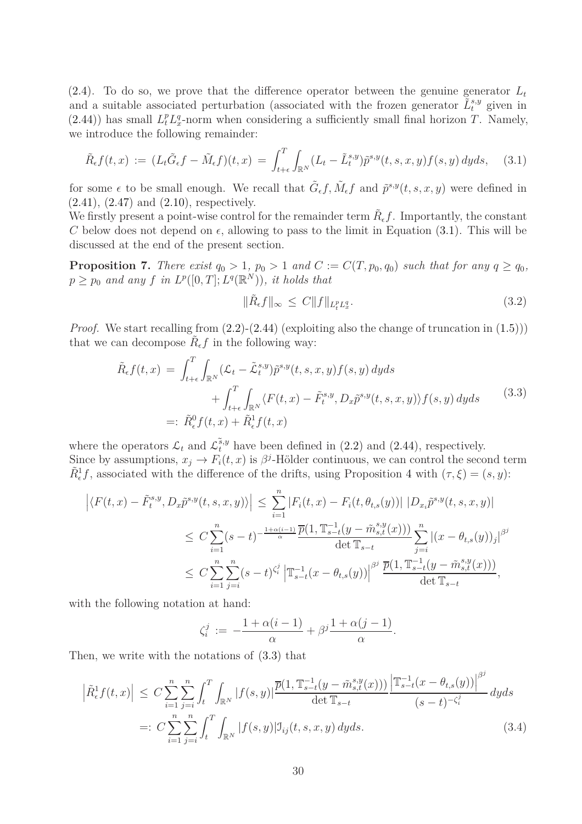[\(2.4\)](#page-13-2). To do so, we prove that the difference operator between the genuine generator  $L_t$ and a suitable associated perturbation (associated with the frozen generator  $\tilde{L}^{s,y}_t$  given in [\(2.44\)](#page-26-1)) has small  $L_t^p L_x^q$ -norm when considering a sufficiently small final horizon *T*. Namely, we introduce the following remainder:

<span id="page-29-0"></span>
$$
\tilde{R}_{\epsilon}f(t,x) := (L_t\tilde{G}_{\epsilon}f - \tilde{M}_{\epsilon}f)(t,x) = \int_{t+\epsilon}^T \int_{\mathbb{R}^N} (L_t - \tilde{L}_t^{s,y}) \tilde{p}^{s,y}(t,s,x,y) f(s,y) \,dyds,\tag{3.1}
$$

for some  $\epsilon$  to be small enough. We recall that  $\tilde{G}_{\epsilon}f, \tilde{M}_{\epsilon}f$  and  $\tilde{p}^{s,y}(t, s, x, y)$  were defined in [\(2.41\)](#page-25-0), [\(2.47\)](#page-27-4) and [\(2.10\)](#page-14-4), respectively.

We firstly present a point-wise control for the remainder term  $\tilde{R}_{\epsilon}f$ . Importantly, the constant *C* below does not depend on  $\epsilon$ , allowing to pass to the limit in Equation [\(3.1\)](#page-29-0). This will be discussed at the end of the present section.

<span id="page-29-4"></span>**Proposition 7.** *There exist*  $q_0 > 1$ *,*  $p_0 > 1$  *and*  $C := C(T, p_0, q_0)$  *such that for any*  $q \geq q_0$ *,*  $p \geq p_0$  *and any*  $f$  *in*  $L^p([0,T]; L^q(\mathbb{R}^N))$ *, it holds that* 

<span id="page-29-3"></span>
$$
\|\tilde{R}_{\epsilon}f\|_{\infty} \le C \|f\|_{L_t^p L_x^q}.\tag{3.2}
$$

*Proof.* We start recalling from  $(2.2)$ - $(2.44)$  (exploiting also the change of truncation in  $(1.5)$ )) that we can decompose  $\tilde{R}_{\epsilon}f$  in the following way:

$$
\tilde{R}_{\epsilon}f(t,x) = \int_{t+\epsilon}^{T} \int_{\mathbb{R}^N} (\mathcal{L}_t - \tilde{\mathcal{L}}_t^{s,y}) \tilde{p}^{s,y}(t,s,x,y) f(s,y) \, dyds \n+ \int_{t+\epsilon}^{T} \int_{\mathbb{R}^N} \langle F(t,x) - \tilde{F}_t^{s,y}, D_x \tilde{p}^{s,y}(t,s,x,y) \rangle f(s,y) \, dyds
$$
\n(3.3)\n  
\n=:  $\tilde{R}_{\epsilon}^0 f(t,x) + \tilde{R}_{\epsilon}^1 f(t,x)$ 

<span id="page-29-1"></span>where the operators  $\mathcal{L}_t$  and  $\mathcal{L}_t^{\tilde{s},y}$  have been defined in [\(2.2\)](#page-13-1) and [\(2.44\)](#page-26-1), respectively. Since by assumptions,  $x_j \to F_i(t, x)$  is  $\beta^j$ -Hölder continuous, we can control the second term  $\tilde{R}^1_{\epsilon}f$ , associated with the difference of the drifts, using Proposition [4](#page-16-0) with  $(\tau, \xi) = (s, y)$ :

$$
\left| \langle F(t,x) - \tilde{F}_{t}^{s,y}, D_{x}\tilde{p}^{s,y}(t,s,x,y) \rangle \right| \leq \sum_{i=1}^{n} |F_{i}(t,x) - F_{i}(t,\theta_{t,s}(y))| |D_{x_{i}}\tilde{p}^{s,y}(t,s,x,y)|
$$
  
\n
$$
\leq C \sum_{i=1}^{n} (s-t)^{-\frac{1+\alpha(i-1)}{\alpha}} \frac{\overline{p}(1, \mathbb{T}_{s-t}^{-1}(y-\tilde{m}_{s,t}^{s,y}(x)))}{\det \mathbb{T}_{s-t}} \sum_{j=i}^{n} |(x-\theta_{t,s}(y))_{j}|^{\beta^{j}}
$$
  
\n
$$
\leq C \sum_{i=1}^{n} \sum_{j=i}^{n} (s-t)^{\zeta_{i}^{j}} \left| \mathbb{T}_{s-t}^{-1}(x-\theta_{t,s}(y)) \right|^{\beta^{j}} \frac{\overline{p}(1, \mathbb{T}_{s-t}^{-1}(y-\tilde{m}_{s,t}^{s,y}(x)))}{\det \mathbb{T}_{s-t}},
$$

with the following notation at hand:

<span id="page-29-2"></span>
$$
\zeta_i^j := -\frac{1+\alpha(i-1)}{\alpha} + \beta^j \frac{1+\alpha(j-1)}{\alpha}.
$$

Then, we write with the notations of [\(3.3\)](#page-29-1) that

$$
\left| \tilde{R}_{\epsilon}^{1} f(t,x) \right| \leq C \sum_{i=1}^{n} \sum_{j=i}^{n} \int_{t}^{T} \int_{\mathbb{R}^{N}} |f(s,y)| \frac{\overline{p}(1, \mathbb{T}_{s-t}^{-1}(y-\tilde{m}_{s,t}^{s,y}(x)))}{\det \mathbb{T}_{s-t}} \frac{\left| \mathbb{T}_{s-t}^{-1}(x-\theta_{t,s}(y)) \right|^{\beta^{j}}}{(s-t)^{-\zeta_{i}^{j}}} dy ds
$$
\n
$$
=: C \sum_{i=1}^{n} \sum_{j=i}^{n} \int_{t}^{T} \int_{\mathbb{R}^{N}} |f(s,y)| \mathbb{I}_{ij}(t,s,x,y) dy ds. \tag{3.4}
$$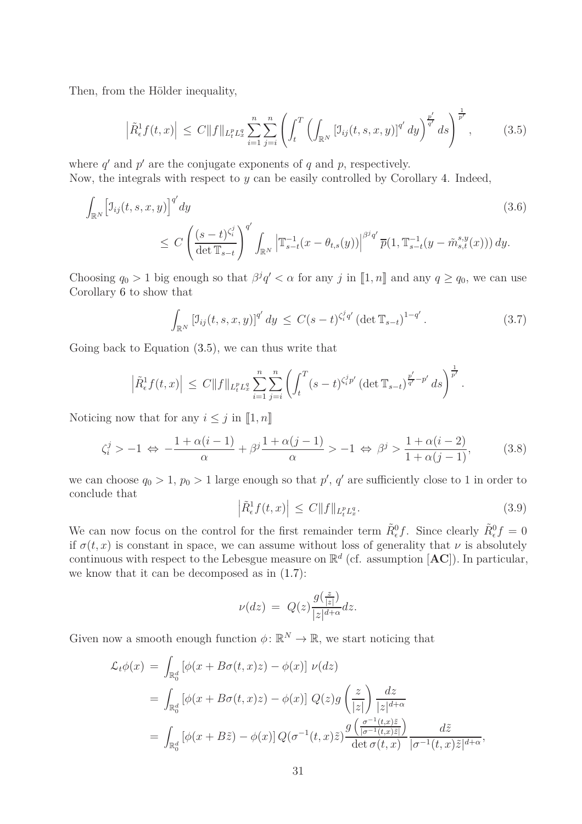Then, from the Hölder inequality,

<span id="page-30-0"></span>
$$
\left| \tilde{R}^1_{\epsilon} f(t,x) \right| \leq C \| f \|_{L_t^p L_x^q} \sum_{i=1}^n \sum_{j=i}^n \left( \int_t^T \left( \int_{\mathbb{R}^N} \left[ \mathfrak{I}_{ij}(t,s,x,y) \right]^{q'} dy \right)^{\frac{p'}{q'}} ds \right)^{\frac{1}{p'}} ,\tag{3.5}
$$

where  $q'$  and  $p'$  are the conjugate exponents of  $q$  and  $p$ , respectively. Now, the integrals with respect to *y* can be easily controlled by Corollary [4.](#page-18-0) Indeed,

$$
\int_{\mathbb{R}^N} \left[ J_{ij}(t, s, x, y) \right]^{q'} dy
$$
\n
$$
\leq C \left( \frac{(s-t)^{\zeta_i^j}}{\det \mathbb{T}_{s-t}} \right)^{q'} \int_{\mathbb{R}^N} \left| \mathbb{T}_{s-t}^{-1} (x - \theta_{t,s}(y)) \right|^{\beta^j q'} \overline{p}(1, \mathbb{T}_{s-t}^{-1} (y - \tilde{m}_{s,t}^{s,y}(x))) dy.
$$
\n(3.6)

Choosing  $q_0 > 1$  big enough so that  $\beta^j q' < \alpha$  for any *j* in  $[\![1, n]\!]$  and any  $q \geq q_0$ , we can use Corollary [6](#page-22-4) to show that

<span id="page-30-3"></span><span id="page-30-2"></span>
$$
\int_{\mathbb{R}^N} \left[ \mathbb{J}_{ij}(t,s,x,y) \right]^{q'} dy \le C(s-t)^{\zeta_i^j q'} \left( \det \mathbb{T}_{s-t} \right)^{1-q'}.
$$
 (3.7)

Going back to Equation [\(3.5\)](#page-30-0), we can thus write that

$$
\left| \tilde{R}^1_{\epsilon} f(t,x) \right| \, \leq \, C \|f\|_{L^p_t L^q_x} \sum_{i=1}^n \sum_{j=i}^n \left( \int_t^T (s-t)^{\zeta^j_i p'} \left( \det \mathbb{T}_{s-t} \right)^{\frac{p'}{q'}-p'} \, ds \right)^{\frac{1}{p'}}.
$$

Noticing now that for any  $i \leq j$  in  $\llbracket 1, n \rrbracket$ 

<span id="page-30-4"></span>
$$
\zeta_i^j > -1 \iff -\frac{1 + \alpha(i - 1)}{\alpha} + \beta^j \frac{1 + \alpha(j - 1)}{\alpha} > -1 \iff \beta^j > \frac{1 + \alpha(i - 2)}{1 + \alpha(j - 1)},\tag{3.8}
$$

we can choose  $q_0 > 1$ ,  $p_0 > 1$  large enough so that  $p'$ ,  $q'$  are sufficiently close to 1 in order to conclude that

<span id="page-30-1"></span>
$$
\left| \tilde{R}^1_{\epsilon} f(t, x) \right| \le C \| f \|_{L_t^p L_x^q}.
$$
\n(3.9)

We can now focus on the control for the first remainder term  $\tilde{R}^0_{\epsilon}f$ . Since clearly  $\tilde{R}^0_{\epsilon}f = 0$ if  $\sigma(t, x)$  is constant in space, we can assume without loss of generality that  $\nu$  is absolutely continuous with respect to the Lebesgue measure on  $\mathbb{R}^d$  (cf. assumption  $[AC]$ ). In particular, we know that it can be decomposed as in [\(1.7\)](#page-6-1):

$$
\nu(dz) = Q(z) \frac{g(\frac{z}{|z|})}{|z|^{d+\alpha}} dz.
$$

Given now a smooth enough function  $\phi \colon \mathbb{R}^N \to \mathbb{R}$ , we start noticing that

$$
\mathcal{L}_t \phi(x) = \int_{\mathbb{R}_0^d} \left[ \phi(x + B\sigma(t, x)z) - \phi(x) \right] \nu(dz)
$$
  
\n
$$
= \int_{\mathbb{R}_0^d} \left[ \phi(x + B\sigma(t, x)z) - \phi(x) \right] Q(z) g\left(\frac{z}{|z|}\right) \frac{dz}{|z|^{d+\alpha}}
$$
  
\n
$$
= \int_{\mathbb{R}_0^d} \left[ \phi(x + B\tilde{z}) - \phi(x) \right] Q(\sigma^{-1}(t, x)\tilde{z}) \frac{g\left(\frac{\sigma^{-1}(t, x)\tilde{z}}{|\sigma^{-1}(t, x)\tilde{z}|}\right)}{\det \sigma(t, x)} \frac{d\tilde{z}}{|\sigma^{-1}(t, x)\tilde{z}|^{d+\alpha}},
$$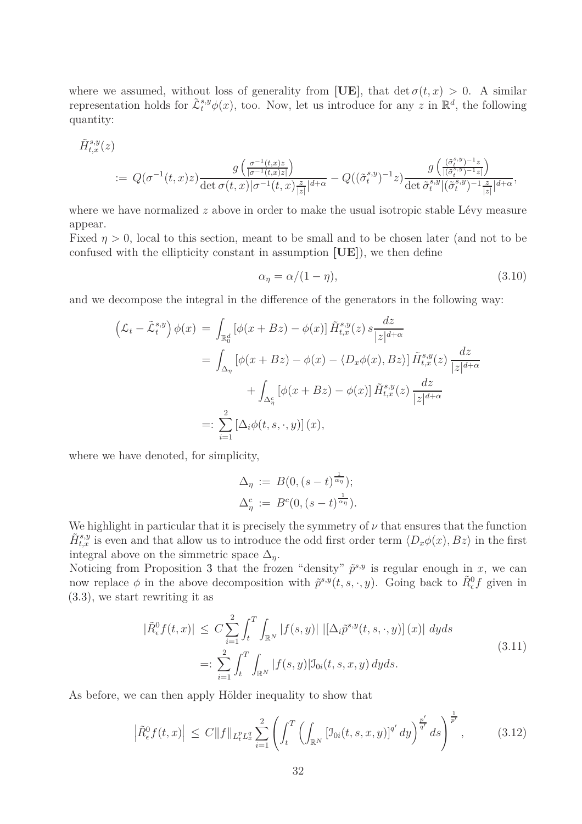where we assumed, without loss of generality from [UE], that  $\det \sigma(t, x) > 0$ . A similar representation holds for  $\tilde{\mathcal{L}}_t^{s,y}\phi(x)$ , too. Now, let us introduce for any *z* in  $\mathbb{R}^d$ , the following quantity:

$$
\tilde{H}^{s,y}_{t,x}(z)
$$
\n
$$
:= Q(\sigma^{-1}(t,x)z) \frac{g\left(\frac{\sigma^{-1}(t,x)z}{|\sigma^{-1}(t,x)z|}\right)}{\det \sigma(t,x)|\sigma^{-1}(t,x)\frac{z}{|z|}|^{d+\alpha}} - Q((\tilde{\sigma}^{s,y}_t)^{-1}z) \frac{g\left(\frac{(\tilde{\sigma}^{s,y}_t)^{-1}z}{|(\tilde{\sigma}^{s,y}_t)^{-1}z|}\right)}{\det \tilde{\sigma}^{s,y}_t|(\tilde{\sigma}^{s,y}_t)^{-1}\frac{z}{|z|}|^{d+\alpha}},
$$

where we have normalized *z* above in order to make the usual isotropic stable Lévy measure appear.

Fixed *η >* 0, local to this section, meant to be small and to be chosen later (and not to be confused with the ellipticity constant in assumption **[UE]**), we then define

<span id="page-31-0"></span>
$$
\alpha_{\eta} = \alpha/(1 - \eta),\tag{3.10}
$$

and we decompose the integral in the difference of the generators in the following way:

$$
\left(\mathcal{L}_t - \tilde{\mathcal{L}}_t^{s,y}\right)\phi(x) = \int_{\mathbb{R}_0^d} \left[\phi(x + Bz) - \phi(x)\right] \tilde{H}_{t,x}^{s,y}(z) s \frac{dz}{|z|^{d+\alpha}}
$$
  
\n
$$
= \int_{\Delta_\eta} \left[\phi(x + Bz) - \phi(x) - \langle D_x \phi(x), Bz \rangle\right] \tilde{H}_{t,x}^{s,y}(z) \frac{dz}{|z|^{d+\alpha}}
$$
  
\n
$$
+ \int_{\Delta_\eta^c} \left[\phi(x + Bz) - \phi(x)\right] \tilde{H}_{t,x}^{s,y}(z) \frac{dz}{|z|^{d+\alpha}}
$$
  
\n
$$
=: \sum_{i=1}^2 \left[\Delta_i \phi(t, s, \cdot, y)\right](x),
$$

where we have denoted, for simplicity,

$$
\Delta_{\eta} := B(0, (s-t)^{\frac{1}{\alpha_{\eta}}});
$$
  

$$
\Delta_{\eta}^{c} := B^{c}(0, (s-t)^{\frac{1}{\alpha_{\eta}}}).
$$

We highlight in particular that it is precisely the symmetry of  $\nu$  that ensures that the function  $\tilde{H}^{s,y}_{t,x}$  is even and that allow us to introduce the odd first order term  $\langle D_x \phi(x), Bz \rangle$  in the first integral above on the simmetric space  $\Delta_n$ .

Noticing from Proposition [3](#page-14-0) that the frozen "density"  $\tilde{p}^{s,y}$  is regular enough in *x*, we can now replace  $\phi$  in the above decomposition with  $\tilde{p}^{s,y}(t,s,\cdot,y)$ . Going back to  $\tilde{R}^0_{\epsilon}f$  given in [\(3.3\)](#page-29-1), we start rewriting it as

$$
|\tilde{R}_{\epsilon}^{0}f(t,x)| \leq C \sum_{i=1}^{2} \int_{t}^{T} \int_{\mathbb{R}^{N}} |f(s,y)| \, |[\Delta_{i}\tilde{p}^{s,y}(t,s,\cdot,y)](x)| \, dyds
$$
\n
$$
=: \sum_{i=1}^{2} \int_{t}^{T} \int_{\mathbb{R}^{N}} |f(s,y)| \mathcal{I}_{0i}(t,s,x,y) \, dyds. \tag{3.11}
$$

<span id="page-31-2"></span>As before, we can then apply Hölder inequality to show that

<span id="page-31-1"></span>
$$
\left| \tilde{R}^0_{\epsilon} f(t, x) \right| \le C \| f \|_{L^p_t L^q_x} \sum_{i=1}^2 \left( \int_t^T \left( \int_{\mathbb{R}^N} \left[ \mathfrak{I}_{0i}(t, s, x, y) \right]^{q'} dy \right)^{\frac{p'}{q'}} ds \right)^{\frac{1}{p'}} ,\tag{3.12}
$$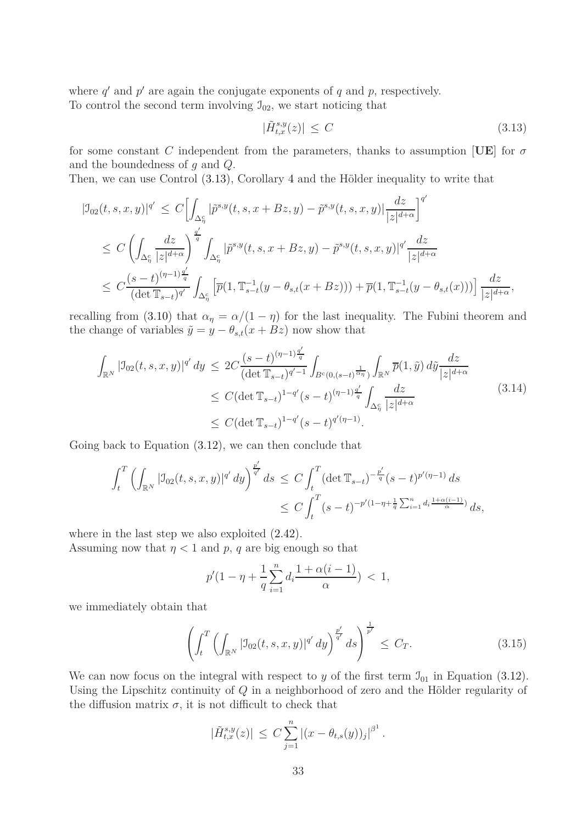where  $q'$  and  $p'$  are again the conjugate exponents of  $q$  and  $p$ , respectively. To control the second term involving  $\mathcal{I}_{02}$ , we start noticing that

<span id="page-32-0"></span>
$$
|\tilde{H}_{t,x}^{s,y}(z)| \le C \tag{3.13}
$$

for some constant *C* independent from the parameters, thanks to assumption [**UE**] for  $\sigma$ and the boundedness of *g* and *Q*.

Then, we can use Control [\(3.13\)](#page-32-0), Corollary [4](#page-18-0) and the Hölder inequality to write that

$$
| \mathcal{I}_{02}(t,s,x,y)|^{q'} \leq C \Biggl[ \int_{\Delta_{\eta}^{c}} |\tilde{p}^{s,y}(t,s,x+Bz,y) - \tilde{p}^{s,y}(t,s,x,y)| \frac{dz}{|z|^{d+\alpha}} \Biggr]^{q'} \leq C \left( \int_{\Delta_{\eta}^{c}} \frac{dz}{|z|^{d+\alpha}} \right)^{\frac{q'}{q}} \int_{\Delta_{\eta}^{c}} |\tilde{p}^{s,y}(t,s,x+Bz,y) - \tilde{p}^{s,y}(t,s,x,y)|^{q'} \frac{dz}{|z|^{d+\alpha}} \leq C \frac{(s-t)^{(\eta-1)\frac{q'}{q}}}{(\det \mathbb{T}_{s-t})^{q'}} \int_{\Delta_{\eta}^{c}} \Bigl[ \overline{p}(1, \mathbb{T}_{s-t}^{-1}(y - \theta_{s,t}(x + Bz))) + \overline{p}(1, \mathbb{T}_{s-t}^{-1}(y - \theta_{s,t}(x))) \Bigr] \frac{dz}{|z|^{d+\alpha}},
$$

recalling from [\(3.10\)](#page-31-0) that  $\alpha_{\eta} = \alpha/(1 - \eta)$  for the last inequality. The Fubini theorem and the change of variables  $\tilde{y} = y - \theta_{s,t}(x + Bz)$  now show that

<span id="page-32-2"></span>
$$
\int_{\mathbb{R}^N} |\mathcal{I}_{02}(t,s,x,y)|^{q'} dy \le 2C \frac{(s-t)^{(\eta-1)\frac{q'}{q}}}{(\det \mathbb{T}_{s-t})^{q'-1}} \int_{B^c(0,(s-t)^{\frac{1}{\alpha_\eta}})} \int_{\mathbb{R}^N} \overline{p}(1,\tilde{y}) d\tilde{y} \frac{dz}{|z|^{d+\alpha}} \le C (\det \mathbb{T}_{s-t})^{1-q'} (s-t)^{(\eta-1)\frac{q'}{q}} \int_{\Delta_\eta^c} \frac{dz}{|z|^{d+\alpha}}
$$
\n(3.14)

Going back to Equation [\(3.12\)](#page-31-1), we can then conclude that

$$
\int_{t}^{T} \left( \int_{\mathbb{R}^{N}} |\mathcal{I}_{02}(t,s,x,y)|^{q'} dy \right)^{\frac{p'}{q'}} ds \le C \int_{t}^{T} (\det \mathbb{T}_{s-t})^{-\frac{p'}{q}} (s-t)^{p'(\eta-1)} ds
$$
  

$$
\le C \int_{t}^{T} (s-t)^{-p'(1-\eta+\frac{1}{q}\sum_{i=1}^{n} d_{i} \frac{1+\alpha(i-1)}{\alpha})} ds,
$$

where in the last step we also exploited [\(2.42\)](#page-26-2).

Assuming now that  $\eta$  < 1 and p, q are big enough so that

$$
p'(1 - \eta + \frac{1}{q} \sum_{i=1}^{n} d_i \frac{1 + \alpha(i-1)}{\alpha}) < 1,
$$

we immediately obtain that

<span id="page-32-1"></span>
$$
\left(\int_{t}^{T} \left(\int_{\mathbb{R}^{N}} |J_{02}(t,s,x,y)|^{q'} dy\right)^{\frac{p'}{q'}} ds\right)^{\frac{1}{p'}} \leq C_{T}.
$$
\n(3.15)

We can now focus on the integral with respect to *y* of the first term  $\mathcal{I}_{01}$  in Equation [\(3.12\)](#page-31-1). Using the Lipschitz continuity of *Q* in a neighborhood of zero and the Hölder regularity of the diffusion matrix  $\sigma$ , it is not difficult to check that

$$
|\tilde{H}^{s,y}_{t,x}(z)| \leq C \sum_{j=1}^n |(x - \theta_{t,s}(y))_j|^{\beta^1}.
$$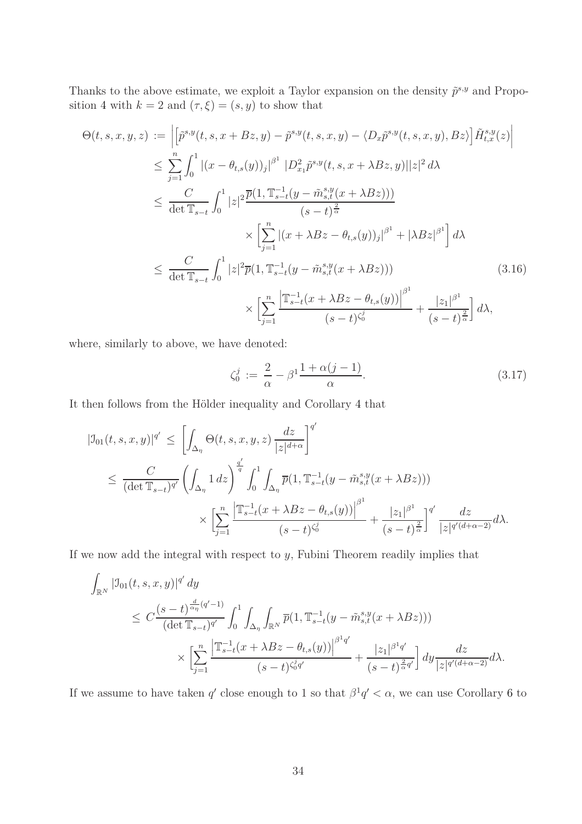Thanks to the above estimate, we exploit a Taylor expansion on the density  $\tilde{p}^{s,y}$  and Propo-sition [4](#page-16-0) with  $k = 2$  and  $(\tau, \xi) = (s, y)$  to show that

$$
\Theta(t,s,x,y,z) := \left| \left[ \tilde{p}^{s,y}(t,s,x+Bz,y) - \tilde{p}^{s,y}(t,s,x,y) - \langle D_x \tilde{p}^{s,y}(t,s,x,y), Bz \rangle \right] \tilde{H}_{t,x}^{s,y}(z) \right|
$$
  
\n
$$
\leq \sum_{j=1}^n \int_0^1 |(x - \theta_{t,s}(y))_j|^{\beta^1} |D_{x_1}^2 \tilde{p}^{s,y}(t,s,x+\lambda Bz,y)||z|^2 d\lambda
$$
  
\n
$$
\leq \frac{C}{\det \mathbb{T}_{s-t}} \int_0^1 |z|^2 \frac{\overline{p}(1, \mathbb{T}_{s-t}^{-1}(y - \tilde{m}_{s,t}^{s,y}(x+\lambda Bz)))}{(s-t)^{\frac{2}{\alpha}}}
$$
  
\n
$$
\times \left[ \sum_{j=1}^n |(x + \lambda Bz - \theta_{t,s}(y))_j|^{\beta^1} + |\lambda Bz|^{\beta^1} \right] d\lambda
$$
  
\n
$$
\leq \frac{C}{\det \mathbb{T}_{s-t}} \int_0^1 |z|^2 \overline{p}(1, \mathbb{T}_{s-t}^{-1}(y - \tilde{m}_{s,t}^{s,y}(x+\lambda Bz)))
$$
  
\n
$$
\times \left[ \sum_{j=1}^n \frac{\left| \mathbb{T}_{s-t}^{-1}(x + \lambda Bz - \theta_{t,s}(y)) \right|^{\beta^1}}{(s-t)^{\zeta_0^1}} + \frac{|z_1|^{\beta^1}}{(s-t)^{\frac{\beta}{\alpha}}} \right] d\lambda,
$$
  
\n(3.16)

where, similarly to above, we have denoted:

$$
\zeta_0^j := \frac{2}{\alpha} - \beta^1 \frac{1 + \alpha(j-1)}{\alpha}.\tag{3.17}
$$

It then follows from the Hölder inequality and Corollary [4](#page-18-0) that

$$
|J_{01}(t,s,x,y)|^{q'} \leq \left[ \int_{\Delta_{\eta}} \Theta(t,s,x,y,z) \frac{dz}{|z|^{d+\alpha}} \right]^{q'}
$$
  

$$
\leq \frac{C}{(\det \mathbb{T}_{s-t})^{q'}} \left( \int_{\Delta_{\eta}} 1 dz \right)^{\frac{q'}{q}} \int_0^1 \int_{\Delta_{\eta}} \overline{p}(1, \mathbb{T}_{s-t}^{-1}(y - \tilde{m}_{s,t}^{s,y}(x + \lambda Bz)))
$$

$$
\times \left[ \sum_{j=1}^n \frac{\left| \mathbb{T}_{s-t}^{-1}(x + \lambda Bz - \theta_{t,s}(y)) \right|^{\beta^1}}{(s-t)^{\zeta_0^j}} + \frac{|z_1|^{\beta^1}}{(s-t)^{\frac{\gamma}{\alpha}}} \right]^{q'} \frac{dz}{|z|^{q'(d+\alpha-2)}} d\lambda.
$$

If we now add the integral with respect to *y*, Fubini Theorem readily implies that

$$
\int_{\mathbb{R}^N} |\mathcal{I}_{01}(t,s,x,y)|^{q'} dy
$$
\n
$$
\leq C \frac{(s-t)^{\frac{d}{\alpha\eta}(q'-1)}}{(\det \mathbb{T}_{s-t})^{q'}} \int_0^1 \int_{\Delta_\eta} \int_{\mathbb{R}^N} \overline{p}(1, \mathbb{T}_{s-t}^{-1}(y-\tilde{m}_{s,t}^{s,y}(x+\lambda Bz)))
$$
\n
$$
\times \left[ \sum_{j=1}^n \frac{\left| \mathbb{T}_{s-t}^{-1}(x+\lambda Bz-\theta_{t,s}(y)) \right|^{\beta^1 q'}}{(s-t)^{\zeta_0^j q'}} + \frac{|z_1|^{\beta^1 q'}}{(s-t)^{\frac{2}{\alpha}q'}} \right] dy \frac{dz}{|z|^{q'(d+\alpha-2)}} d\lambda.
$$

If we assume to have taken *q'* close enough to 1 so that  $\beta^1 q' < \alpha$ , we can use Corollary [6](#page-22-4) to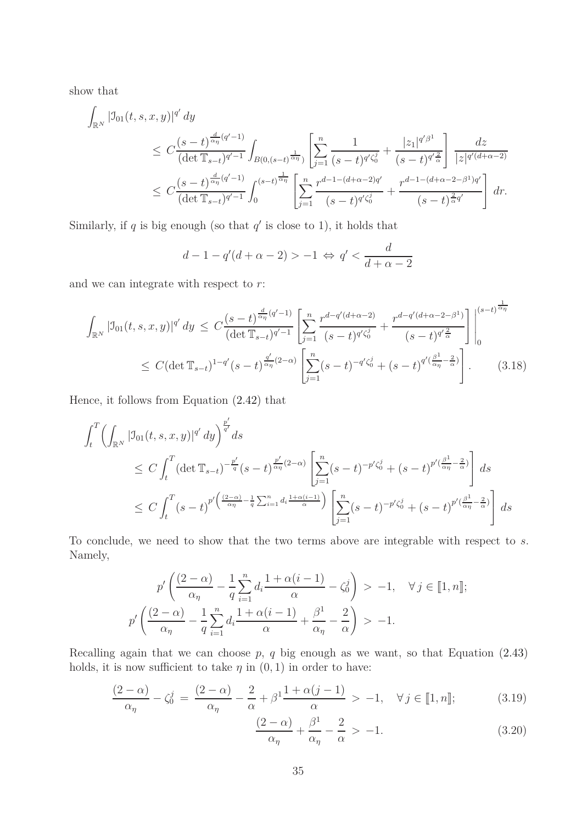show that

$$
\int_{\mathbb{R}^N} |\mathcal{I}_{01}(t,s,x,y)|^{q'} dy
$$
\n
$$
\leq C \frac{(s-t)^{\frac{d}{\alpha\eta}(q'-1)}}{(\det \mathbb{T}_{s-t})^{q'-1}} \int_{B(0,(s-t)^{\frac{1}{\alpha\eta}})} \left[ \sum_{j=1}^n \frac{1}{(s-t)^{q'\zeta_0^j}} + \frac{|z_1|^{q'\beta^1}}{(s-t)^{q'\frac{2}{\alpha}}}\right] \frac{dz}{|z|^{q'(d+\alpha-2)}}
$$
\n
$$
\leq C \frac{(s-t)^{\frac{d}{\alpha\eta}(q'-1)}}{(\det \mathbb{T}_{s-t})^{q'-1}} \int_0^{(s-t)^{\frac{1}{\alpha\eta}}} \left[ \sum_{j=1}^n \frac{r^{d-1-(d+\alpha-2)q'}}{(s-t)^{q'\zeta_0^j}} + \frac{r^{d-1-(d+\alpha-2-\beta^1)q'}}{(s-t)^{\frac{2}{\alpha}q'}} \right] dr.
$$

Similarly, if  $q$  is big enough (so that  $q'$  is close to 1), it holds that

<span id="page-34-2"></span>
$$
d-1-q'(d+\alpha-2) > -1 \Leftrightarrow q' < \frac{d}{d+\alpha-2}
$$

and we can integrate with respect to *r*:

$$
\int_{\mathbb{R}^N} |\mathcal{I}_{01}(t,s,x,y)|^{q'} dy \leq C \frac{(s-t)^{\frac{d}{\alpha \eta}(q'-1)}}{(\det \mathbb{T}_{s-t})^{q'-1}} \left[ \sum_{j=1}^n \frac{r^{d-q'(d+\alpha-2)}}{(s-t)^{q'\zeta_0^j}} + \frac{r^{d-q'(d+\alpha-2-\beta^1)}}{(s-t)^{q'\frac{2}{\alpha}}}\right]_0^{(s-t)^{\frac{1}{\alpha \eta}}}
$$
\n
$$
\leq C (\det \mathbb{T}_{s-t})^{1-q'} (s-t)^{\frac{q'}{2\alpha \eta}(2-\alpha)} \left[ \sum_{j=1}^n (s-t)^{-q'\zeta_0^j} + (s-t)^{q'(\frac{\beta^1}{\alpha \eta}-\frac{2}{\alpha})}\right].
$$
\n(3.18)

Hence, it follows from Equation [\(2.42\)](#page-26-2) that

$$
\int_{t}^{T} \left( \int_{\mathbb{R}^{N}} | \mathcal{I}_{01}(t, s, x, y)|^{q'} dy \right)^{\frac{p'}{q'}} ds
$$
\n
$$
\leq C \int_{t}^{T} (\det \mathbb{T}_{s-t})^{-\frac{p'}{q}} (s-t)^{\frac{p'}{\alpha_{\eta}}(2-\alpha)} \left[ \sum_{j=1}^{n} (s-t)^{-p'\zeta_{0}^{j}} + (s-t)^{p'(\frac{\beta^{1}}{\alpha_{\eta}}-\frac{2}{\alpha})} \right] ds
$$
\n
$$
\leq C \int_{t}^{T} (s-t)^{p'(\frac{(2-\alpha)}{\alpha_{\eta}}-\frac{1}{q}\sum_{i=1}^{n} d_{i} \frac{1+\alpha(i-1)}{\alpha})} \left[ \sum_{j=1}^{n} (s-t)^{-p'\zeta_{0}^{j}} + (s-t)^{p'(\frac{\beta^{1}}{\alpha_{\eta}}-\frac{2}{\alpha})} \right] ds
$$

To conclude, we need to show that the two terms above are integrable with respect to *s*. Namely,

$$
p'\left(\frac{(2-\alpha)}{\alpha_{\eta}}-\frac{1}{q}\sum_{i=1}^{n}d_{i}\frac{1+\alpha(i-1)}{\alpha}-\zeta_{0}^{j}\right) > -1, \quad \forall j \in \llbracket 1, n \rrbracket;
$$

$$
p'\left(\frac{(2-\alpha)}{\alpha_{\eta}}-\frac{1}{q}\sum_{i=1}^{n}d_{i}\frac{1+\alpha(i-1)}{\alpha_{\eta}}+\frac{\beta^{1}}{\alpha_{\eta}}-\frac{2}{\alpha}\right) > -1.
$$

Recalling again that we can choose *p*, *q* big enough as we want, so that Equation [\(2.43\)](#page-26-0) holds, it is now sufficient to take  $\eta$  in  $(0, 1)$  in order to have:

$$
\frac{(2-\alpha)}{\alpha_{\eta}} - \zeta_0^j = \frac{(2-\alpha)}{\alpha_{\eta}} - \frac{2}{\alpha} + \beta^1 \frac{1 + \alpha(j-1)}{\alpha} > -1, \quad \forall j \in [\![1, n]\!];\tag{3.19}
$$

<span id="page-34-1"></span><span id="page-34-0"></span>
$$
\frac{(2-\alpha)}{\alpha_{\eta}} + \frac{\beta^1}{\alpha_{\eta}} - \frac{2}{\alpha} > -1.
$$
\n(3.20)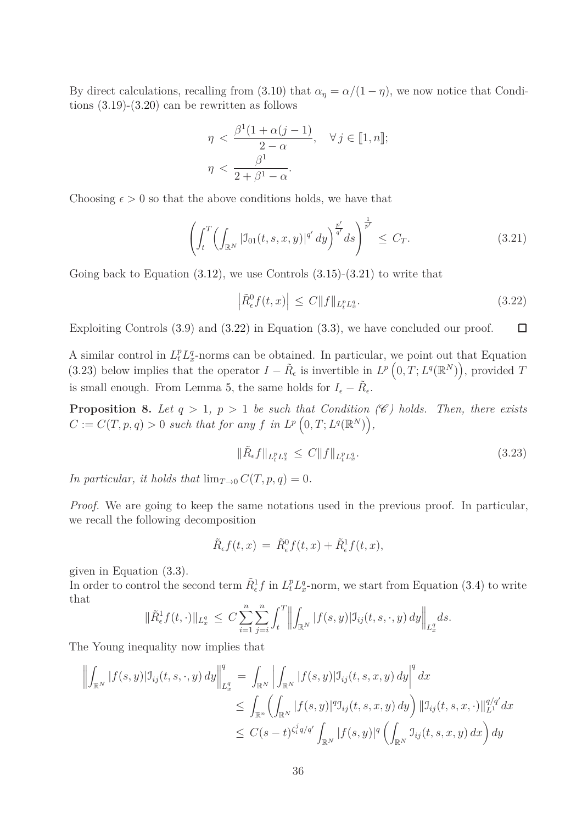By direct calculations, recalling from [\(3.10\)](#page-31-0) that  $\alpha_{\eta} = \alpha/(1 - \eta)$ , we now notice that Conditions  $(3.19)-(3.20)$  $(3.19)-(3.20)$  can be rewritten as follows

$$
\eta < \frac{\beta^1(1+\alpha(j-1))}{2-\alpha}, \quad \forall j \in [1, n];
$$
\n
$$
\eta < \frac{\beta^1}{2+\beta^1-\alpha}.
$$

Choosing  $\epsilon > 0$  so that the above conditions holds, we have that

<span id="page-35-0"></span>
$$
\left(\int_{t}^{T} \left(\int_{\mathbb{R}^{N}} |\mathfrak{I}_{01}(t,s,x,y)|^{q'} dy\right)^{\frac{p'}{q'}} ds\right)^{\frac{1}{p'}} \leq C_{T}.
$$
\n(3.21)

Going back to Equation  $(3.12)$ , we use Controls  $(3.15)-(3.21)$  $(3.15)-(3.21)$  to write that

<span id="page-35-1"></span>
$$
\left| \tilde{R}^0_{\epsilon} f(t, x) \right| \le C \| f \|_{L_t^p L_x^q}.
$$
\n(3.22)

Exploiting Controls [\(3.9\)](#page-30-1) and [\(3.22\)](#page-35-1) in Equation [\(3.3\)](#page-29-1), we have concluded our proof.  $\Box$ 

A similar control in  $L_t^p L_x^q$ -norms can be obtained. In particular, we point out that Equation [\(3.23\)](#page-35-2) below implies that the operator  $I - \tilde{R}_{\epsilon}$  is invertible in  $L^p\left(0, T; L^q(\mathbb{R}^N)\right)$ , provided T is small enough. From Lemma [5,](#page-27-5) the same holds for  $I_{\epsilon} - \tilde{R}_{\epsilon}$ .

<span id="page-35-3"></span>**Proposition 8.** Let  $q > 1$ ,  $p > 1$  be such that Condition (C) holds. Then, there exists  $C := C(T, p, q) > 0$  *such that for any f in*  $L^p(0, T; L^q(\mathbb{R}^N)),$ 

<span id="page-35-2"></span>
$$
\|\tilde{R}_{\epsilon}f\|_{L_t^p L_x^q} \le C \|f\|_{L_t^p L_x^q}.\tag{3.23}
$$

*In particular, it holds that*  $\lim_{T\to 0} C(T, p, q) = 0$ *.* 

*Proof.* We are going to keep the same notations used in the previous proof. In particular, we recall the following decomposition

$$
\tilde{R}_{\epsilon}f(t,x) = \tilde{R}^0_{\epsilon}f(t,x) + \tilde{R}^1_{\epsilon}f(t,x),
$$

given in Equation [\(3.3\)](#page-29-1).

In order to control the second term  $\tilde{R}^1_{\epsilon} f$  in  $L^p_t L^q_x$ -norm, we start from Equation [\(3.4\)](#page-29-2) to write that

$$
\|\tilde{R}_{\epsilon}^{1} f(t,\cdot)\|_{L_{x}^{q}} \leq C \sum_{i=1}^{n} \sum_{j=i}^{n} \int_{t}^{T} \left\| \int_{\mathbb{R}^{N}} |f(s,y)| \mathfrak{I}_{ij}(t,s,\cdot,y) \, dy \right\|_{L_{x}^{q}} ds.
$$

The Young inequality now implies that

$$
\left\| \int_{\mathbb{R}^N} |f(s,y)| \mathcal{I}_{ij}(t,s,\cdot,y) \, dy \right\|_{L_x^q}^q = \int_{\mathbb{R}^N} \left| \int_{\mathbb{R}^N} |f(s,y)| \mathcal{I}_{ij}(t,s,x,y) \, dy \right|^q dx
$$
  
\n
$$
\leq \int_{\mathbb{R}^n} \left( \int_{\mathbb{R}^N} |f(s,y)|^q \mathcal{I}_{ij}(t,s,x,y) \, dy \right) \left\| \mathcal{I}_{ij}(t,s,x,\cdot) \right\|_{L^1}^{q/q'} dx
$$
  
\n
$$
\leq C(s-t)^{\zeta_i^j q/q'} \int_{\mathbb{R}^N} |f(s,y)|^q \left( \int_{\mathbb{R}^N} \mathcal{I}_{ij}(t,s,x,y) \, dx \right) dy
$$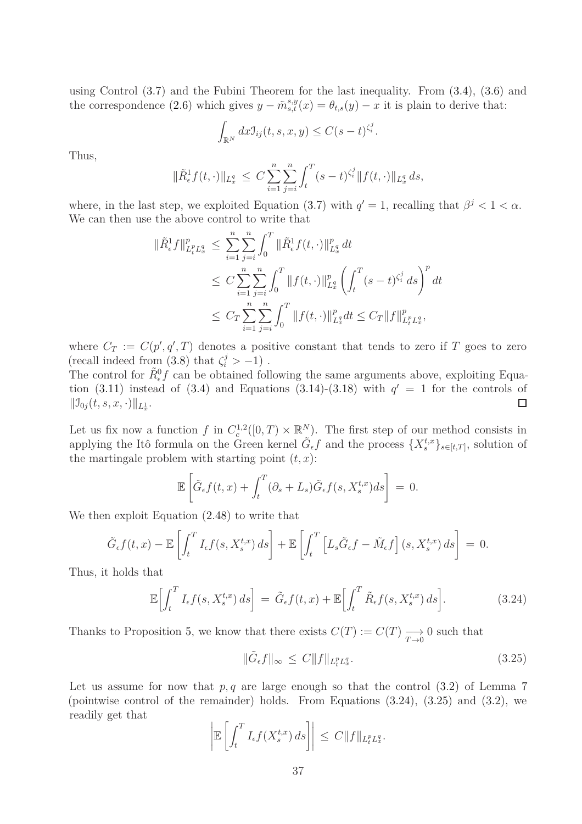using Control [\(3.7\)](#page-30-2) and the Fubini Theorem for the last inequality. From [\(3.4\)](#page-29-2), [\(3.6\)](#page-30-3) and the correspondence [\(2.6\)](#page-13-3) which gives  $y - \tilde{m}_{s,t}^{s,y}(x) = \theta_{t,s}(y) - x$  it is plain to derive that:

$$
\int_{\mathbb{R}^N} dx \mathfrak{I}_{ij}(t,s,x,y) \leq C(s-t)^{\zeta_i^j}.
$$

Thus,

$$
\|\tilde{R}_{\epsilon}^{1}f(t,\cdot)\|_{L_{x}^{q}} \leq C \sum_{i=1}^{n} \sum_{j=i}^{n} \int_{t}^{T} (s-t)^{\zeta_{i}^{j}} \|f(t,\cdot)\|_{L_{x}^{q}} ds,
$$

where, in the last step, we exploited Equation [\(3.7\)](#page-30-2) with  $q' = 1$ , recalling that  $\beta^j < 1 < \alpha$ . We can then use the above control to write that

$$
\begin{split} \|\tilde{R}_{\epsilon}^{1}f\|_{L_{t}^{p}L_{x}^{q}}^{p} &\leq \sum_{i=1}^{n} \sum_{j=i}^{n} \int_{0}^{T} \|\tilde{R}_{\epsilon}^{1}f(t,\cdot)\|_{L_{x}^{q}}^{p} dt \\ &\leq C \sum_{i=1}^{n} \sum_{j=i}^{n} \int_{0}^{T} \|f(t,\cdot)\|_{L_{x}^{q}}^{p} \left(\int_{t}^{T} (s-t)^{\zeta_{i}^{j}} ds\right)^{p} dt \\ &\leq C_{T} \sum_{i=1}^{n} \sum_{j=i}^{n} \int_{0}^{T} \|f(t,\cdot)\|_{L_{x}^{q}}^{p} dt \leq C_{T} \|f\|_{L_{t}^{p}L_{x}^{q}}^{p}, \end{split}
$$

where  $C_T := C(p', q', T)$  denotes a positive constant that tends to zero if *T* goes to zero (recall indeed from  $(3.8)$  that  $\zeta_i^j > -1$ ).

The control for  $\tilde{R}_{\epsilon}^{0} f$  can be obtained following the same arguments above, exploiting Equation  $(3.11)$  instead of  $(3.4)$  and Equations  $(3.14)-(3.18)$  $(3.14)-(3.18)$  with  $q' = 1$  for the controls of  $||\mathfrak{I}_{0j}(t, s, x, \cdot)||_{L_x^1}$ .  $\Box$ 

Let us fix now a function  $f$  in  $C_c^{1,2}([0,T) \times \mathbb{R}^N)$ . The first step of our method consists in applying the Itô formula on the Green kernel  $\tilde{G}_{\epsilon}f$  and the process  $\{X_s^{t,x}\}_{s\in[t,T]}$ , solution of the martingale problem with starting point  $(t, x)$ :

$$
\mathbb{E}\left[\tilde{G}_{\epsilon}f(t,x)+\int_{t}^{T}(\partial_{s}+L_{s})\tilde{G}_{\epsilon}f(s,X_{s}^{t,x})ds\right]=0.
$$

We then exploit Equation [\(2.48\)](#page-27-3) to write that

$$
\tilde{G}_{\epsilon}f(t,x) - \mathbb{E}\left[\int_t^T I_{\epsilon}f(s,X_s^{t,x})\,ds\right] + \mathbb{E}\left[\int_t^T \left[L_s\tilde{G}_{\epsilon}f - \tilde{M}_{\epsilon}f\right](s,X_s^{t,x})\,ds\right] = 0.
$$

Thus, it holds that

<span id="page-36-0"></span>
$$
\mathbb{E}\bigg[\int_t^T I_{\epsilon}f(s,X_s^{t,x})\,ds\bigg] = \tilde{G}_{\epsilon}f(t,x) + \mathbb{E}\bigg[\int_t^T \tilde{R}_{\epsilon}f(s,X_s^{t,x})\,ds\bigg].\tag{3.24}
$$

Thanks to Proposition [5,](#page-26-3) we know that there exists  $C(T) := C(T) \longrightarrow$ *T*→0 0 such that

<span id="page-36-1"></span>
$$
\|\tilde{G}_{\epsilon}f\|_{\infty} \le C \|f\|_{L_t^p L_x^q}.
$$
\n(3.25)

Let us assume for now that  $p, q$  are large enough so that the control  $(3.2)$  of Lemma [7](#page-29-4) (pointwise control of the remainder) holds. From Equations [\(3.24\)](#page-36-0), [\(3.25\)](#page-36-1) and [\(3.2\)](#page-29-3), we readily get that

$$
\left| \mathbb{E}\left[\int_t^T I_\epsilon f(X_s^{t,x})\,ds\right] \right| \leq C \|f\|_{L_t^p L_x^q}.
$$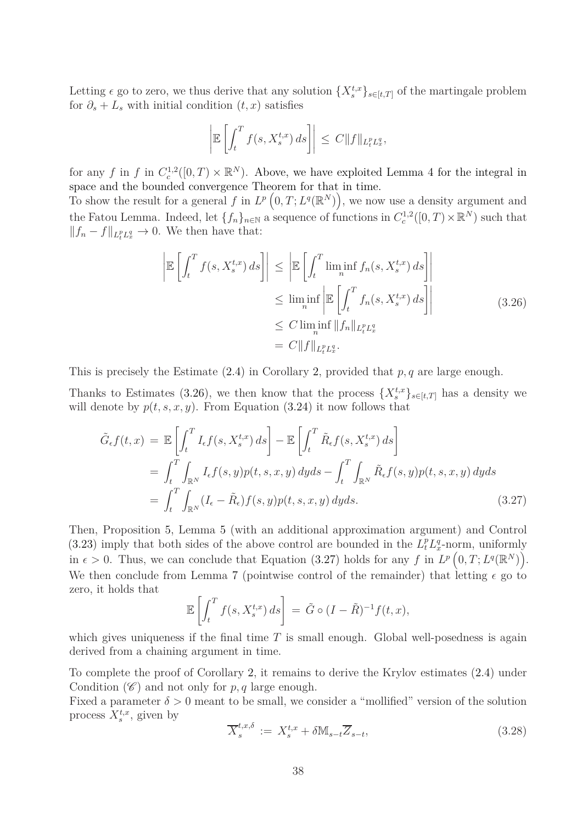Letting  $\epsilon$  go to zero, we thus derive that any solution  $\{X_s^{t,x}\}_{s\in[t,T]}$  of the martingale problem for  $\partial_s + L_s$  with initial condition  $(t, x)$  satisfies

$$
\left| \mathbb{E}\left[\int_t^T f(s,X_s^{t,x})\,ds\right] \right| \leq C \|f\|_{L_t^p L_x^q},
$$

for any *f* in *f* in  $C_c^{1,2}([0,T) \times \mathbb{R}^N)$ . Above, we have exploited Lemma [4](#page-27-0) for the integral in space and the bounded convergence Theorem for that in time.

To show the result for a general f in  $L^p\left(0, T; L^q(\mathbb{R}^N)\right)$ , we now use a density argument and the Fatou Lemma. Indeed, let  $\{f_n\}_{n\in\mathbb{N}}$  a sequence of functions in  $C_c^{1,2}([0,T)\times\mathbb{R}^N)$  such that  $||f_n - f||_{L_t^p L_x^q}$  → 0. We then have that:

$$
\left| \mathbb{E} \left[ \int_t^T f(s, X_s^{t,x}) ds \right] \right| \le \left| \mathbb{E} \left[ \int_t^T \liminf_{n} f_n(s, X_s^{t,x}) ds \right] \right|
$$
  
\n
$$
\le \liminf_{n} \left| \mathbb{E} \left[ \int_t^T f_n(s, X_s^{t,x}) ds \right] \right|
$$
  
\n
$$
\le C \liminf_{n} \|f_n\|_{L_t^p L_x^q}
$$
  
\n
$$
= C \|f\|_{L_t^p L_x^q}.
$$
\n(3.26)

<span id="page-37-0"></span>This is precisely the Estimate [\(2.4\)](#page-13-2) in Corollary [2,](#page-11-1) provided that *p, q* are large enough.

Thanks to Estimates [\(3.26\)](#page-37-0), we then know that the process  $\{X_s^{t,x}\}_{s\in[t,T]}$  has a density we will denote by  $p(t, s, x, y)$ . From Equation [\(3.24\)](#page-36-0) it now follows that

$$
\tilde{G}_{\epsilon}f(t,x) = \mathbb{E}\left[\int_{t}^{T} I_{\epsilon}f(s,X_{s}^{t,x})ds\right] - \mathbb{E}\left[\int_{t}^{T}\tilde{R}_{\epsilon}f(s,X_{s}^{t,x})ds\right]
$$
\n
$$
= \int_{t}^{T}\int_{\mathbb{R}^{N}} I_{\epsilon}f(s,y)p(t,s,x,y)dyds - \int_{t}^{T}\int_{\mathbb{R}^{N}}\tilde{R}_{\epsilon}f(s,y)p(t,s,x,y)dyds
$$
\n
$$
= \int_{t}^{T}\int_{\mathbb{R}^{N}} (I_{\epsilon} - \tilde{R}_{\epsilon})f(s,y)p(t,s,x,y)dyds. \tag{3.27}
$$

Then, Proposition [5,](#page-26-3) Lemma [5](#page-27-5) (with an additional approximation argument) and Control [\(3.23\)](#page-35-2) imply that both sides of the above control are bounded in the  $L_t^p L_x^q$ -norm, uniformly in  $\epsilon > 0$ . Thus, we can conclude that Equation [\(3.27\)](#page-37-1) holds for any *f* in  $L^p(0,T;L^q(\mathbb{R}^N))$ . We then conclude from Lemma [7](#page-29-4) (pointwise control of the remainder) that letting  $\epsilon$  go to zero, it holds that

<span id="page-37-1"></span>
$$
\mathbb{E}\left[\int_t^T f(s,X_s^{t,x})\,ds\right] = \tilde{G} \circ (I - \tilde{R})^{-1}f(t,x),
$$

which gives uniqueness if the final time *T* is small enough. Global well-posedness is again derived from a chaining argument in time.

To complete the proof of Corollary [2,](#page-11-1) it remains to derive the Krylov estimates [\(2.4\)](#page-13-2) under Condition  $(\mathscr{C})$  and not only for  $p, q$  large enough.

Fixed a parameter  $\delta > 0$  meant to be small, we consider a "mollified" version of the solution process  $X_s^{t,x}$ , given by

<span id="page-37-2"></span>
$$
\overline{X}_{s}^{t,x,\delta} := X_{s}^{t,x} + \delta \mathbb{M}_{s-t} \overline{Z}_{s-t}, \tag{3.28}
$$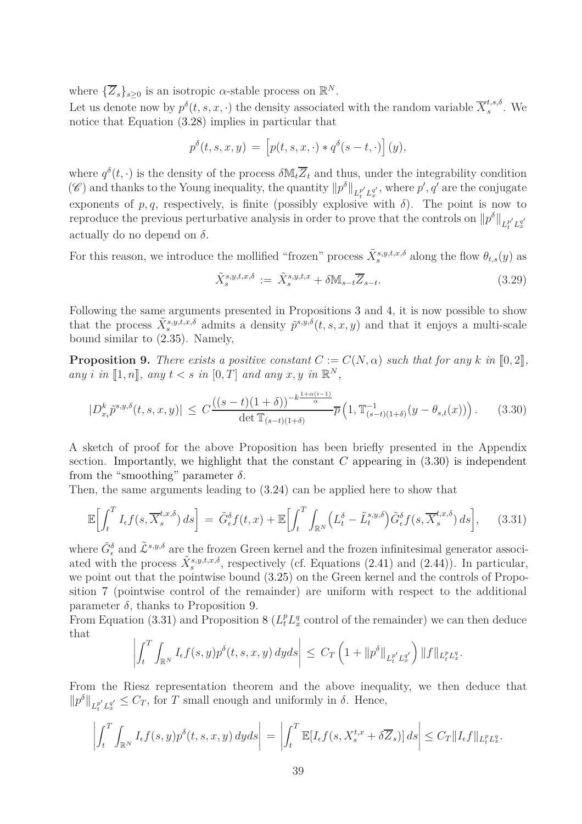where  ${\{\overline{Z}_s\}}_{s\geq 0}$  is an isotropic  $\alpha$ -stable process on  $\mathbb{R}^N$ .

Let us denote now by  $p^{\delta}(t, s, x, \cdot)$  the density associated with the random variable  $\overline{X}_{s}^{t, s, \delta}$  $s^{i,s,o}$ . We notice that Equation [\(3.28\)](#page-37-2) implies in particular that

$$
p^{\delta}(t,s,x,y) = [p(t,s,x,\cdot) * q^{\delta}(s-t,\cdot)](y),
$$

where  $q^{\delta}(t, \cdot)$  is the density of the process  $\delta M_t \overline{Z}_t$  and thus, under the integrability condition (C) and thanks to the Young inequality, the quantity  $||p^{\delta}||_{L_t^{p'}L_x^{q'}}$ , where  $p', q'$  are the conjugate exponents of  $p, q$ , respectively, is finite (possibly explosive with  $\delta$ ). The point is now to reproduce the previous perturbative analysis in order to prove that the controls on  $||p^{\delta}||_{L_t^{p'}L_x^{q'}}$ actually do no depend on  $\delta$ .

For this reason, we introduce the mollified "frozen" process  $\tilde{X}_{s}^{s,y,t,x,\delta}$  along the flow  $\theta_{t,s}(y)$  as

<span id="page-38-3"></span>
$$
\tilde{X}_s^{s,y,t,x,\delta} := \tilde{X}_s^{s,y,t,x} + \delta \mathbb{M}_{s-t} \overline{Z}_{s-t}.
$$
\n(3.29)

Following the same arguments presented in Propositions [3](#page-14-0) and [4,](#page-16-0) it is now possible to show that the process  $\tilde{X}_{s}^{s,y,\tilde{t},x,\delta}$  admits a density  $\tilde{p}^{s,y,\delta}(t,s,x,y)$  and that it enjoys a multi-scale bound similar to [\(2.35\)](#page-22-3). Namely,

<span id="page-38-1"></span>**Proposition 9.** There exists a positive constant  $C := C(N, \alpha)$  such that for any k in [0, 2], *any i in*  $[1, n]$ *, any*  $t < s$  *in*  $[0, T]$  *and any*  $x, y$  *in*  $\mathbb{R}^N$ *,* 

<span id="page-38-0"></span>
$$
|D_{x_i}^k \tilde{p}^{s,y,\delta}(t,s,x,y)| \le C \frac{((s-t)(1+\delta))^{-k\frac{1+\alpha(i-1)}{\alpha}}}{\det \mathbb{T}_{(s-t)(1+\delta)}} \overline{p}\left(1, \mathbb{T}_{(s-t)(1+\delta)}^{-1}(y-\theta_{s,t}(x))\right). \tag{3.30}
$$

A sketch of proof for the above Proposition has been briefly presented in the Appendix section. Importantly, we highlight that the constant  $C$  appearing in  $(3.30)$  is independent from the "smoothing" parameter  $\delta$ .

Then, the same arguments leading to [\(3.24\)](#page-36-0) can be applied here to show that

<span id="page-38-2"></span>
$$
\mathbb{E}\Big[\int_t^T I_\epsilon f(s, \overline{X}_s^{t,x,\delta}) ds\Big] = \tilde{G}_\epsilon^{\delta} f(t,x) + \mathbb{E}\Big[\int_t^T \int_{\mathbb{R}^N} \Big(L_t^{\delta} - \tilde{L}_t^{s,y,\delta}\Big) \tilde{G}_\epsilon^{\delta} f(s, \overline{X}_s^{t,x,\delta}) ds\Big],\tag{3.31}
$$

where  $\tilde{G}^{\delta}_{\epsilon}$  and  $\tilde{\mathcal{L}}^{s,y,\delta}$  are the frozen Green kernel and the frozen infinitesimal generator associated with the process  $\tilde{X}_{s}^{s,y,t,x,\delta}$ , respectively (cf. Equations [\(2.41\)](#page-25-0) and [\(2.44\)](#page-26-1)). In particular, we point out that the pointwise bound [\(3.25\)](#page-36-1) on the Green kernel and the controls of Proposition [7](#page-29-4) (pointwise control of the remainder) are uniform with respect to the additional parameter  $\delta$ , thanks to Proposition [9.](#page-38-1)

From Equation [\(3.31\)](#page-38-2) and Proposition [8](#page-35-3) ( $L_t^p L_x^q$  control of the remainder) we can then deduce that

$$
\left| \int_t^T \int_{\mathbb{R}^N} I_{\epsilon} f(s, y) p^{\delta}(t, s, x, y) dy ds \right| \leq C_T \left( 1 + ||p^{\delta}||_{L_t^{p'} L_x^{q'}} \right) ||f||_{L_t^p L_x^q}.
$$

From the Riesz representation theorem and the above inequality, we then deduce that  $||p^{\delta}||_{L_t^{p'}L_x^{q'}} \leq C_T$ , for *T* small enough and uniformly in  $\delta$ . Hence,

$$
\left| \int_t^T \int_{\mathbb{R}^N} I_{\epsilon} f(s, y) p^{\delta}(t, s, x, y) dy ds \right| = \left| \int_t^T \mathbb{E}[I_{\epsilon} f(s, X_s^{t, x} + \delta \overline{Z}_s)] ds \right| \leq C_T \|I_{\epsilon} f\|_{L_t^p L_x^q}.
$$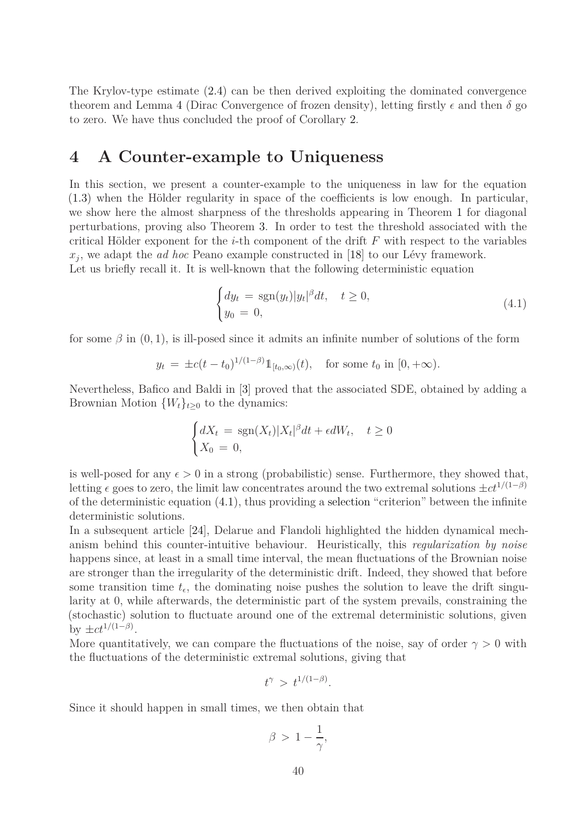The Krylov-type estimate [\(2.4\)](#page-13-2) can be then derived exploiting the dominated convergence theorem and Lemma [4](#page-27-0) (Dirac Convergence of frozen density), letting firstly  $\epsilon$  and then  $\delta$  go to zero. We have thus concluded the proof of Corollary [2.](#page-11-1)

### **4 A Counter-example to Uniqueness**

In this section, we present a counter-example to the uniqueness in law for the equation [\(1.3\)](#page-4-1) when the Hölder regularity in space of the coefficients is low enough. In particular, we show here the almost sharpness of the thresholds appearing in Theorem [1](#page-10-0) for diagonal perturbations, proving also Theorem [3.](#page-11-0) In order to test the threshold associated with the critical Hölder exponent for the *i*-th component of the drift *F* with respect to the variables *xj* , we adapt the *ad hoc* Peano example constructed in [\[18\]](#page-63-9) to our Lévy framework. Let us briefly recall it. It is well-known that the following deterministic equation

<span id="page-39-0"></span>
$$
\begin{cases} dy_t = \operatorname{sgn}(y_t)|y_t|^{\beta}dt, & t \ge 0, \\ y_0 = 0, & \end{cases}
$$
\n(4.1)

for some  $\beta$  in  $(0, 1)$ , is ill-posed since it admits an infinite number of solutions of the form

$$
y_t = \pm c(t - t_0)^{1/(1-\beta)} 1\!\!1_{[t_0,\infty)}(t)
$$
, for some  $t_0$  in  $[0, +\infty)$ .

Nevertheless, Bafico and Baldi in [\[3\]](#page-62-14) proved that the associated SDE, obtained by adding a Brownian Motion  ${W_t}_{t\geq0}$  to the dynamics:

$$
\begin{cases} dX_t = \text{sgn}(X_t)|X_t|^{\beta}dt + \epsilon dW_t, \quad t \ge 0\\ X_0 = 0, \end{cases}
$$

is well-posed for any  $\epsilon > 0$  in a strong (probabilistic) sense. Furthermore, they showed that, letting  $\epsilon$  goes to zero, the limit law concentrates around the two extremal solutions  $\pm ct^{1/(1-\beta)}$ of the deterministic equation  $(4.1)$ , thus providing a selection "criterion" between the infinite deterministic solutions.

In a subsequent article [\[24\]](#page-63-14), Delarue and Flandoli highlighted the hidden dynamical mechanism behind this counter-intuitive behaviour. Heuristically, this *regularization by noise* happens since, at least in a small time interval, the mean fluctuations of the Brownian noise are stronger than the irregularity of the deterministic drift. Indeed, they showed that before some transition time  $t_{\epsilon}$ , the dominating noise pushes the solution to leave the drift singularity at 0, while afterwards, the deterministic part of the system prevails, constraining the (stochastic) solution to fluctuate around one of the extremal deterministic solutions, given by  $\pm ct^{1/(1-\beta)}$ .

More quantitatively, we can compare the fluctuations of the noise, say of order  $\gamma > 0$  with the fluctuations of the deterministic extremal solutions, giving that

$$
t^{\gamma} > t^{1/(1-\beta)}.
$$

Since it should happen in small times, we then obtain that

$$
\beta \, > \, 1 - \frac{1}{\gamma},
$$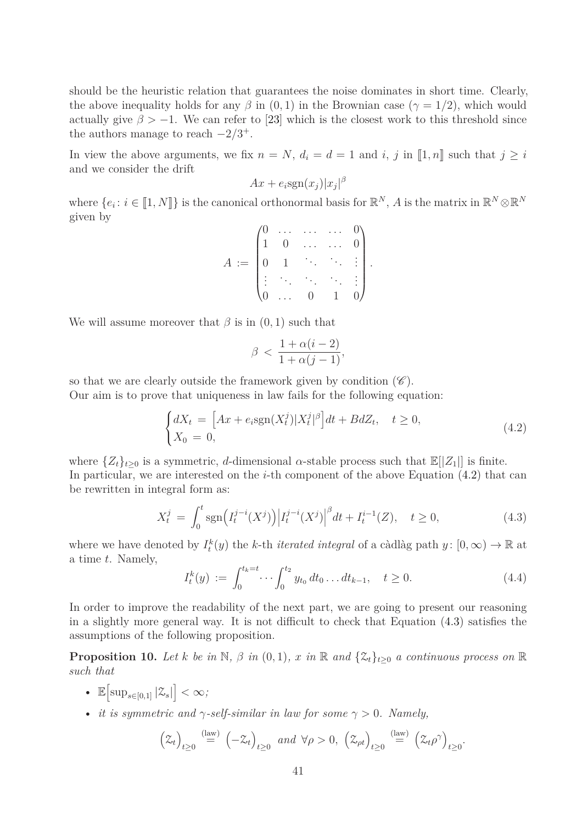should be the heuristic relation that guarantees the noise dominates in short time. Clearly, the above inequality holds for any  $\beta$  in  $(0, 1)$  in the Brownian case  $(\gamma = 1/2)$ , which would actually give  $\beta > -1$ . We can refer to [\[23\]](#page-63-4) which is the closest work to this threshold since the authors manage to reach  $-2/3^+$ .

In view the above arguments, we fix  $n = N$ ,  $d_i = d = 1$  and *i*, *j* in  $[1, n]$  such that  $j \geq i$ and we consider the drift

$$
Ax + e_i \text{sgn}(x_j)|x_j|^{\beta}
$$

where  $\{e_i: i \in [\![1,N]\!] \}$  is the canonical orthonormal basis for  $\mathbb{R}^N$ , A is the matrix in  $\mathbb{R}^N \otimes \mathbb{R}^N$ given by

$$
A := \begin{pmatrix} 0 & \dots & \dots & \dots & 0 \\ 1 & 0 & \dots & \dots & 0 \\ 0 & 1 & \ddots & \ddots & \vdots \\ \vdots & \ddots & \ddots & \ddots & \vdots \\ 0 & \dots & 0 & 1 & 0 \end{pmatrix}.
$$

We will assume moreover that  $\beta$  is in  $(0, 1)$  such that

$$
\beta < \frac{1 + \alpha(i - 2)}{1 + \alpha(j - 1)},
$$

so that we are clearly outside the framework given by condition  $(\mathscr{C})$ . Our aim is to prove that uniqueness in law fails for the following equation:

<span id="page-40-0"></span>
$$
\begin{cases} dX_t = \left[ Ax + e_i \text{sgn}(X_t^j) |X_t^j|^\beta \right] dt + BdZ_t, \quad t \ge 0, \\ X_0 = 0, \end{cases}
$$
\n(4.2)

where  $\{Z_t\}_{t\geq 0}$  is a symmetric, *d*-dimensional *α*-stable process such that  $\mathbb{E}[|Z_1|]$  is finite. In particular, we are interested on the *i*-th component of the above Equation [\(4.2\)](#page-40-0) that can be rewritten in integral form as:

<span id="page-40-1"></span>
$$
X_t^j = \int_0^t \text{sgn}\Big(I_t^{j-i}(X^j)\Big) \Big| I_t^{j-i}(X^j) \Big|^{\beta} dt + I_t^{i-1}(Z), \quad t \ge 0,
$$
\n(4.3)

where we have denoted by  $I_t^k(y)$  the *k*-th *iterated integral* of a càdlàg path  $y: [0, \infty) \to \mathbb{R}$  at a time *t*. Namely,

$$
I_t^k(y) := \int_0^{t_k = t} \cdots \int_0^{t_2} y_{t_0} dt_0 \dots dt_{k-1}, \quad t \ge 0.
$$
 (4.4)

In order to improve the readability of the next part, we are going to present our reasoning in a slightly more general way. It is not difficult to check that Equation [\(4.3\)](#page-40-1) satisfies the assumptions of the following proposition.

<span id="page-40-2"></span>**Proposition 10.** Let *k* be in N,  $\beta$  in  $(0,1)$ ,  $x$  in  $\mathbb{R}$  and  $\{\mathcal{Z}_t\}_{t>0}$  a continuous process on  $\mathbb{R}$ *such that*

- $\mathbb{E}\left[\sup_{s\in[0,1]}|\mathcal{Z}_s|\right]<\infty;$
- *it is symmetric and*  $\gamma$ -self-similar in law for some  $\gamma > 0$ . Namely,

$$
\left(\mathfrak{Z}_t\right)_{t\geq 0} \stackrel{\text{(law)}}{=} \left(-\mathfrak{Z}_t\right)_{t\geq 0} \text{ and } \forall \rho > 0, \left(\mathfrak{Z}_{\rho t}\right)_{t\geq 0} \stackrel{\text{(law)}}{=} \left(\mathfrak{Z}_t \rho^{\gamma}\right)_{t\geq 0}.
$$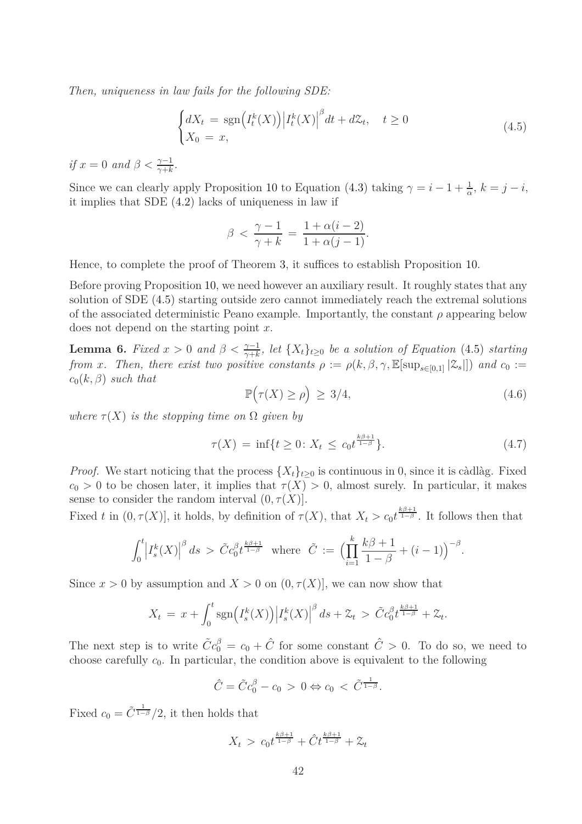*Then, uniqueness in law fails for the following SDE:*

<span id="page-41-0"></span>
$$
\begin{cases} dX_t = \text{sgn}\left(I_t^k(X)\right) \left|I_t^k(X)\right|^{\beta} dt + d\mathcal{Z}_t, \quad t \ge 0\\ X_0 = x, \end{cases} \tag{4.5}
$$

*if*  $x = 0$  *and*  $\beta < \frac{\gamma - 1}{\gamma + k}$ .

Since we can clearly apply Proposition [10](#page-40-2) to Equation [\(4.3\)](#page-40-1) taking  $\gamma = i - 1 + \frac{1}{\alpha}$ ,  $k = j - i$ , it implies that SDE [\(4.2\)](#page-40-0) lacks of uniqueness in law if

$$
\beta < \frac{\gamma - 1}{\gamma + k} = \frac{1 + \alpha(i - 2)}{1 + \alpha(j - 1)}.
$$

Hence, to complete the proof of Theorem [3,](#page-11-0) it suffices to establish Proposition [10.](#page-40-2)

Before proving Proposition [10,](#page-40-2) we need however an auxiliary result. It roughly states that any solution of SDE [\(4.5\)](#page-41-0) starting outside zero cannot immediately reach the extremal solutions of the associated deterministic Peano example. Importantly, the constant  $\rho$  appearing below does not depend on the starting point *x*.

<span id="page-41-1"></span>**Lemma 6.** *Fixed*  $x > 0$  *and*  $\beta < \frac{\gamma - 1}{\gamma + k}$ , let  $\{X_t\}_{t \geq 0}$  be a solution of Equation [\(4.5\)](#page-41-0) *starting from x.* Then, there exist two positive constants  $\rho := \rho(k, \beta, \gamma, \mathbb{E}[\sup_{s \in [0,1]} |\mathcal{Z}_s|])$  and  $c_0 :=$  $c_0(k,\beta)$  *such that* 

<span id="page-41-2"></span>
$$
\mathbb{P}\big(\tau(X) \ge \rho\big) \ge 3/4,\tag{4.6}
$$

*where*  $\tau(X)$  *is the stopping time on*  $\Omega$  *given by* 

$$
\tau(X) = \inf \{ t \ge 0 \colon X_t \le c_0 t^{\frac{k\beta + 1}{1 - \beta}} \}.
$$
\n(4.7)

*Proof.* We start noticing that the process  $\{X_t\}_{t\geq 0}$  is continuous in 0, since it is càdlàg. Fixed  $c_0 > 0$  to be chosen later, it implies that  $\tau(X) > 0$ , almost surely. In particular, it makes sense to consider the random interval  $(0, \tau(X)]$ .

Fixed *t* in  $(0, \tau(X))$ , it holds, by definition of  $\tau(X)$ , that  $X_t > c_0 t^{\frac{k\beta+1}{1-\beta}}$ . It follows then that

$$
\int_0^t \left| I_s^k(X) \right|^{\beta} ds > \tilde{C} c_0^{\beta} t^{\frac{k\beta+1}{1-\beta}} \text{ where } \tilde{C} := \Big( \prod_{i=1}^k \frac{k\beta+1}{1-\beta} + (i-1) \Big)^{-\beta}.
$$

Since  $x > 0$  by assumption and  $X > 0$  on  $(0, \tau(X))$ , we can now show that

$$
X_t = x + \int_0^t \text{sgn}\Big( I_s^k(X) \Big) \Big| I_s^k(X) \Big|^{\beta} ds + \mathcal{Z}_t > \tilde{C} c_0^{\beta} t^{\frac{k\beta + 1}{1 - \beta}} + \mathcal{Z}_t.
$$

The next step is to write  $\tilde{C}c_0^{\beta} = c_0 + \hat{C}$  for some constant  $\hat{C} > 0$ . To do so, we need to choose carefully  $c_0$ . In particular, the condition above is equivalent to the following

$$
\hat{C} = \tilde{C}c_0^{\beta} - c_0 > 0 \Leftrightarrow c_0 < \tilde{C}^{\frac{1}{1-\beta}}.
$$

Fixed  $c_0 = \tilde{C}^{\frac{1}{1-\beta}}/2$ , it then holds that

$$
X_t > c_0 t^{\frac{k\beta+1}{1-\beta}} + \hat{C} t^{\frac{k\beta+1}{1-\beta}} + \mathcal{Z}_t
$$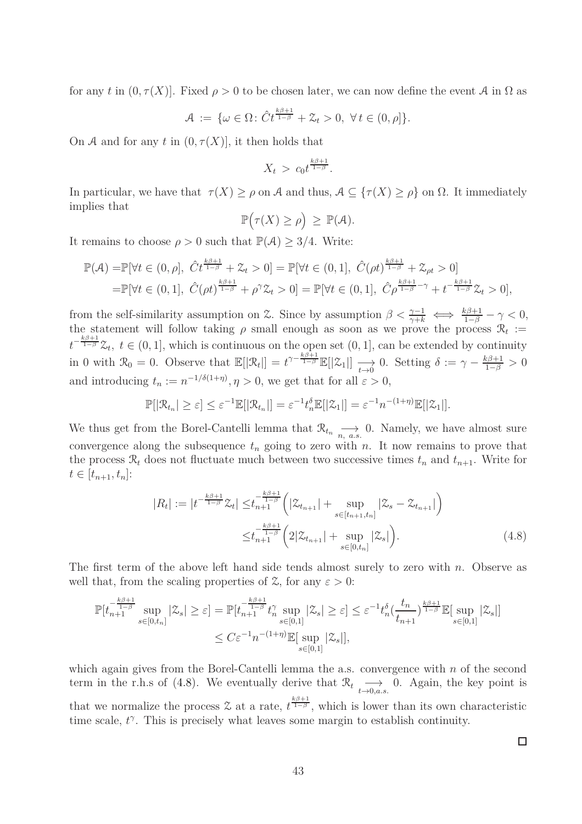for any *t* in  $(0, \tau(X))$ . Fixed  $\rho > 0$  to be chosen later, we can now define the event A in  $\Omega$  as

$$
\mathcal{A} := \{ \omega \in \Omega \colon \hat{C}t^{\frac{k\beta+1}{1-\beta}} + \mathcal{Z}_t > 0, \ \forall t \in (0, \rho] \}.
$$

On A and for any t in  $(0, \tau(X))$ , it then holds that

$$
X_t > c_0 t^{\frac{k\beta+1}{1-\beta}}.
$$

In particular, we have that  $\tau(X) \ge \rho$  on A and thus,  $A \subseteq {\tau(X) \ge \rho}$  on  $\Omega$ . It immediately implies that

$$
\mathbb{P}\big(\tau(X)\geq \rho\big)\,\geq\,\mathbb{P}(\mathcal{A}).
$$

It remains to choose  $\rho > 0$  such that  $\mathbb{P}(\mathcal{A}) \geq 3/4$ . Write:

$$
\mathbb{P}(\mathcal{A}) = \mathbb{P}[\forall t \in (0, \rho], \ \hat{C}t^{\frac{k\beta+1}{1-\beta}} + \mathcal{Z}_t > 0] = \mathbb{P}[\forall t \in (0, 1], \ \hat{C}(\rho t)^{\frac{k\beta+1}{1-\beta}} + \mathcal{Z}_{\rho t} > 0]
$$
  
=  $\mathbb{P}[\forall t \in (0, 1], \ \hat{C}(\rho t)^{\frac{k\beta+1}{1-\beta}} + \rho^{\gamma}\mathcal{Z}_t > 0] = \mathbb{P}[\forall t \in (0, 1], \ \hat{C}\rho^{\frac{k\beta+1}{1-\beta}-\gamma} + t^{-\frac{k\beta+1}{1-\beta}}\mathcal{Z}_t > 0],$ 

from the self-similarity assumption on  $\mathcal{Z}$ . Since by assumption  $\beta < \frac{\gamma-1}{\gamma+k} \iff \frac{k\beta+1}{1-\beta} - \gamma < 0$ , the statement will follow taking  $\rho$  small enough as soon as we prove the process  $\mathcal{R}_t :=$  $t^{-\frac{k\beta+1}{1-\beta}}\mathcal{Z}_t$ ,  $t \in (0,1]$ , which is continuous on the open set  $(0,1]$ , can be extended by continuity in 0 with  $\mathcal{R}_0 = 0$ . Observe that  $\mathbb{E}[|\mathcal{R}_t|] = t^{\gamma - \frac{k\beta + 1}{1-\beta}} \mathbb{E}[|\mathcal{Z}_1|] \longrightarrow_{t \to 0}$ 0. Setting  $\delta := \gamma - \frac{k\beta + 1}{1-\beta} > 0$ and introducing  $t_n := n^{-1/\delta(1+\eta)}, \eta > 0$ , we get that for all  $\varepsilon > 0$ ,

$$
\mathbb{P}[|\mathcal{R}_{t_n}| \geq \varepsilon] \leq \varepsilon^{-1} \mathbb{E}[|\mathcal{R}_{t_n}|] = \varepsilon^{-1} t_n^{\delta} \mathbb{E}[|\mathcal{Z}_1|] = \varepsilon^{-1} n^{-(1+\eta)} \mathbb{E}[|\mathcal{Z}_1|].
$$

We thus get from the Borel-Cantelli lemma that  $\mathcal{R}_{t_n} \longrightarrow_{n, a.s.} 0$ . Namely, we have almost sure convergence along the subsequence  $t_n$  going to zero with  $n$ . It now remains to prove that the process  $\mathcal{R}_t$  does not fluctuate much between two successive times  $t_n$  and  $t_{n+1}$ . Write for  $t \in [t_{n+1}, t_n]$ :

$$
|R_t| := |t^{-\frac{k\beta+1}{1-\beta}} \mathcal{Z}_t| \leq t_{n+1}^{-\frac{k\beta+1}{1-\beta}} \left( |\mathcal{Z}_{t_{n+1}}| + \sup_{s \in [t_{n+1}, t_n]} |\mathcal{Z}_s - \mathcal{Z}_{t_{n+1}}| \right)
$$
  

$$
\leq t_{n+1}^{-\frac{k\beta+1}{1-\beta}} \left( 2|\mathcal{Z}_{t_{n+1}}| + \sup_{s \in [0, t_n]} |\mathcal{Z}_s| \right).
$$
 (4.8)

The first term of the above left hand side tends almost surely to zero with *n*. Observe as well that, from the scaling properties of  $\mathcal{Z}$ , for any  $\varepsilon > 0$ :

$$
\mathbb{P}[t_{n+1}^{-\frac{k\beta+1}{1-\beta}}\sup_{s\in[0,t_n]}|\mathcal{Z}_s|\geq \varepsilon] = \mathbb{P}[t_{n+1}^{-\frac{k\beta+1}{1-\beta}}t_n^{\gamma}\sup_{s\in[0,1]}|\mathcal{Z}_s|\geq \varepsilon] \leq \varepsilon^{-1}t_n^{\delta}(\frac{t_n}{t_{n+1}})^{\frac{k\beta+1}{1-\beta}}\mathbb{E}[\sup_{s\in[0,1]}|\mathcal{Z}_s|]
$$
  

$$
\leq C\varepsilon^{-1}n^{-(1+\eta)}\mathbb{E}[\sup_{s\in[0,1]}|\mathcal{Z}_s|],
$$

which again gives from the Borel-Cantelli lemma the a.s. convergence with *n* of the second term in the r.h.s of [\(4.8\)](#page-42-0). We eventually derive that  $\mathcal{R}_t \underset{t \to 0, a.s.}{\longrightarrow}$ 0. Again, the key point is that we normalize the process  $\mathcal Z$  at a rate,  $t^{\frac{k\beta+1}{1-\beta}}$ , which is lower than its own characteristic time scale,  $t^{\gamma}$ . This is precisely what leaves some margin to establish continuity.

<span id="page-42-0"></span> $\Box$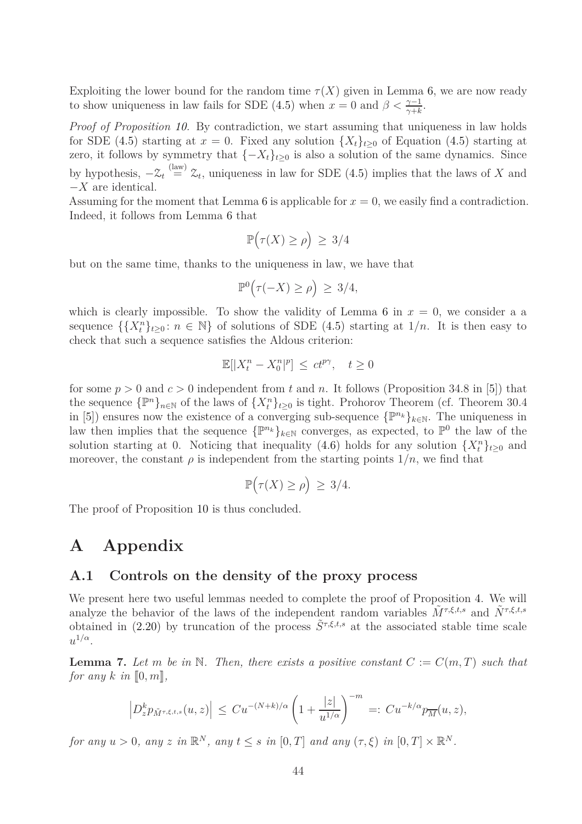Exploiting the lower bound for the random time  $\tau(X)$  given in Lemma [6,](#page-41-1) we are now ready to show uniqueness in law fails for SDE [\(4.5\)](#page-41-0) when  $x = 0$  and  $\beta < \frac{\gamma - 1}{\gamma + k}$ .

*Proof of Proposition [10.](#page-40-2)* By contradiction, we start assuming that uniqueness in law holds for SDE [\(4.5\)](#page-41-0) starting at  $x = 0$ . Fixed any solution  $\{X_t\}_{t>0}$  of Equation (4.5) starting at zero, it follows by symmetry that  $\{-X_t\}_{t\geq 0}$  is also a solution of the same dynamics. Since by hypothesis,  $-\mathfrak{L}_t \stackrel{\text{(law)}}{=} \mathfrak{L}_t$ , uniqueness in law for SDE [\(4.5\)](#page-41-0) implies that the laws of *X* and −*X* are identical.

Assuming for the moment that Lemma [6](#page-41-1) is applicable for  $x = 0$ , we easily find a contradiction. Indeed, it follows from Lemma [6](#page-41-1) that

$$
\mathbb{P}\big(\tau(X) \ge \rho\big) \ge 3/4
$$

but on the same time, thanks to the uniqueness in law, we have that

$$
\mathbb{P}^0(\tau(-X) \ge \rho) \ge 3/4,
$$

which is clearly impossible. To show the validity of Lemma [6](#page-41-1) in  $x = 0$ , we consider a a sequence  $\{\{X_t^n\}_{t\geq 0} : n \in \mathbb{N}\}\$  of solutions of SDE [\(4.5\)](#page-41-0) starting at  $1/n$ . It is then easy to check that such a sequence satisfies the Aldous criterion:

$$
\mathbb{E}[|X_t^n - X_0^n|^p] \le ct^{p\gamma}, \quad t \ge 0
$$

for some  $p > 0$  and  $c > 0$  independent from t and n. It follows (Proposition 34.8 in [\[5\]](#page-62-13)) that the sequence  $\{\mathbb{P}^n\}_{n\in\mathbb{N}}$  of the laws of  $\{X_t^n\}_{t\geq 0}$  is tight. Prohorov Theorem (cf. Theorem 30.4 in [\[5\]](#page-62-13)) ensures now the existence of a converging sub-sequence  $\{\mathbb{P}^{n_k}\}_{k\in\mathbb{N}}$ . The uniqueness in law then implies that the sequence  $\{\mathbb{P}^{n_k}\}_{k\in\mathbb{N}}$  converges, as expected, to  $\mathbb{P}^0$  the law of the solution starting at 0. Noticing that inequality [\(4.6\)](#page-41-2) holds for any solution  $\{X_t^n\}_{t\geq0}$  and moreover, the constant  $\rho$  is independent from the starting points  $1/n$ , we find that

$$
\mathbb{P}\big(\tau(X) \ge \rho\big) \ge 3/4.
$$

The proof of Proposition [10](#page-40-2) is thus concluded.

### **A Appendix**

#### **A.1 Controls on the density of the proxy process**

We present here two useful lemmas needed to complete the proof of Proposition [4.](#page-16-0) We will analyze the behavior of the laws of the independent random variables  $\tilde{M}^{\tau,\xi,t,s}$  and  $\tilde{N}^{\tau,\xi,t,s}$ obtained in [\(2.20\)](#page-17-4) by truncation of the process  $\tilde{S}^{\tau,\xi,t,s}$  at the associated stable time scale  $u^{1/\alpha}$ .

<span id="page-43-0"></span>**Lemma 7.** Let *m* be in N. Then, there exists a positive constant  $C := C(m,T)$  such that *for any*  $k$  *in*  $[0, m]$ *,* 

$$
\left| D_z^k p_{\tilde{M}^{\tau,\xi,t,s}}(u,z) \right| \leq C u^{-(N+k)/\alpha} \left( 1 + \frac{|z|}{u^{1/\alpha}} \right)^{-m} =: C u^{-k/\alpha} p_{\overline{M}}(u,z),
$$

*for any*  $u > 0$ , any  $z$  *in*  $\mathbb{R}^N$ , any  $t \leq s$  *in*  $[0,T]$  *and any*  $(\tau, \xi)$  *in*  $[0,T] \times \mathbb{R}^N$ .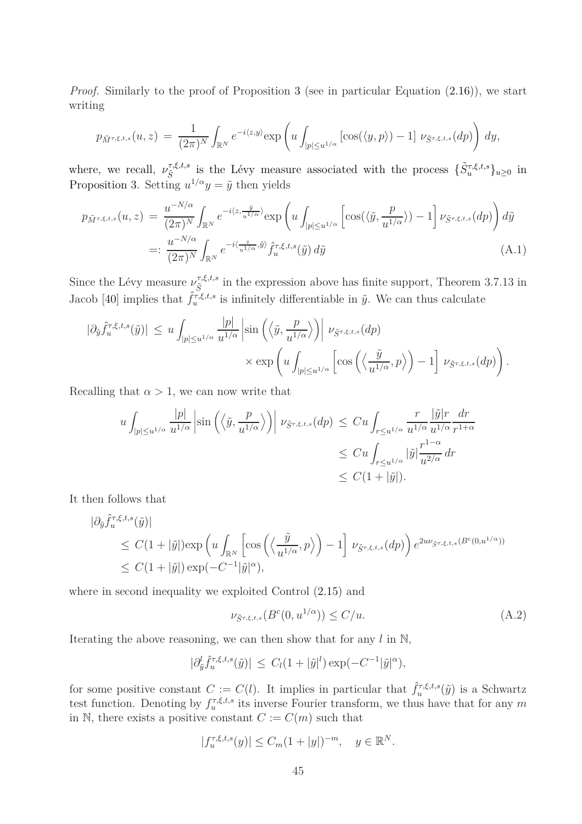*Proof.* Similarly to the proof of Proposition [3](#page-14-0) (see in particular Equation [\(2.16\)](#page-16-2)), we start writing

$$
p_{\tilde{M}^{\tau,\xi,t,s}}(u,z) = \frac{1}{(2\pi)^N} \int_{\mathbb{R}^N} e^{-i\langle z,y\rangle} \exp\left(u \int_{|p| \le u^{1/\alpha}} \left[\cos(\langle y,p\rangle) - 1\right] \nu_{\tilde{S}^{\tau,\xi,t,s}}(dp)\right) dy,
$$

where, we recall,  $\nu_{\tilde{S}}^{\tau,\xi,t,s}$ *S*<sup>*T,ξ,t,s*</sup> is the Lévy measure associated with the process  $\{\tilde{S}_u^{\tau,\xi,t,s}\}_{u\geq0}$  in Proposition [3.](#page-14-0) Setting  $u^{1/\alpha}y = \tilde{y}$  then yields

$$
p_{\tilde{M}^{\tau,\xi,t,s}}(u,z) = \frac{u^{-N/\alpha}}{(2\pi)^N} \int_{\mathbb{R}^N} e^{-i\langle z, \frac{\tilde{y}}{u^{1/\alpha}} \rangle} \exp\left(u \int_{|p| \le u^{1/\alpha}} \left[\cos(\langle \tilde{y}, \frac{p}{u^{1/\alpha}} \rangle) - 1\right] \nu_{\tilde{S}^{\tau,\xi,t,s}}(dp)\right) d\tilde{y}
$$
  

$$
=: \frac{u^{-N/\alpha}}{(2\pi)^N} \int_{\mathbb{R}^N} e^{-i\langle \frac{z}{u^{1/\alpha}}, \tilde{y} \rangle} \hat{f}_u^{\tau,\xi,t,s}(\tilde{y}) d\tilde{y}
$$
(A.1)

Since the Lévy measure  $\nu_{\tilde{\varsigma}}^{\tau,\xi,t,s}$  $\tilde{S}^{7,\xi,t,s}_{\tilde{S}}$  in the expression above has finite support, Theorem 3.7.13 in Jacob [\[40\]](#page-64-12) implies that  $\hat{f}_u^{\tau,\xi,t,s}$  is infinitely differentiable in  $\tilde{y}$ . We can thus calculate

$$
\begin{split} |\partial_{\tilde{y}} \hat{f}_{u}^{\tau,\xi,t,s}(\tilde{y})| \, &\leq \, u \int_{|p| \leq u^{1/\alpha}} \frac{|p|}{u^{1/\alpha}} \left| \sin \left( \left\langle \tilde{y}, \frac{p}{u^{1/\alpha}} \right\rangle \right) \right| \, \nu_{\tilde{S}^{\tau,\xi,t,s}}(dp) \\ &\times \exp \left( u \int_{|p| \leq u^{1/\alpha}} \left[ \cos \left( \left\langle \frac{\tilde{y}}{u^{1/\alpha}}, p \right\rangle \right) - 1 \right] \, \nu_{\tilde{S}^{\tau,\xi,t,s}}(dp) \right). \end{split}
$$

Recalling that  $\alpha > 1$ , we can now write that

$$
u \int_{|p| \le u^{1/\alpha}} \frac{|p|}{u^{1/\alpha}} \left| \sin \left( \left\langle \tilde{y}, \frac{p}{u^{1/\alpha}} \right\rangle \right) \right| \, \nu_{\tilde{S}^{\tau,\xi,t,s}}(dp) \le C u \int_{r \le u^{1/\alpha}} \frac{r}{u^{1/\alpha}} \frac{|\tilde{y}| r}{u^{1/\alpha}} \frac{dr}{r^{1+\alpha}} \n\le C u \int_{r \le u^{1/\alpha}} |\tilde{y}| \frac{r^{1-\alpha}}{u^{2/\alpha}} dr \n\le C (1+|\tilde{y}|).
$$

It then follows that

$$
\begin{split} |\partial_{\tilde{y}} \hat{f}_{u}^{\tau,\xi,t,s}(\tilde{y})| \\ &\leq C(1+|\tilde{y}|) \exp\left(u \int_{\mathbb{R}^N} \left[\cos\left(\left\langle \frac{\tilde{y}}{u^{1/\alpha}}, p \right\rangle\right) - 1\right] \, \nu_{\tilde{S}^{\tau,\xi,t,s}}(dp)\right) e^{2u\nu_{\tilde{S}^{\tau,\xi,t,s}}(B^c(0,u^{1/\alpha}))} \\ &\leq C(1+|\tilde{y}|) \exp(-C^{-1}|\tilde{y}|^{\alpha}), \end{split}
$$

where in second inequality we exploited Control [\(2.15\)](#page-15-2) and

<span id="page-44-0"></span>
$$
\nu_{\tilde{S}^{\tau,\xi,t,s}}(B^c(0,u^{1/\alpha})) \le C/u. \tag{A.2}
$$

Iterating the above reasoning, we can then show that for any *l* in N,

$$
|\partial_{\tilde{y}}^l \hat{f}_u^{\tau, \xi, t, s}(\tilde{y})| \leq C_l (1 + |\tilde{y}|^l) \exp(-C^{-1} |\tilde{y}|^{\alpha}),
$$

for some positive constant  $C := C(l)$ . It implies in particular that  $\hat{f}_u^{\tau,\xi,t,s}(\tilde{y})$  is a Schwartz test function. Denoting by  $f_u^{\tau,\xi,t,s}$  its inverse Fourier transform, we thus have that for any  $m$ in N, there exists a positive constant  $C := C(m)$  such that

$$
|f_u^{\tau, \xi, t, s}(y)| \le C_m (1+|y|)^{-m}, \quad y \in \mathbb{R}^N.
$$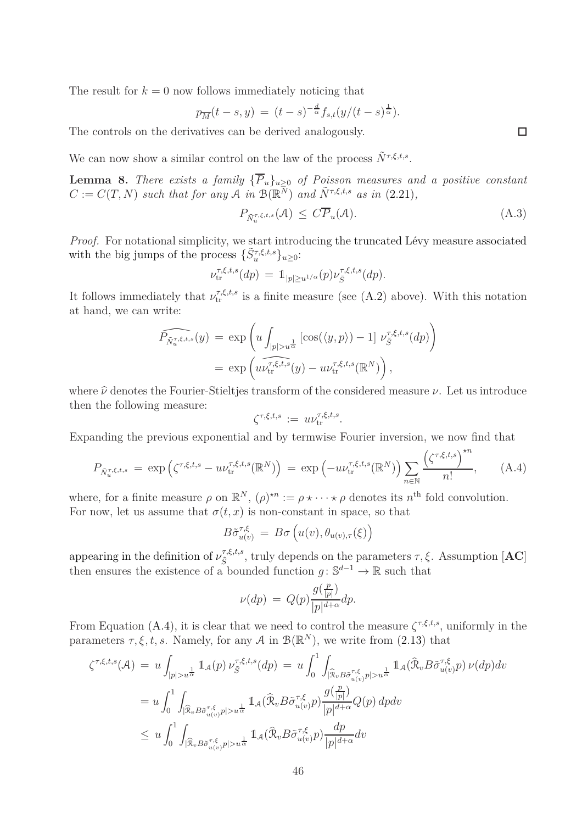The result for  $k = 0$  now follows immediately noticing that

$$
p_{\overline{M}}(t-s,y) = (t-s)^{-\frac{d}{\alpha}} f_{s,t}(y/(t-s)^{\frac{1}{\alpha}}).
$$

The controls on the derivatives can be derived analogously.

We can now show a similar control on the law of the process  $\tilde{N}^{\tau,\xi,t,s}$ .

<span id="page-45-0"></span>**Lemma 8.** *There exists a family*  ${\overline{P}_u}_{\geq 0}$  *of Poisson measures and a positive constant*  $C := C(T, N)$  *such that for any*  $\mathcal{A}$  *in*  $\mathcal{B}(\mathbb{R}^{\overline{N}})$  *and*  $\tilde{N}^{\tau, \xi, t, s}$  *as in* [\(2.21\)](#page-17-5)*,* 

<span id="page-45-2"></span>
$$
P_{\tilde{N}_u^{\tau,\xi,t,s}}(\mathcal{A}) \leq C\overline{P}_u(\mathcal{A}).\tag{A.3}
$$

*Proof.* For notational simplicity, we start introducing the truncated Lévy measure associated with the big jumps of the process  $\{\tilde{S}_u^{\tau,\xi,t,s}\}_{u\geq 0}$ :

$$
\nu_{\text{tr}}^{\tau,\xi,t,s}(dp) = \mathbb{1}_{|p|\geq u^{1/\alpha}}(p)\nu_{\tilde{S}}^{\tau,\xi,t,s}(dp).
$$

It follows immediately that  $\nu_{tr}^{\tau,\xi,t,s}$  is a finite measure (see [\(A.2\)](#page-44-0) above). With this notation at hand, we can write:

$$
\widehat{P_{\tilde{N}_u^{\tau,\xi,t,s}}}(y) = \exp\left(u \int_{|p|>u^{\frac{1}{\alpha}}} [\cos(\langle y,p \rangle) - 1] \nu_{\tilde{S}}^{\tau,\xi,t,s}(dp)\right)
$$

$$
= \exp\left(u \widehat{\nu_{tr}^{\tau,\xi,t,s}}(y) - u \nu_{tr}^{\tau,\xi,t,s}(\mathbb{R}^N)\right),
$$

where  $\hat{\nu}$  denotes the Fourier-Stieltjes transform of the considered measure  $\nu$ . Let us introduce then the following measure:

$$
\zeta^{\tau,\xi,t,s} := u\nu_{\rm tr}^{\tau,\xi,t,s}.
$$

Expanding the previous exponential and by termwise Fourier inversion, we now find that

<span id="page-45-1"></span>
$$
P_{\tilde{N}_u^{\tau,\xi,t,s}} = \exp\left(\zeta^{\tau,\xi,t,s} - u\nu_{\text{tr}}^{\tau,\xi,t,s}(\mathbb{R}^N)\right) = \exp\left(-u\nu_{\text{tr}}^{\tau,\xi,t,s}(\mathbb{R}^N)\right) \sum_{n \in \mathbb{N}} \frac{\left(\zeta^{\tau,\xi,t,s}\right)^{\star n}}{n!},\tag{A.4}
$$

where, for a finite measure  $\rho$  on  $\mathbb{R}^N$ ,  $(\rho)^{\star n} := \rho \star \cdots \star \rho$  denotes its  $n^{\text{th}}$  fold convolution. For now, let us assume that  $\sigma(t, x)$  is non-constant in space, so that

$$
B\tilde{\sigma}_{u(v)}^{\tau,\xi} = B\sigma\left(u(v), \theta_{u(v),\tau}(\xi)\right)
$$

appearing in the definition of  $\nu_{\tilde{\varsigma}}^{\tau,\xi,t,s}$  $\mathcal{F}_{\tilde{S}}^{t,\xi,t,s}$ , truly depends on the parameters  $\tau, \xi$ . Assumption [**AC**] then ensures the existence of a bounded function  $g: \mathbb{S}^{d-1} \to \mathbb{R}$  such that

$$
\nu(dp) = Q(p)\frac{g(\frac{p}{|p|})}{|p|^{d+\alpha}}dp.
$$

From Equation [\(A.4\)](#page-45-1), it is clear that we need to control the measure  $\zeta^{\tau,\xi,t,s}$ , uniformly in the parameters  $\tau, \xi, t, s$ . Namely, for any A in  $\mathcal{B}(\mathbb{R}^N)$ , we write from [\(2.13\)](#page-15-1) that

$$
\zeta^{\tau,\xi,t,s}(\mathcal{A}) = u \int_{|p|>u^{\frac{1}{\alpha}}} \mathbb{1}_{\mathcal{A}}(p) \nu_{\tilde{S}}^{\tau,\xi,t,s}(dp) = u \int_{0}^{1} \int_{|\widehat{\mathcal{R}}_{v}B\tilde{\sigma}_{u(v)}^{\tau,\xi}} \mathbb{1}_{\mathcal{A}}(\widehat{\mathcal{R}}_{v}B\tilde{\sigma}_{u(v)}^{\tau,\xi}p) \nu(dp) dv
$$
  
\n
$$
= u \int_{0}^{1} \int_{|\widehat{\mathcal{R}}_{v}B\tilde{\sigma}_{u(v)}^{\tau,\xi}} \mathbb{1}_{\mathcal{A}}(\widehat{\mathcal{R}}_{v}B\tilde{\sigma}_{u(v)}^{\tau,\xi}p) \frac{g(\frac{p}{|p|})}{|p|^{d+\alpha}} Q(p) dp dv
$$
  
\n
$$
\leq u \int_{0}^{1} \int_{|\widehat{\mathcal{R}}_{v}B\tilde{\sigma}_{u(v)}^{\tau,\xi}p| > u^{\frac{1}{\alpha}}} \mathbb{1}_{\mathcal{A}}(\widehat{\mathcal{R}}_{v}B\tilde{\sigma}_{u(v)}^{\tau,\xi}p) \frac{dp}{|p|^{d+\alpha}} dv
$$

 $\Box$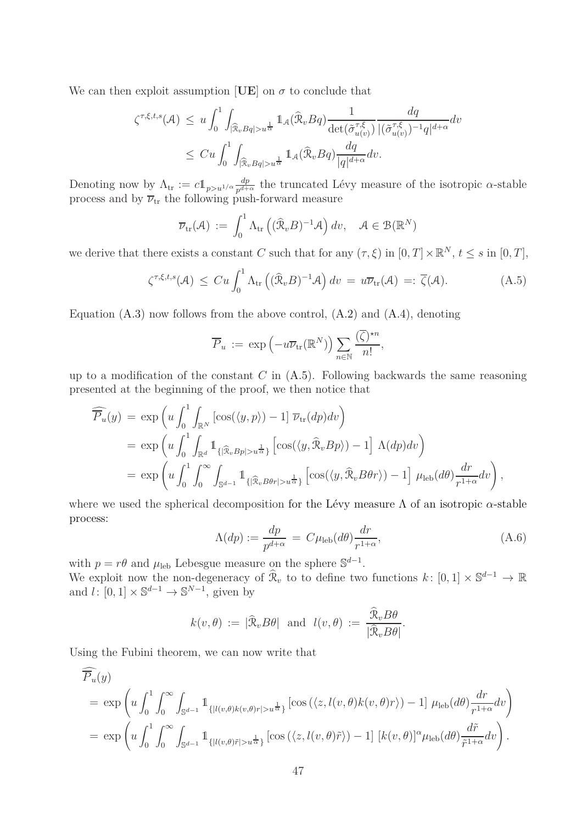We can then exploit assumption [UE] on  $\sigma$  to conclude that

$$
\zeta^{\tau,\xi,t,s}(\mathcal{A}) \leq u \int_0^1 \int_{|\widehat{\mathcal{R}}_v Bq| > u^{\frac{1}{\alpha}}} \mathbb{1}_{\mathcal{A}}(\widehat{\mathcal{R}}_v Bq) \frac{1}{\det(\widetilde{\sigma}_{u(v)}^{\tau,\xi})} \frac{dq}{|(\widetilde{\sigma}_{u(v)}^{\tau,\xi})^{-1}q|^{d+\alpha}} dv
$$
  

$$
\leq C u \int_0^1 \int_{|\widehat{\mathcal{R}}_v Bq| > u^{\frac{1}{\alpha}}} \mathbb{1}_{\mathcal{A}}(\widehat{\mathcal{R}}_v Bq) \frac{dq}{|q|^{d+\alpha}} dv.
$$

Denoting now by  $\Lambda_{tr} := c \mathbb{1}_{p > u^{1/\alpha}} \frac{dp}{p^{d+1}}$  $\frac{dp}{p^{d+\alpha}}$  the truncated Lévy measure of the isotropic *α*-stable process and by  $\overline{\nu}_{tr}$  the following push-forward measure

$$
\overline{\nu}_{\text{tr}}(\mathcal{A}) := \int_0^1 \Lambda_{\text{tr}} \left( (\widehat{\mathcal{R}}_v B)^{-1} \mathcal{A} \right) dv, \quad \mathcal{A} \in \mathcal{B}(\mathbb{R}^N)
$$

we derive that there exists a constant *C* such that for any  $(\tau, \xi)$  in  $[0, T] \times \mathbb{R}^N$ ,  $t \leq s$  in  $[0, T]$ ,

<span id="page-46-0"></span>
$$
\zeta^{\tau,\xi,t,s}(\mathcal{A}) \leq Cu \int_0^1 \Lambda_{\text{tr}} \left( (\widehat{\mathcal{R}}_v B)^{-1} \mathcal{A} \right) dv = u \overline{\nu}_{\text{tr}}(\mathcal{A}) =: \overline{\zeta}(\mathcal{A}). \tag{A.5}
$$

Equation  $(A.3)$  now follows from the above control,  $(A.2)$  and  $(A.4)$ , denoting

$$
\overline{P}_u := \exp\left(-u\overline{\nu}_{\text{tr}}(\mathbb{R}^N)\right) \sum_{n \in \mathbb{N}} \frac{(\overline{\zeta})^{\star n}}{n!},
$$

up to a modification of the constant *C* in [\(A.5\)](#page-46-0). Following backwards the same reasoning presented at the beginning of the proof, we then notice that

$$
\widehat{P_u}(y) = \exp\left(u \int_0^1 \int_{\mathbb{R}^N} \left[\cos(\langle y, p \rangle) - 1\right] \overline{\nu}_{tr}(dp) dv\right)
$$
  
\n
$$
= \exp\left(u \int_0^1 \int_{\mathbb{R}^d} 1_{\{|\widehat{\mathcal{R}}_v B p| > u^{\frac{1}{\alpha}}\}} \left[\cos(\langle y, \widehat{\mathcal{R}}_v B p \rangle) - 1\right] \Lambda(dp) dv\right)
$$
  
\n
$$
= \exp\left(u \int_0^1 \int_0^\infty \int_{\mathbb{S}^{d-1}} 1_{\{|\widehat{\mathcal{R}}_v B \theta r| > u^{\frac{1}{\alpha}}\}} \left[\cos(\langle y, \widehat{\mathcal{R}}_v B \theta r \rangle) - 1\right] \mu_{\text{leb}}(d\theta) \frac{dr}{r^{1+\alpha}} dv\right),
$$

where we used the spherical decomposition for the Lévy measure Λ of an isotropic *α*-stable process:

$$
\Lambda(dp) := \frac{dp}{p^{d+\alpha}} = C\mu_{\text{leb}}(d\theta) \frac{dr}{r^{1+\alpha}},\tag{A.6}
$$

*.*

with  $p = r\theta$  and  $\mu_{\text{leb}}$  Lebesgue measure on the sphere  $\mathbb{S}^{d-1}$ . We exploit now the non-degeneracy of  $\widehat{\mathcal{R}}_v$  to to define two functions  $k: [0,1] \times \mathbb{S}^{d-1} \to \mathbb{R}$ and  $l: [0, 1] \times \mathbb{S}^{d-1} \to \mathbb{S}^{N-1}$ , given by

$$
k(v, \theta) := |\widehat{\mathcal{R}}_v B \theta|
$$
 and  $l(v, \theta) := \frac{\widehat{\mathcal{R}}_v B \theta}{|\widehat{\mathcal{R}}_v B \theta|}$ 

Using the Fubini theorem, we can now write that

$$
\widehat{P_u}(y) = \exp\left(u \int_0^1 \int_0^\infty \int_{\mathbb{S}^{d-1}} \mathbb{1}_{\{|l(v,\theta)k(v,\theta)r| > u^{\frac{1}{\alpha}}\}} \left[\cos\left(\langle z, l(v,\theta)k(v,\theta)r\rangle\right) - 1\right] \mu_{\text{leb}}(d\theta) \frac{dr}{r^{1+\alpha}} dv\right)
$$
\n
$$
= \exp\left(u \int_0^1 \int_0^\infty \int_{\mathbb{S}^{d-1}} \mathbb{1}_{\{|l(v,\theta)\tilde{r}| > u^{\frac{1}{\alpha}}\}} \left[\cos\left(\langle z, l(v,\theta)\tilde{r}\rangle\right) - 1\right] \left[k(v,\theta)\right]^\alpha \mu_{\text{leb}}(d\theta) \frac{d\tilde{r}}{\tilde{r}^{1+\alpha}} dv\right).
$$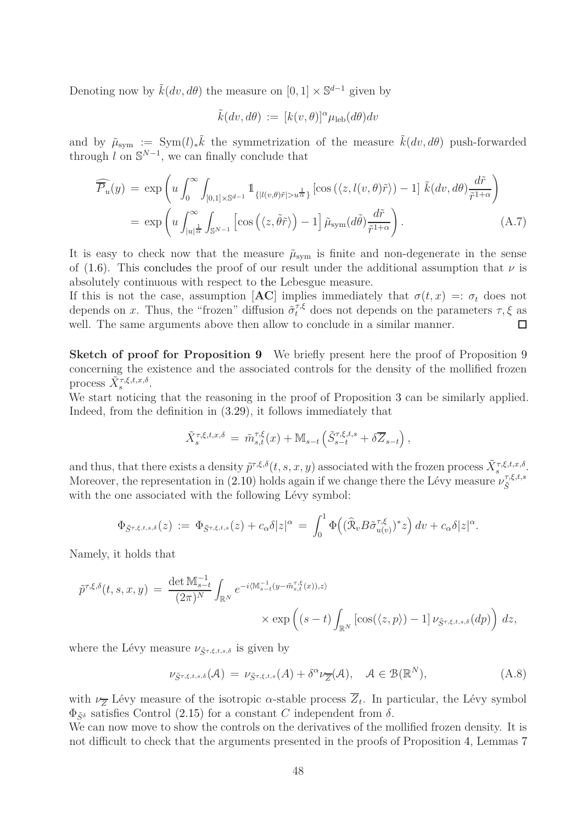Denoting now by  $\tilde{k}(dv, d\theta)$  the measure on  $[0, 1] \times \mathbb{S}^{d-1}$  given by

<span id="page-47-0"></span>
$$
\tilde{k}(dv, d\theta) := [k(v, \theta)]^{\alpha} \mu_{\text{leb}}(d\theta) dv
$$

and by  $\tilde{\mu}_{sym} := \text{Sym}(l)_*\tilde{k}$  the symmetrization of the measure  $\tilde{k}(dv, d\theta)$  push-forwarded through  $l$  on  $\mathbb{S}^{N-1}$ , we can finally conclude that

$$
\widehat{\overline{P}_u}(y) = \exp\left(u \int_0^\infty \int_{[0,1] \times \mathbb{S}^{d-1}} 1_{\{|l(v,\theta)\tilde{r}| > u^{\frac{1}{\alpha}}\}} [\cos(\langle z, l(v,\theta)\tilde{r}\rangle) - 1] \tilde{k}(dv, d\theta) \frac{d\tilde{r}}{\tilde{r}^{1+\alpha}}\right)
$$

$$
= \exp\left(u \int_{|u|^{\frac{1}{\alpha}}}^\infty \int_{\mathbb{S}^{N-1}} \left[\cos(\langle z, \tilde{\theta}\tilde{r}\rangle) - 1\right] \tilde{\mu}_{\text{sym}}(d\tilde{\theta}) \frac{d\tilde{r}}{\tilde{r}^{1+\alpha}}\right). \tag{A.7}
$$

It is easy to check now that the measure  $\tilde{\mu}_{sym}$  is finite and non-degenerate in the sense of [\(1.6\)](#page-6-0). This concludes the proof of our result under the additional assumption that  $\nu$  is absolutely continuous with respect to the Lebesgue measure.

If this is not the case, assumption  $[AC]$  implies immediately that  $\sigma(t,x) =: \sigma_t$  does not depends on *x*. Thus, the "frozen" diffusion  $\tilde{\sigma}_t^{\tau,\xi}$  does not depends on the parameters  $\tau, \xi$  as well. The same arguments above then allow to conclude in a similar manner.  $\Box$ 

**Sketch of proof for Proposition [9](#page-38-1)** We briefly present here the proof of Proposition 9 concerning the existence and the associated controls for the density of the mollified frozen process  $\widetilde{X}_s^{\tau,\xi,t,x,\delta}$ .

We start noticing that the reasoning in the proof of Proposition [3](#page-14-0) can be similarly applied. Indeed, from the definition in [\(3.29\)](#page-38-3), it follows immediately that

$$
\tilde{X}_{s}^{\tau,\xi,t,x,\delta} = \tilde{m}_{s,t}^{\tau,\xi}(x) + \mathbb{M}_{s-t} \left( \tilde{S}_{s-t}^{\tau,\xi,t,s} + \delta \overline{Z}_{s-t} \right),
$$

and thus, that there exists a density  $\tilde{p}^{\tau,\xi,\delta}(t,s,x,y)$  associated with the frozen process  $\tilde{X}_{s}^{\tau,\xi,t,x,\delta}$ . Moreover, the representation in [\(2.10\)](#page-14-4) holds again if we change there the Lévy measure  $\nu_{\tilde{\varsigma}}^{\tau,\xi,t,s}$  $\tilde{S}$ with the one associated with the following Lévy symbol:

$$
\Phi_{\tilde{S}^{\tau,\xi,t,s,\delta}}(z) := \Phi_{\tilde{S}^{\tau,\xi,t,s}}(z) + c_{\alpha}\delta|z|^{\alpha} = \int_0^1 \Phi\big((\widehat{\mathfrak{R}}_v B \tilde{\sigma}_{u(v)}^{\tau,\xi})^* z\big) dv + c_{\alpha}\delta|z|^{\alpha}.
$$

Namely, it holds that

$$
\tilde{p}^{\tau,\xi,\delta}(t,s,x,y) = \frac{\det \mathbb{M}_{s-t}^{-1}}{(2\pi)^N} \int_{\mathbb{R}^N} e^{-i\langle \mathbb{M}_{s-t}^{-1}(y-\tilde{m}_{s,t}^{\tau,\xi}(x)),z\rangle} \times \exp\left((s-t)\int_{\mathbb{R}^N} \left[\cos(\langle z,p \rangle) - 1\right] \nu_{\tilde{S}^{\tau,\xi,t,s,\delta}}(dp)\right) dz,
$$

where the Lévy measure  $\nu_{\tilde{S}^{\tau,\xi,t,s,\delta}}$  is given by

<span id="page-47-1"></span>
$$
\nu_{\tilde{S}^{\tau,\xi,t,s,\delta}}(\mathcal{A}) = \nu_{\tilde{S}^{\tau,\xi,t,s}}(A) + \delta^{\alpha} \nu_{\overline{Z}}(\mathcal{A}), \quad \mathcal{A} \in \mathcal{B}(\mathbb{R}^N), \tag{A.8}
$$

with  $\nu_{\overline{Z}}$  Lévy measure of the isotropic *α*-stable process  $\overline{Z}_t$ . In particular, the Lévy symbol  $\Phi_{\tilde{S}^{\delta}}$  satisfies Control [\(2.15\)](#page-15-2) for a constant *C* independent from  $\delta$ .

We can now move to show the controls on the derivatives of the mollified frozen density. It is not difficult to check that the arguments presented in the proofs of Proposition [4,](#page-16-0) Lemmas [7](#page-43-0)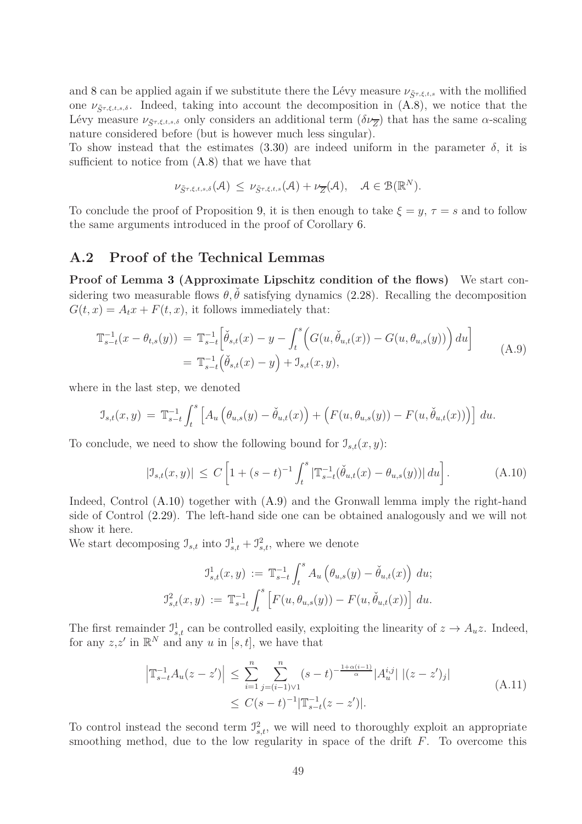and [8](#page-45-0) can be applied again if we substitute there the Lévy measure  $\nu_{\tilde{S}^{\tau,\xi,t,s}}$  with the mollified one  $\nu_{\tilde{S}^{\tau,\xi,t,s,\delta}}$ . Indeed, taking into account the decomposition in [\(A.8\)](#page-47-1), we notice that the Lévy measure  $\nu_{\tilde{S}^{\tau,\xi,t,s,\delta}}$  only considers an additional term  $(\delta\nu_{\overline{Z}})$  that has the same *α*-scaling nature considered before (but is however much less singular).

To show instead that the estimates  $(3.30)$  are indeed uniform in the parameter  $\delta$ , it is sufficient to notice from  $(A.8)$  that we have that

$$
\nu_{\tilde{S}^{\tau,\xi,t,s,\delta}}(\mathcal{A}) \leq \nu_{\tilde{S}^{\tau,\xi,t,s}}(\mathcal{A}) + \nu_{\overline{Z}}(\mathcal{A}), \quad \mathcal{A} \in \mathcal{B}(\mathbb{R}^N).
$$

<span id="page-48-0"></span>To conclude the proof of Proposition [9,](#page-38-1) it is then enough to take  $\xi = y$ ,  $\tau = s$  and to follow the same arguments introduced in the proof of Corollary [6.](#page-22-4)

#### **A.2 Proof of the Technical Lemmas**

**Proof of Lemma [3](#page-21-0) (Approximate Lipschitz condition of the flows)** We start considering two measurable flows  $\theta$ ,  $\check{\theta}$  satisfying dynamics [\(2.28\)](#page-20-1). Recalling the decomposition  $G(t, x) = A_t x + F(t, x)$ , it follows immediately that:

<span id="page-48-2"></span>
$$
\mathbb{T}_{s-t}^{-1}(x - \theta_{t,s}(y)) = \mathbb{T}_{s-t}^{-1} \left[ \check{\theta}_{s,t}(x) - y - \int_t^s \left( G(u, \check{\theta}_{u,t}(x)) - G(u, \theta_{u,s}(y)) \right) du \right]
$$
\n
$$
= \mathbb{T}_{s-t}^{-1} \left( \check{\theta}_{s,t}(x) - y \right) + \mathbb{I}_{s,t}(x, y), \tag{A.9}
$$

where in the last step, we denoted

$$
\mathcal{I}_{s,t}(x,y) = \mathbb{T}_{s-t}^{-1} \int_t^s \left[ A_u \left( \theta_{u,s}(y) - \check{\theta}_{u,t}(x) \right) + \left( F(u, \theta_{u,s}(y)) - F(u, \check{\theta}_{u,t}(x)) \right) \right] du.
$$

To conclude, we need to show the following bound for  $\mathcal{I}_{s,t}(x, y)$ :

<span id="page-48-1"></span>
$$
|\mathcal{I}_{s,t}(x,y)| \le C \left[ 1 + (s-t)^{-1} \int_t^s |\mathbb{T}_{s-t}^{-1}(\check{\theta}_{u,t}(x) - \theta_{u,s}(y))| \, du \right]. \tag{A.10}
$$

Indeed, Control [\(A.10\)](#page-48-1) together with [\(A.9\)](#page-48-2) and the Gronwall lemma imply the right-hand side of Control [\(2.29\)](#page-21-1). The left-hand side one can be obtained analogously and we will not show it here.

We start decomposing  $\mathcal{I}_{s,t}$  into  $\mathcal{I}_{s,t}^1 + \mathcal{I}_{s,t}^2$ , where we denote

$$
\mathfrak{I}^{1}_{s,t}(x,y) := \mathbb{T}_{s-t}^{-1} \int_{t}^{s} A_{u} \left( \theta_{u,s}(y) - \check{\theta}_{u,t}(x) \right) du;
$$
  

$$
\mathfrak{I}^{2}_{s,t}(x,y) := \mathbb{T}_{s-t}^{-1} \int_{t}^{s} \left[ F(u, \theta_{u,s}(y)) - F(u, \check{\theta}_{u,t}(x)) \right] du.
$$

The first remainder  $\mathcal{I}_{s,t}^1$  can be controlled easily, exploiting the linearity of  $z \to A_u z$ . Indeed, for any  $z, z'$  in  $\mathbb{R}^N$  and any *u* in [*s, t*], we have that

$$
\left| \mathbb{T}_{s-t}^{-1} A_u(z - z') \right| \leq \sum_{i=1}^n \sum_{j=(i-1)\vee 1}^n (s - t)^{-\frac{1+\alpha(i-1)}{\alpha}} |A_u^{i,j}| \left| (z - z')_j \right|
$$
\n
$$
\leq C(s - t)^{-1} |\mathbb{T}_{s-t}^{-1}(z - z')|.
$$
\n(A.11)

<span id="page-48-3"></span>To control instead the second term  $J_{s,t}^2$ , we will need to thoroughly exploit an appropriate smoothing method, due to the low regularity in space of the drift *F*. To overcome this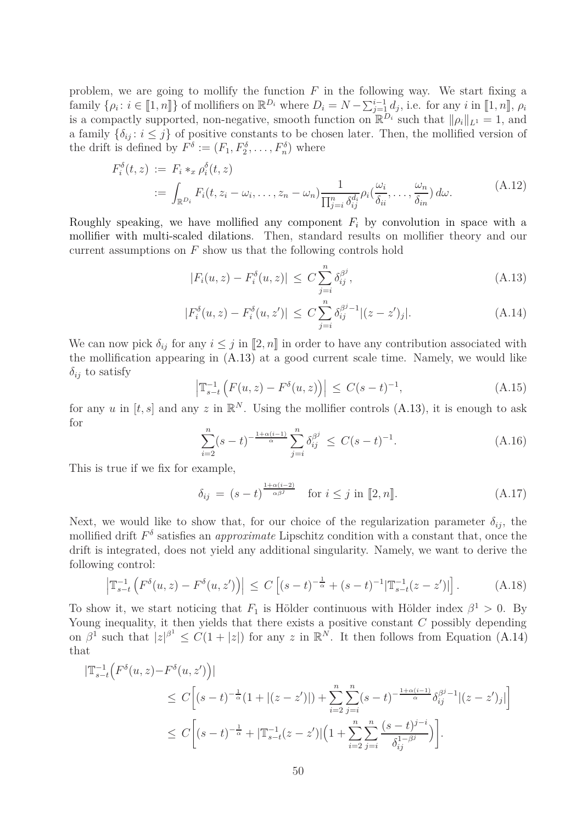problem, we are going to mollify the function *F* in the following way. We start fixing a family  $\{\rho_i : i \in [1, n]\}$  of mollifiers on  $\mathbb{R}^{D_i}$  where  $D_i = N - \sum_{j=1}^{i-1} d_j$ , i.e. for any *i* in [1, *n*],  $\rho_i$ is a compactly supported, non-negative, smooth function on  $\mathbb{R}^{D_i}$  such that  $\|\rho_i\|_{L^1} = 1$ , and a family  $\{\delta_{ij}: i \leq j\}$  of positive constants to be chosen later. Then, the mollified version of the drift is defined by  $F^{\delta} := (F_1, F_2^{\delta}, \dots, F_n^{\delta})$  where

$$
F_i^{\delta}(t, z) := F_i *_{x} \rho_i^{\delta}(t, z)
$$
  
 := 
$$
\int_{\mathbb{R}^{D_i}} F_i(t, z_i - \omega_i, \dots, z_n - \omega_n) \frac{1}{\prod_{j=i}^{n} \delta_{ij}^{d_i}} \rho_i(\frac{\omega_i}{\delta_{ii}}, \dots, \frac{\omega_n}{\delta_{in}}) d\omega.
$$
 (A.12)

<span id="page-49-4"></span>Roughly speaking, we have mollified any component  $F_i$  by convolution in space with a mollifier with multi-scaled dilations. Then, standard results on mollifier theory and our current assumptions on *F* show us that the following controls hold

<span id="page-49-1"></span><span id="page-49-0"></span>
$$
|F_i(u, z) - F_i^{\delta}(u, z)| \le C \sum_{j=i}^n \delta_{ij}^{\beta^j}, \tag{A.13}
$$

$$
|F_i^{\delta}(u, z) - F_i^{\delta}(u, z')| \le C \sum_{j=i}^n \delta_{ij}^{\beta^j - 1} |(z - z')_j|.
$$
 (A.14)

We can now pick  $\delta_{ij}$  for any  $i \leq j$  in  $[2, n]$  in order to have any contribution associated with the mollification appearing in [\(A.13\)](#page-49-0) at a good current scale time. Namely, we would like  $\delta_{ij}$  to satisfy

<span id="page-49-3"></span>
$$
\left| \mathbb{T}_{s-t}^{-1} \left( F(u, z) - F^{\delta}(u, z) \right) \right| \le C(s-t)^{-1}, \tag{A.15}
$$

for any *u* in  $[t, s]$  and any *z* in  $\mathbb{R}^N$ . Using the mollifier controls [\(A.13\)](#page-49-0), it is enough to ask for

$$
\sum_{i=2}^{n} (s-t)^{-\frac{1+\alpha(i-1)}{\alpha}} \sum_{j=i}^{n} \delta_{ij}^{\beta^j} \le C(s-t)^{-1}.
$$
 (A.16)

This is true if we fix for example,

<span id="page-49-5"></span>
$$
\delta_{ij} = (s-t)^{\frac{1+\alpha(i-2)}{\alpha\beta^j}} \quad \text{for } i \le j \text{ in } [2, n]. \tag{A.17}
$$

Next, we would like to show that, for our choice of the regularization parameter  $\delta_{ij}$ , the mollified drift *F δ* satisfies an *approximate* Lipschitz condition with a constant that, once the drift is integrated, does not yield any additional singularity. Namely, we want to derive the following control:

<span id="page-49-2"></span>
$$
\left| \mathbb{T}_{s-t}^{-1} \left( F^{\delta}(u, z) - F^{\delta}(u, z') \right) \right| \le C \left[ (s-t)^{-\frac{1}{\alpha}} + (s-t)^{-1} |\mathbb{T}_{s-t}^{-1}(z - z')| \right]. \tag{A.18}
$$

To show it, we start noticing that  $F_1$  is Hölder continuous with Hölder index  $\beta^1 > 0$ . By Young inequality, it then yields that there exists a positive constant *C* possibly depending on  $\beta^1$  such that  $|z|^{\beta^1} \leq C(1+|z|)$  for any *z* in  $\mathbb{R}^N$ . It then follows from Equation [\(A.14\)](#page-49-1) that

$$
\begin{split} |\mathbb{T}_{s-t}^{-1} \Big( F^{\delta}(u,z) - F^{\delta}(u,z') \Big) | \\ &\leq C \Big[ (s-t)^{-\frac{1}{\alpha}} (1 + |(z-z')|) + \sum_{i=2}^{n} \sum_{j=i}^{n} (s-t)^{-\frac{1+\alpha(i-1)}{\alpha}} \delta_{ij}^{\beta^{j}-1} |(z-z')_j| \Big] \\ &\leq C \Big[ (s-t)^{-\frac{1}{\alpha}} + |\mathbb{T}_{s-t}^{-1}(z-z')| \Big( 1 + \sum_{i=2}^{n} \sum_{j=i}^{n} \frac{(s-t)^{j-i}}{\delta_{ij}^{1-\beta^{j}}} \Big) \Big]. \end{split}
$$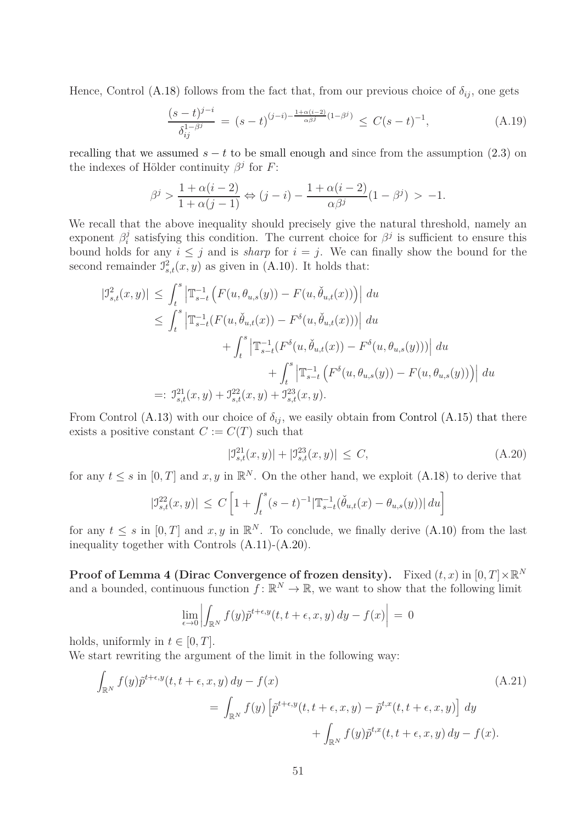Hence, Control [\(A.18\)](#page-49-2) follows from the fact that, from our previous choice of  $\delta_{ij}$ , one gets

$$
\frac{(s-t)^{j-i}}{\delta_{ij}^{1-\beta^j}} = (s-t)^{(j-i)-\frac{1+\alpha(i-2)}{\alpha\beta^j}(1-\beta^j)} \le C(s-t)^{-1},
$$
\n(A.19)

recalling that we assumed  $s - t$  to be small enough and since from the assumption [\(2.3\)](#page-13-4) on the indexes of Hölder continuity  $\beta^j$  for *F*:

$$
\beta^{j} > \frac{1 + \alpha(i - 2)}{1 + \alpha(j - 1)} \Leftrightarrow (j - i) - \frac{1 + \alpha(i - 2)}{\alpha \beta^{j}} (1 - \beta^{j}) > -1.
$$

We recall that the above inequality should precisely give the natural threshold, namely an exponent *β j* <sup>*j*</sup> satisfying this condition. The current choice for  $\beta$ <sup>*j*</sup> is sufficient to ensure this bound holds for any  $i \leq j$  and is *sharp* for  $i = j$ . We can finally show the bound for the second remainder  $\mathcal{I}_{s,t}^2(x, y)$  as given in [\(A.10\)](#page-48-1). It holds that:

$$
|\mathcal{I}_{s,t}^{2}(x,y)| \leq \int_{t}^{s} \left| \mathbb{T}_{s-t}^{-1} \left( F(u, \theta_{u,s}(y)) - F(u, \check{\theta}_{u,t}(x)) \right) \right| du
$$
  
\n
$$
\leq \int_{t}^{s} \left| \mathbb{T}_{s-t}^{-1} (F(u, \check{\theta}_{u,t}(x)) - F^{\delta}(u, \check{\theta}_{u,t}(x))) \right| du
$$
  
\n
$$
+ \int_{t}^{s} \left| \mathbb{T}_{s-t}^{-1} (F^{\delta}(u, \check{\theta}_{u,t}(x)) - F^{\delta}(u, \theta_{u,s}(y))) \right| du
$$
  
\n
$$
+ \int_{t}^{s} \left| \mathbb{T}_{s-t}^{-1} \left( F^{\delta}(u, \theta_{u,s}(y)) - F(u, \theta_{u,s}(y)) \right) \right| du
$$
  
\n
$$
=: \mathcal{I}_{s,t}^{21}(x, y) + \mathcal{I}_{s,t}^{22}(x, y) + \mathcal{I}_{s,t}^{23}(x, y).
$$

From Control [\(A.13\)](#page-49-0) with our choice of  $\delta_{ij}$ , we easily obtain from Control [\(A.15\)](#page-49-3) that there exists a positive constant  $C := C(T)$  such that

<span id="page-50-0"></span>
$$
|\mathcal{I}_{s,t}^{21}(x,y)| + |\mathcal{I}_{s,t}^{23}(x,y)| \le C,
$$
\n(A.20)

for any  $t \leq s$  in  $[0, T]$  and  $x, y$  in  $\mathbb{R}^N$ . On the other hand, we exploit [\(A.18\)](#page-49-2) to derive that

$$
|\mathcal{I}_{s,t}^{22}(x,y)| \leq C \left[ 1 + \int_t^s (s-t)^{-1} |\mathbb{T}_{s-t}^{-1}(\check{\theta}_{u,t}(x) - \theta_{u,s}(y))| du \right]
$$

for any  $t \leq s$  in  $[0, T]$  and  $x, y$  in  $\mathbb{R}^N$ . To conclude, we finally derive  $(A.10)$  from the last inequality together with Controls [\(A.11\)](#page-48-3)-[\(A.20\)](#page-50-0).

**Proof of Lemma [4](#page-27-0) (Dirac Convergence of frozen density).** Fixed  $(t, x)$  in  $[0, T] \times \mathbb{R}^N$ and a bounded, continuous function  $f: \mathbb{R}^N \to \mathbb{R}$ , we want to show that the following limit

<span id="page-50-1"></span>
$$
\lim_{\epsilon \to 0} \left| \int_{\mathbb{R}^N} f(y) \tilde{p}^{t+\epsilon, y}(t, t+\epsilon, x, y) dy - f(x) \right| = 0
$$

holds, uniformly in  $t \in [0, T]$ .

We start rewriting the argument of the limit in the following way:

$$
\int_{\mathbb{R}^N} f(y) \tilde{p}^{t+\epsilon, y}(t, t+\epsilon, x, y) dy - f(x)
$$
\n
$$
= \int_{\mathbb{R}^N} f(y) \left[ \tilde{p}^{t+\epsilon, y}(t, t+\epsilon, x, y) - \tilde{p}^{t, x}(t, t+\epsilon, x, y) \right] dy
$$
\n
$$
+ \int_{\mathbb{R}^N} f(y) \tilde{p}^{t, x}(t, t+\epsilon, x, y) dy - f(x).
$$
\n(A.21)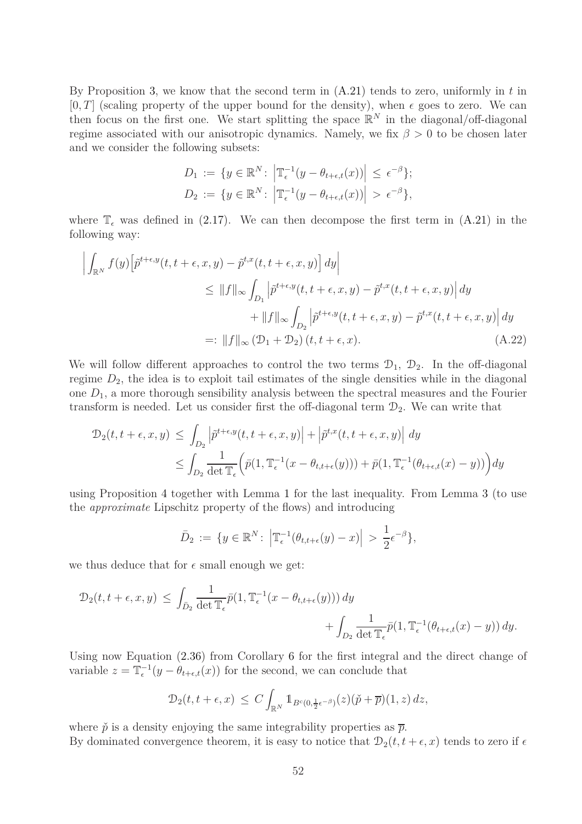By Proposition [3,](#page-14-0) we know that the second term in [\(A.21\)](#page-50-1) tends to zero, uniformly in *t* in  $[0, T]$  (scaling property of the upper bound for the density), when  $\epsilon$  goes to zero. We can then focus on the first one. We start splitting the space  $\mathbb{R}^N$  in the diagonal/off-diagonal regime associated with our anisotropic dynamics. Namely, we fix *β >* 0 to be chosen later and we consider the following subsets:

<span id="page-51-0"></span>
$$
D_1 := \{ y \in \mathbb{R}^N \colon \left| \mathbb{T}_{\epsilon}^{-1} (y - \theta_{t+\epsilon,t}(x)) \right| \leq \epsilon^{-\beta} \};
$$
  

$$
D_2 := \{ y \in \mathbb{R}^N \colon \left| \mathbb{T}_{\epsilon}^{-1} (y - \theta_{t+\epsilon,t}(x)) \right| > \epsilon^{-\beta} \},
$$

where  $\mathbb{T}_{\epsilon}$  was defined in [\(2.17\)](#page-16-4). We can then decompose the first term in [\(A.21\)](#page-50-1) in the following way:

$$
\left| \int_{\mathbb{R}^N} f(y) \left[ \tilde{p}^{t+\epsilon,y}(t, t+\epsilon, x, y) - \tilde{p}^{t,x}(t, t+\epsilon, x, y) \right] dy \right|
$$
  
\n
$$
\leq \|f\|_{\infty} \int_{D_1} \left| \tilde{p}^{t+\epsilon,y}(t, t+\epsilon, x, y) - \tilde{p}^{t,x}(t, t+\epsilon, x, y) \right| dy
$$
  
\n
$$
+ \|f\|_{\infty} \int_{D_2} \left| \tilde{p}^{t+\epsilon,y}(t, t+\epsilon, x, y) - \tilde{p}^{t,x}(t, t+\epsilon, x, y) \right| dy
$$
  
\n
$$
=: \|f\|_{\infty} (\mathcal{D}_1 + \mathcal{D}_2) (t, t+\epsilon, x).
$$
 (A.22)

We will follow different approaches to control the two terms  $\mathcal{D}_1$ ,  $\mathcal{D}_2$ . In the off-diagonal regime  $D_2$ , the idea is to exploit tail estimates of the single densities while in the diagonal one  $D_1$ , a more thorough sensibility analysis between the spectral measures and the Fourier transform is needed. Let us consider first the off-diagonal term  $\mathcal{D}_2$ . We can write that

$$
\mathcal{D}_2(t, t + \epsilon, x, y) \leq \int_{D_2} \left| \tilde{p}^{t+\epsilon, y}(t, t + \epsilon, x, y) \right| + \left| \tilde{p}^{t, x}(t, t + \epsilon, x, y) \right| dy
$$
  

$$
\leq \int_{D_2} \frac{1}{\det \mathbb{T}_{\epsilon}} \left( \bar{p}(1, \mathbb{T}_{\epsilon}^{-1}(x - \theta_{t, t + \epsilon}(y))) + \bar{p}(1, \mathbb{T}_{\epsilon}^{-1}(\theta_{t+\epsilon, t}(x) - y)) \right) dy
$$

using Proposition [4](#page-16-0) together with Lemma [1](#page-13-6) for the last inequality. From Lemma [3](#page-21-0) (to use the *approximate* Lipschitz property of the flows) and introducing

$$
\bar{D}_2 := \{ y \in \mathbb{R}^N \colon \left| \mathbb{T}_{\epsilon}^{-1}(\theta_{t,t+\epsilon}(y) - x) \right| > \frac{1}{2} \epsilon^{-\beta} \},
$$

we thus deduce that for  $\epsilon$  small enough we get:

$$
\mathcal{D}_2(t, t + \epsilon, x, y) \le \int_{\bar{D}_2} \frac{1}{\det \mathbb{T}_{\epsilon}} \bar{p}(1, \mathbb{T}_{\epsilon}^{-1}(x - \theta_{t, t + \epsilon}(y))) dy + \int_{D_2} \frac{1}{\det \mathbb{T}_{\epsilon}} \bar{p}(1, \mathbb{T}_{\epsilon}^{-1}(\theta_{t + \epsilon, t}(x) - y)) dy.
$$

Using now Equation [\(2.36\)](#page-23-1) from Corollary [6](#page-22-4) for the first integral and the direct change of variable  $z = \mathbb{T}_{\epsilon}^{-1}(y - \theta_{t+\epsilon,t}(x))$  for the second, we can conclude that

$$
\mathcal{D}_2(t,t+\epsilon,x) \ \leq \ C \int_{\mathbb{R}^N} \mathbb{1}_{B^c(0,\frac{1}{2}\epsilon^{-\beta})}(z) (\check{p}+\overline{p})(1,z) \, dz,
$$

where  $\check{p}$  is a density enjoying the same integrability properties as  $\overline{p}$ . By dominated convergence theorem, it is easy to notice that  $\mathcal{D}_2(t, t + \epsilon, x)$  tends to zero if  $\epsilon$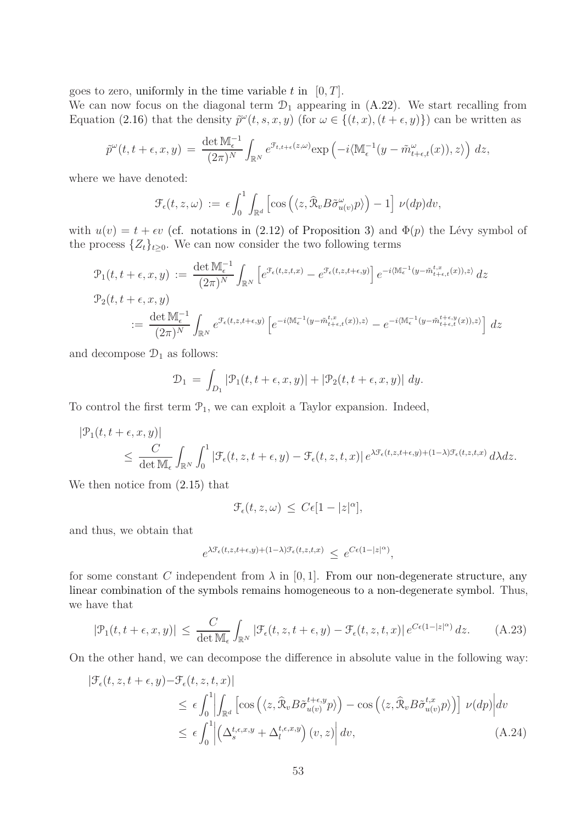goes to zero, uniformly in the time variable  $t$  in  $[0, T]$ .

We can now focus on the diagonal term  $\mathcal{D}_1$  appearing in  $(A.22)$ . We start recalling from Equation [\(2.16\)](#page-16-2) that the density  $\tilde{p}^{\omega}(t, s, x, y)$  (for  $\omega \in \{(t, x), (t + \epsilon, y)\}\)$  can be written as

$$
\tilde{p}^{\omega}(t, t + \epsilon, x, y) = \frac{\det \mathbb{M}_{\epsilon}^{-1}}{(2\pi)^N} \int_{\mathbb{R}^N} e^{\mathcal{F}_{t, t + \epsilon}(z, \omega)} \exp\left(-i \langle \mathbb{M}_{\epsilon}^{-1}(y - \tilde{m}_{t + \epsilon, t}^{\omega}(x)), z \rangle\right) dz,
$$

where we have denoted:

$$
\mathcal{F}_{\epsilon}(t,z,\omega) := \epsilon \int_0^1 \int_{\mathbb{R}^d} \left[ \cos \left( \langle z, \widehat{\mathcal{R}}_v B \widetilde{\sigma}_{u(v)}^{\omega} p \rangle \right) - 1 \right] \nu(dp) dv,
$$

with  $u(v) = t + \epsilon v$  (cf. notations in [\(2.12\)](#page-14-5) of Proposition [3\)](#page-14-0) and  $\Phi(p)$  the Lévy symbol of the process  $\{Z_t\}_{t\geq 0}$ . We can now consider the two following terms

$$
\mathcal{P}_1(t, t + \epsilon, x, y) := \frac{\det \mathbb{M}_{\epsilon}^{-1}}{(2\pi)^N} \int_{\mathbb{R}^N} \left[ e^{\mathcal{F}_{\epsilon}(t, z, t, x)} - e^{\mathcal{F}_{\epsilon}(t, z, t + \epsilon, y)} \right] e^{-i \langle \mathbb{M}_{\epsilon}^{-1}(y - \tilde{m}_{t+\epsilon, t}^{t, x}(x)), z \rangle} dz
$$
  

$$
\mathcal{P}_2(t, t + \epsilon, x, y)
$$
  

$$
:= \frac{\det \mathbb{M}_{\epsilon}^{-1}}{(2\pi)^N} \int_{\mathbb{R}^N} e^{\mathcal{F}_{\epsilon}(t, z, t + \epsilon, y)} \left[ e^{-i \langle \mathbb{M}_{\epsilon}^{-1}(y - \tilde{m}_{t+\epsilon, t}^{t, x}(x)), z \rangle} - e^{-i \langle \mathbb{M}_{\epsilon}^{-1}(y - \tilde{m}_{t+\epsilon, t}^{t+\epsilon, y}(x)), z \rangle} \right] dz
$$

and decompose  $\mathcal{D}_1$  as follows:

$$
\mathcal{D}_1 = \int_{D_1} |\mathcal{P}_1(t, t + \epsilon, x, y)| + |\mathcal{P}_2(t, t + \epsilon, x, y)| dy.
$$

To control the first term  $\mathcal{P}_1$ , we can exploit a Taylor expansion. Indeed,

$$
\begin{split} |\mathcal{P}_1(t,t+\epsilon,x,y)| \\ &\leq \frac{C}{\det \mathbb{M}_{\epsilon}} \int_{\mathbb{R}^N} \int_0^1 |\mathcal{F}_{\epsilon}(t,z,t+\epsilon,y) - \mathcal{F}_{\epsilon}(t,z,t,x)| \, e^{\lambda \mathcal{F}_{\epsilon}(t,z,t+\epsilon,y) + (1-\lambda)\mathcal{F}_{\epsilon}(t,z,t,x)} \, d\lambda dz. \end{split}
$$

We then notice from  $(2.15)$  that

$$
\mathcal{F}_{\epsilon}(t,z,\omega) \leq C\epsilon[1-|z|^{\alpha}],
$$

and thus, we obtain that

<span id="page-52-0"></span>
$$
e^{\lambda \mathcal{F}_{\epsilon}(t,z,t+\epsilon,y)+(1-\lambda)\mathcal{F}_{\epsilon}(t,z,t,x)} \leq e^{C\epsilon(1-|z|^{\alpha})},
$$

for some constant *C* independent from  $\lambda$  in [0, 1]. From our non-degenerate structure, any linear combination of the symbols remains homogeneous to a non-degenerate symbol. Thus, we have that

<span id="page-52-1"></span>
$$
|\mathcal{P}_1(t, t + \epsilon, x, y)| \le \frac{C}{\det \mathbb{M}_{\epsilon}} \int_{\mathbb{R}^N} |\mathcal{F}_{\epsilon}(t, z, t + \epsilon, y) - \mathcal{F}_{\epsilon}(t, z, t, x)| e^{C\epsilon (1-|z|^{\alpha})} dz.
$$
 (A.23)

On the other hand, we can decompose the difference in absolute value in the following way:

$$
|\mathcal{F}_{\epsilon}(t,z,t+\epsilon,y)-\mathcal{F}_{\epsilon}(t,z,t,x)|
$$
  
\n
$$
\leq \epsilon \int_{0}^{1} \left| \int_{\mathbb{R}^{d}} \left[ \cos \left( \langle z, \widehat{\mathcal{R}}_{v} B \widetilde{\sigma}_{u(v)}^{t+\epsilon,y} p \rangle \right) - \cos \left( \langle z, \widehat{\mathcal{R}}_{v} B \widetilde{\sigma}_{u(v)}^{t,x} p \rangle \right) \right] \nu(dp) \right| dv
$$
  
\n
$$
\leq \epsilon \int_{0}^{1} \left| \left( \Delta_{s}^{t,\epsilon,x,y} + \Delta_{l}^{t,\epsilon,x,y} \right) (v,z) \right| dv,
$$
\n(A.24)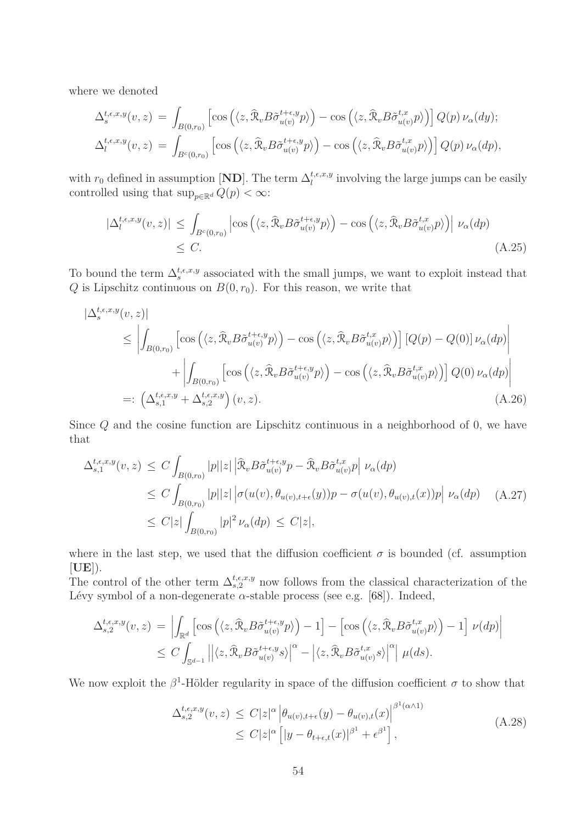where we denoted

$$
\Delta_s^{t,\epsilon,x,y}(v,z) = \int_{B(0,r_0)} \left[ \cos \left( \langle z, \hat{\mathcal{R}}_v B \tilde{\sigma}_{u(v)}^{t+\epsilon,y} p \rangle \right) - \cos \left( \langle z, \hat{\mathcal{R}}_v B \tilde{\sigma}_{u(v)}^{t,x} p \rangle \right) \right] Q(p) \nu_\alpha(dy);
$$
  

$$
\Delta_t^{t,\epsilon,x,y}(v,z) = \int_{B^c(0,r_0)} \left[ \cos \left( \langle z, \hat{\mathcal{R}}_v B \tilde{\sigma}_{u(v)}^{t+\epsilon,y} p \rangle \right) - \cos \left( \langle z, \hat{\mathcal{R}}_v B \tilde{\sigma}_{u(v)}^{t,x} p \rangle \right) \right] Q(p) \nu_\alpha(dp),
$$

with  $r_0$  defined in assumption [**ND**]. The term  $\Delta_l^{t,\epsilon,x,y}$  involving the large jumps can be easily controlled using that  $\sup_{p \in \mathbb{R}^d} Q(p) < \infty$ :

<span id="page-53-3"></span>
$$
|\Delta_l^{t,\epsilon,x,y}(v,z)| \leq \int_{B^c(0,r_0)} \left| \cos \left( \langle z, \widehat{\mathcal{R}}_v B \widetilde{\sigma}_{u(v)}^{t+\epsilon,y} p \rangle \right) - \cos \left( \langle z, \widehat{\mathcal{R}}_v B \widetilde{\sigma}_{u(v)}^{t,x} p \rangle \right) \right| \nu_\alpha(dp) \leq C. \tag{A.25}
$$

To bound the term  $\Delta_s^{t,\epsilon,x,y}$  associated with the small jumps, we want to exploit instead that *Q* is Lipschitz continuous on  $B(0, r_0)$ . For this reason, we write that

$$
\begin{split}\n|\Delta_{s}^{t,\epsilon,x,y}(v,z)| \\
&\leq \left| \int_{B(0,r_{0})} \left[ \cos \left( \langle z, \widehat{\mathcal{R}}_{v} B \widetilde{\sigma}_{u(v)}^{t+\epsilon,y} p \rangle \right) - \cos \left( \langle z, \widehat{\mathcal{R}}_{v} B \widetilde{\sigma}_{u(v)}^{t,x} p \rangle \right) \right] \left[ Q(p) - Q(0) \right] \nu_{\alpha}(dp) \\
&\quad + \left| \int_{B(0,r_{0})} \left[ \cos \left( \langle z, \widehat{\mathcal{R}}_{v} B \widetilde{\sigma}_{u(v)}^{t+\epsilon,y} p \rangle \right) - \cos \left( \langle z, \widehat{\mathcal{R}}_{v} B \widetilde{\sigma}_{u(v)}^{t,x} p \rangle \right) \right] Q(0) \nu_{\alpha}(dp) \right| \\
&=:\left( \Delta_{s,1}^{t,\epsilon,x,y} + \Delta_{s,2}^{t,\epsilon,x,y} \right) (v,z).\n\end{split} \tag{A.26}
$$

Since *Q* and the cosine function are Lipschitz continuous in a neighborhood of 0, we have that

<span id="page-53-2"></span><span id="page-53-0"></span>
$$
\Delta_{s,1}^{t,\epsilon,x,y}(v,z) \leq C \int_{B(0,r_0)} |p||z| \left| \widehat{\mathcal{R}}_v B \widetilde{\sigma}_{u(v)}^{t+\epsilon,y} p - \widehat{\mathcal{R}}_v B \widetilde{\sigma}_{u(v)}^{t,x} p \right| \nu_\alpha(dp) \n\leq C \int_{B(0,r_0)} |p||z| \left| \sigma(u(v), \theta_{u(v),t+\epsilon}(y)) p - \sigma(u(v), \theta_{u(v),t}(x)) p \right| \nu_\alpha(dp) \quad (A.27)
$$
\n
$$
\leq C |z| \int_{B(0,r_0)} |p|^2 \nu_\alpha(dp) \leq C |z|,
$$

where in the last step, we used that the diffusion coefficient  $\sigma$  is bounded (cf. assumption [**UE**]).

The control of the other term  $\Delta_{s,2}^{t,\epsilon,x,y}$  now follows from the classical characterization of the Lévy symbol of a non-degenerate  $\alpha$ -stable process (see e.g. [\[68\]](#page-66-6)). Indeed,

$$
\Delta_{s,2}^{t,\epsilon,x,y}(v,z) = \left| \int_{\mathbb{R}^d} \left[ \cos \left( \langle z, \widehat{\mathcal{R}}_v B \widetilde{\sigma}_{u(v)}^{t+\epsilon,y} p \rangle \right) - 1 \right] - \left[ \cos \left( \langle z, \widehat{\mathcal{R}}_v B \widetilde{\sigma}_{u(v)}^{t,x} p \rangle \right) - 1 \right] \nu(dp) \right|
$$
  

$$
\leq C \int_{\mathbb{S}^{d-1}} \left| \left| \langle z, \widehat{\mathcal{R}}_v B \widetilde{\sigma}_{u(v)}^{t+\epsilon,y} s \rangle \right|^\alpha - \left| \langle z, \widehat{\mathcal{R}}_v B \widetilde{\sigma}_{u(v)}^{t,x} s \rangle \right|^\alpha \right| \mu(ds).
$$

<span id="page-53-1"></span>We now exploit the  $\beta^1$ -Hölder regularity in space of the diffusion coefficient  $\sigma$  to show that

$$
\Delta_{s,2}^{t,\epsilon,x,y}(v,z) \leq C|z|^{\alpha} \left| \theta_{u(v),t+\epsilon}(y) - \theta_{u(v),t}(x) \right|^{\beta^1(\alpha \wedge 1)} \leq C|z|^{\alpha} \left[ |y - \theta_{t+\epsilon,t}(x)|^{\beta^1} + \epsilon^{\beta^1} \right],
$$
\n(A.28)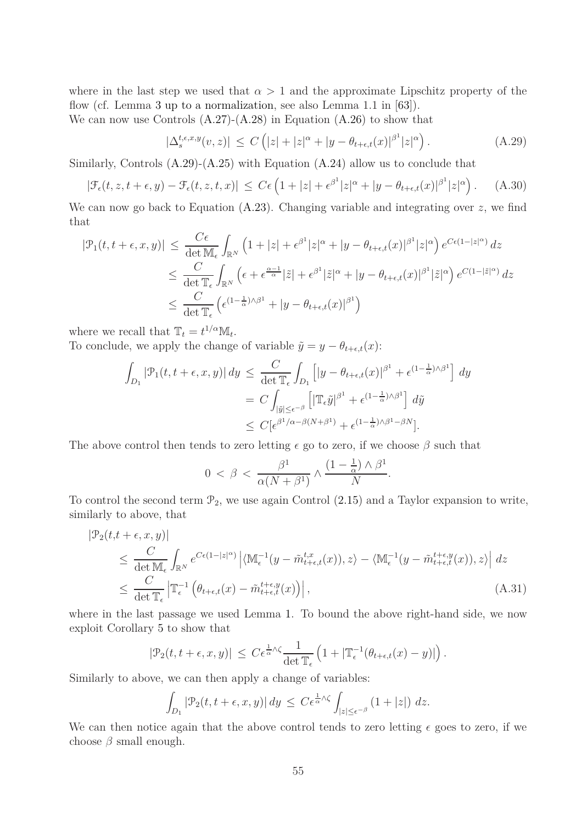where in the last step we used that  $\alpha > 1$  and the approximate Lipschitz property of the flow (cf. Lemma [3](#page-21-0) up to a normalization, see also Lemma 1*.*1 in [\[63\]](#page-65-16)).

We can now use Controls  $(A.27)-(A.28)$  $(A.27)-(A.28)$  in Equation  $(A.26)$  to show that

<span id="page-54-0"></span>
$$
|\Delta_s^{t,\epsilon,x,y}(v,z)| \le C\left(|z|+|z|^\alpha+|y-\theta_{t+\epsilon,t}(x)|^{\beta^1}|z|^\alpha\right). \tag{A.29}
$$

Similarly, Controls [\(A.29\)](#page-54-0)-[\(A.25\)](#page-53-3) with Equation [\(A.24\)](#page-52-0) allow us to conclude that

$$
|\mathcal{F}_{\epsilon}(t,z,t+\epsilon,y)-\mathcal{F}_{\epsilon}(t,z,t,x)| \leq C\epsilon \left(1+|z|+\epsilon^{\beta^1}|z|^{\alpha}+|y-\theta_{t+\epsilon,t}(x)|^{\beta^1}|z|^{\alpha}\right). \tag{A.30}
$$

We can now go back to Equation [\(A.23\)](#page-52-1). Changing variable and integrating over *z*, we find that

$$
|\mathcal{P}_1(t, t + \epsilon, x, y)| \leq \frac{C\epsilon}{\det \mathbb{M}_{\epsilon}} \int_{\mathbb{R}^N} \left( 1 + |z| + \epsilon^{\beta^1} |z|^{\alpha} + |y - \theta_{t+\epsilon,t}(x)|^{\beta^1} |z|^{\alpha} \right) e^{C\epsilon (1-|z|^{\alpha})} dz
$$
  
\n
$$
\leq \frac{C}{\det \mathbb{T}_{\epsilon}} \int_{\mathbb{R}^N} \left( \epsilon + \epsilon^{\frac{\alpha-1}{\alpha}} |\tilde{z}| + \epsilon^{\beta^1} |\tilde{z}|^{\alpha} + |y - \theta_{t+\epsilon,t}(x)|^{\beta^1} |\tilde{z}|^{\alpha} \right) e^{C(1-|\tilde{z}|^{\alpha})} dz
$$
  
\n
$$
\leq \frac{C}{\det \mathbb{T}_{\epsilon}} \left( \epsilon^{(1-\frac{1}{\alpha})\wedge \beta^1} + |y - \theta_{t+\epsilon,t}(x)|^{\beta^1} \right)
$$

where we recall that  $\mathbb{T}_t = t^{1/\alpha} \mathbb{M}_t$ . To conclude, we apply the change of variable  $\tilde{y} = y - \theta_{t+\epsilon,t}(x)$ :

$$
\int_{D_1} |\mathcal{P}_1(t, t + \epsilon, x, y)| dy \leq \frac{C}{\det \mathbb{T}_{\epsilon}} \int_{D_1} \left[ |y - \theta_{t + \epsilon, t}(x)|^{\beta^1} + \epsilon^{(1 - \frac{1}{\alpha}) \wedge \beta^1} \right] dy
$$
  

$$
= C \int_{|\tilde{y}| \leq \epsilon^{-\beta}} \left[ |\mathbb{T}_{\epsilon} \tilde{y}|^{\beta^1} + \epsilon^{(1 - \frac{1}{\alpha}) \wedge \beta^1} \right] d\tilde{y}
$$
  

$$
\leq C[\epsilon^{\beta^1/\alpha - \beta(N + \beta^1)} + \epsilon^{(1 - \frac{1}{\alpha}) \wedge \beta^1 - \beta N}].
$$

The above control then tends to zero letting  $\epsilon$  go to zero, if we choose  $\beta$  such that

$$
0 < \beta < \frac{\beta^1}{\alpha(N+\beta^1)} \wedge \frac{(1-\frac{1}{\alpha}) \wedge \beta^1}{N}.
$$

To control the second term  $\mathcal{P}_2$ , we use again Control [\(2.15\)](#page-15-2) and a Taylor expansion to write, similarly to above, that

$$
\begin{split} |\mathcal{P}_2(t, t + \epsilon, x, y)| \\ &\leq \frac{C}{\det \mathbb{M}_{\epsilon}} \int_{\mathbb{R}^N} e^{C\epsilon (1 - |z|^{\alpha})} \left| \langle \mathbb{M}_{\epsilon}^{-1}(y - \tilde{m}_{t + \epsilon, t}^{t, x}(x)), z \rangle - \langle \mathbb{M}_{\epsilon}^{-1}(y - \tilde{m}_{t + \epsilon, t}^{t + \epsilon, y}(x)), z \rangle \right| \, dz \\ &\leq \frac{C}{\det \mathbb{T}_{\epsilon}} \left| \mathbb{T}_{\epsilon}^{-1} \left( \theta_{t + \epsilon, t}(x) - \tilde{m}_{t + \epsilon, t}^{t + \epsilon, y}(x) \right) \right|, \end{split} \tag{A.31}
$$

where in the last passage we used Lemma [1.](#page-13-6) To bound the above right-hand side, we now exploit Corollary [5](#page-21-4) to show that

$$
|\mathcal{P}_2(t, t + \epsilon, x, y)| \leq C \epsilon^{\frac{1}{\alpha} \wedge \zeta} \frac{1}{\det \mathbb{T}_{\epsilon}} \left( 1 + |\mathbb{T}_{\epsilon}^{-1}(\theta_{t+\epsilon, t}(x) - y)| \right).
$$

Similarly to above, we can then apply a change of variables:

$$
\int_{D_1} |\mathcal{P}_2(t, t + \epsilon, x, y)| dy \leq C \epsilon^{\frac{1}{\alpha} \wedge \zeta} \int_{|z| \leq \epsilon^{-\beta}} (1 + |z|) dz.
$$

We can then notice again that the above control tends to zero letting  $\epsilon$  goes to zero, if we choose *β* small enough.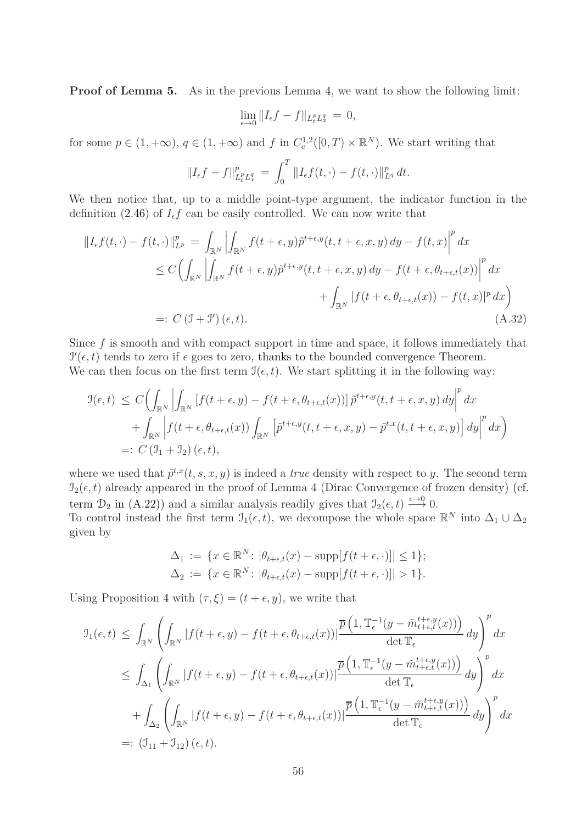**Proof of Lemma [5.](#page-27-5)** As in the previous Lemma [4,](#page-27-0) we want to show the following limit:

<span id="page-55-0"></span>
$$
\lim_{\epsilon \to 0} \|I_{\epsilon}f - f\|_{L_t^p L_x^q} = 0,
$$

for some  $p \in (1, +\infty)$ ,  $q \in (1, +\infty)$  and  $f$  in  $C_c^{1,2}([0, T) \times \mathbb{R}^N)$ . We start writing that

$$
||I_{\epsilon}f - f||_{L_t^p L_x^q}^p = \int_0^T ||I_{\epsilon}f(t, \cdot) - f(t, \cdot)||_{L^q}^p dt.
$$

We then notice that, up to a middle point-type argument, the indicator function in the definition [\(2.46\)](#page-27-2) of  $I_{\epsilon}f$  can be easily controlled. We can now write that

$$
||I_{\epsilon}f(t,\cdot)-f(t,\cdot)||_{L^{p}}^{p} = \int_{\mathbb{R}^{N}} \left| \int_{\mathbb{R}^{N}} f(t+\epsilon,y) \tilde{p}^{t+\epsilon,y}(t,t+\epsilon,x,y) dy - f(t,x) \right|^{p} dx
$$
  
\n
$$
\leq C \Big( \int_{\mathbb{R}^{N}} \left| \int_{\mathbb{R}^{N}} f(t+\epsilon,y) \tilde{p}^{t+\epsilon,y}(t,t+\epsilon,x,y) dy - f(t+\epsilon,\theta_{t+\epsilon,t}(x)) \right|^{p} dx
$$
  
\n
$$
+ \int_{\mathbb{R}^{N}} |f(t+\epsilon,\theta_{t+\epsilon,t}(x)) - f(t,x)|^{p} dx \Big)
$$
  
\n
$$
=: C \left( \mathcal{I} + \mathcal{I}' \right)(\epsilon,t). \tag{A.32}
$$

Since f is smooth and with compact support in time and space, it follows immediately that  $\mathcal{I}'(\epsilon, t)$  tends to zero if  $\epsilon$  goes to zero, thanks to the bounded convergence Theorem. We can then focus on the first term  $\mathcal{I}(\epsilon, t)$ . We start splitting it in the following way:

$$
\mathcal{I}(\epsilon, t) \leq C \Big( \int_{\mathbb{R}^N} \Big| \int_{\mathbb{R}^N} \left[ f(t + \epsilon, y) - f(t + \epsilon, \theta_{t + \epsilon, t}(x)) \right] \tilde{p}^{t + \epsilon, y}(t, t + \epsilon, x, y) dy \Big|^p dx \n+ \int_{\mathbb{R}^N} \Big| f(t + \epsilon, \theta_{t + \epsilon, t}(x)) \int_{\mathbb{R}^N} \left[ \tilde{p}^{t + \epsilon, y}(t, t + \epsilon, x, y) - \tilde{p}^{t, x}(t, t + \epsilon, x, y) \right] dy \Big|^p dx \Big)
$$
\n=:\n
$$
C \left( \mathcal{I}_1 + \mathcal{I}_2 \right)(\epsilon, t),
$$

where we used that  $\tilde{p}^{t,x}(t, s, x, y)$  is indeed a *true* density with respect to *y*. The second term  $\mathcal{I}_2(\epsilon, t)$  already appeared in the proof of Lemma [4](#page-27-0) (Dirac Convergence of frozen density) (cf. term  $\mathcal{D}_2$  in [\(A.22\)](#page-51-0)) and a similar analysis readily gives that  $\mathcal{I}_2(\epsilon, t) \stackrel{\epsilon \to 0}{\longrightarrow} 0$ . To control instead the first term  $\mathcal{I}_1(\epsilon, t)$ , we decompose the whole space  $\mathbb{R}^N$  into  $\Delta_1 \cup \Delta_2$ given by

$$
\Delta_1 := \{ x \in \mathbb{R}^N : |\theta_{t+\epsilon,t}(x) - \text{supp}[f(t+\epsilon, \cdot)]| \le 1 \};
$$
  

$$
\Delta_2 := \{ x \in \mathbb{R}^N : |\theta_{t+\epsilon,t}(x) - \text{supp}[f(t+\epsilon, \cdot)]| > 1 \}.
$$

Using Proposition [4](#page-16-0) with  $(\tau, \xi) = (t + \epsilon, y)$ , we write that

$$
\mathcal{I}_{1}(\epsilon, t) \leq \int_{\mathbb{R}^{N}} \left( \int_{\mathbb{R}^{N}} |f(t + \epsilon, y) - f(t + \epsilon, \theta_{t + \epsilon, t}(x))| \frac{\overline{p} \left( 1, \mathbb{T}_{\epsilon}^{-1} (y - \tilde{m}_{t + \epsilon, t}^{t + \epsilon, y}(x)) \right)}{\det \mathbb{T}_{\epsilon}} dy \right)^{p} dx
$$
\n
$$
\leq \int_{\Delta_{1}} \left( \int_{\mathbb{R}^{N}} |f(t + \epsilon, y) - f(t + \epsilon, \theta_{t + \epsilon, t}(x))| \frac{\overline{p} \left( 1, \mathbb{T}_{\epsilon}^{-1} (y - \tilde{m}_{t + \epsilon, t}^{t + \epsilon, y}(x)) \right)}{\det \mathbb{T}_{\epsilon}} dy \right)^{p} dx
$$
\n
$$
+ \int_{\Delta_{2}} \left( \int_{\mathbb{R}^{N}} |f(t + \epsilon, y) - f(t + \epsilon, \theta_{t + \epsilon, t}(x))| \frac{\overline{p} \left( 1, \mathbb{T}_{\epsilon}^{-1} (y - \tilde{m}_{t + \epsilon, t}^{t + \epsilon, y}(x)) \right)}{\det \mathbb{T}_{\epsilon}} dy \right)^{p} dx
$$
\n
$$
=: (\mathcal{I}_{11} + \mathcal{I}_{12}) (\epsilon, t).
$$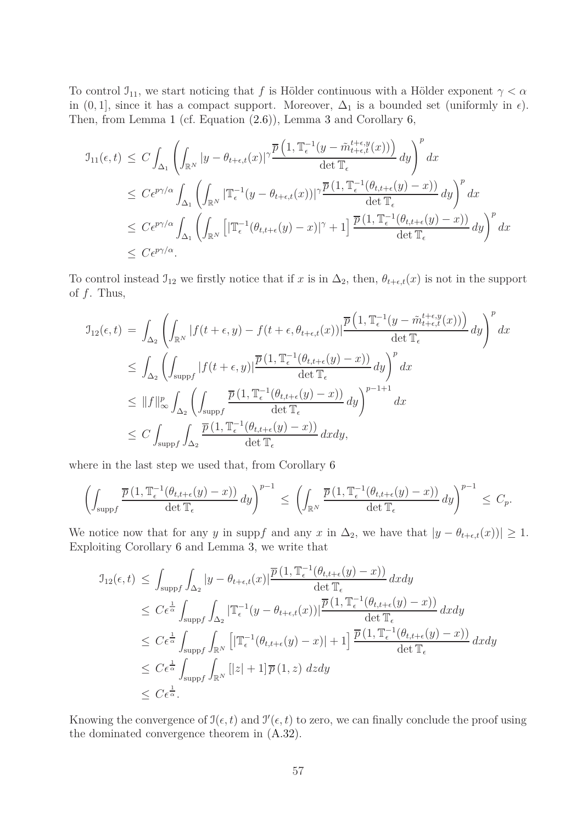To control  $\mathfrak{I}_{11}$ , we start noticing that *f* is Hölder continuous with a Hölder exponent  $\gamma < \alpha$ in  $(0, 1]$ , since it has a compact support. Moreover,  $\Delta_1$  is a bounded set (uniformly in  $\epsilon$ ). Then, from Lemma [1](#page-13-6) (cf. Equation [\(2.6\)](#page-13-3)), Lemma [3](#page-21-0) and Corollary [6,](#page-22-4)

$$
J_{11}(\epsilon, t) \leq C \int_{\Delta_1} \left( \int_{\mathbb{R}^N} |y - \theta_{t+\epsilon, t}(x)|^{\gamma} \frac{\overline{p} \left( 1, \mathbb{T}_{\epsilon}^{-1} (y - \tilde{m}_{t+\epsilon, t}^{t+\epsilon, y}(x)) \right)}{\det \mathbb{T}_{\epsilon}} dy \right)^p dx
$$
  
\n
$$
\leq C \epsilon^{p\gamma/\alpha} \int_{\Delta_1} \left( \int_{\mathbb{R}^N} |\mathbb{T}_{\epsilon}^{-1} (y - \theta_{t+\epsilon, t}(x))|^{\gamma} \frac{\overline{p} \left( 1, \mathbb{T}_{\epsilon}^{-1} (\theta_{t, t+\epsilon}(y) - x) \right)}{\det \mathbb{T}_{\epsilon}} dy \right)^p dx
$$
  
\n
$$
\leq C \epsilon^{p\gamma/\alpha} \int_{\Delta_1} \left( \int_{\mathbb{R}^N} |\mathbb{T}_{\epsilon}^{-1} (\theta_{t, t+\epsilon}(y) - x)|^{\gamma} + 1 \right] \frac{\overline{p} \left( 1, \mathbb{T}_{\epsilon}^{-1} (\theta_{t, t+\epsilon}(y) - x) \right)}{\det \mathbb{T}_{\epsilon}} dy \right)^p dx
$$
  
\n
$$
\leq C \epsilon^{p\gamma/\alpha}.
$$

To control instead  $\mathcal{I}_{12}$  we firstly notice that if *x* is in  $\Delta_2$ , then,  $\theta_{t+\epsilon,t}(x)$  is not in the support of *f*. Thus,

$$
\begin{split} \mathbf{J}_{12}(\epsilon,t) &= \int_{\Delta_2} \left( \int_{\mathbb{R}^N} |f(t+\epsilon,y) - f(t+\epsilon,\theta_{t+\epsilon,t}(x))| \frac{\overline{p}\left(1,\mathbb{T}_{\epsilon}^{-1}(y-\tilde{m}_{t+\epsilon,t}^{t+\epsilon,y}(x))\right)}{\det \mathbb{T}_{\epsilon}} \, dy \right)^p \, dx \\ &\leq \int_{\Delta_2} \left( \int_{\mathrm{supp} f} |f(t+\epsilon,y)| \frac{\overline{p}\left(1,\mathbb{T}_{\epsilon}^{-1}(\theta_{t,t+\epsilon}(y)-x)\right)}{\det \mathbb{T}_{\epsilon}} \, dy \right)^p \, dx \\ &\leq \|f\|_{\infty}^p \int_{\Delta_2} \left( \int_{\mathrm{supp} f} \frac{\overline{p}\left(1,\mathbb{T}_{\epsilon}^{-1}(\theta_{t,t+\epsilon}(y)-x)\right)}{\det \mathbb{T}_{\epsilon}} \, dy \right)^{p-1+1} \, dx \\ &\leq C \int_{\mathrm{supp} f} \int_{\Delta_2} \frac{\overline{p}\left(1,\mathbb{T}_{\epsilon}^{-1}(\theta_{t,t+\epsilon}(y)-x)\right)}{\det \mathbb{T}_{\epsilon}} \, dx dy, \end{split}
$$

where in the last step we used that, from Corollary [6](#page-22-4)

$$
\left(\int_{\mathrm{supp}f}\frac{\overline{p}\left(1,\mathbb{T}_{\epsilon}^{-1}(\theta_{t,t+\epsilon}(y)-x)\right)}{\det \mathbb{T}_{\epsilon}}\,dy\right)^{p-1} \leq \left(\int_{\mathbb{R}^N}\frac{\overline{p}\left(1,\mathbb{T}_{\epsilon}^{-1}(\theta_{t,t+\epsilon}(y)-x)\right)}{\det \mathbb{T}_{\epsilon}}\,dy\right)^{p-1} \leq C_p.
$$

We notice now that for any *y* in suppf and any *x* in  $\Delta_2$ , we have that  $|y - \theta_{t+\epsilon,t}(x)| \geq 1$ . Exploiting Corollary [6](#page-22-4) and Lemma [3,](#page-21-0) we write that

$$
\mathcal{I}_{12}(\epsilon, t) \leq \int_{\text{supp}f} \int_{\Delta_2} |y - \theta_{t+\epsilon, t}(x)| \frac{\overline{p}(1, \mathbb{T}_{\epsilon}^{-1}(\theta_{t, t+\epsilon}(y) - x))}{\det \mathbb{T}_{\epsilon}} dx dy
$$
\n
$$
\leq C \epsilon^{\frac{1}{\alpha}} \int_{\text{supp}f} \int_{\Delta_2} |\mathbb{T}_{\epsilon}^{-1}(y - \theta_{t+\epsilon, t}(x))| \frac{\overline{p}(1, \mathbb{T}_{\epsilon}^{-1}(\theta_{t, t+\epsilon}(y) - x))}{\det \mathbb{T}_{\epsilon}} dx dy
$$
\n
$$
\leq C \epsilon^{\frac{1}{\alpha}} \int_{\text{supp}f} \int_{\mathbb{R}^N} [|\mathbb{T}_{\epsilon}^{-1}(\theta_{t, t+\epsilon}(y) - x)| + 1] \frac{\overline{p}(1, \mathbb{T}_{\epsilon}^{-1}(\theta_{t, t+\epsilon}(y) - x))}{\det \mathbb{T}_{\epsilon}} dx dy
$$
\n
$$
\leq C \epsilon^{\frac{1}{\alpha}} \int_{\text{supp}f} \int_{\mathbb{R}^N} [|z| + 1] \overline{p}(1, z) dz dy
$$
\n
$$
\leq C \epsilon^{\frac{1}{\alpha}}.
$$

Knowing the convergence of  $\mathfrak{I}(\epsilon, t)$  and  $\mathfrak{I}'(\epsilon, t)$  to zero, we can finally conclude the proof using the dominated convergence theorem in [\(A.32\)](#page-55-0).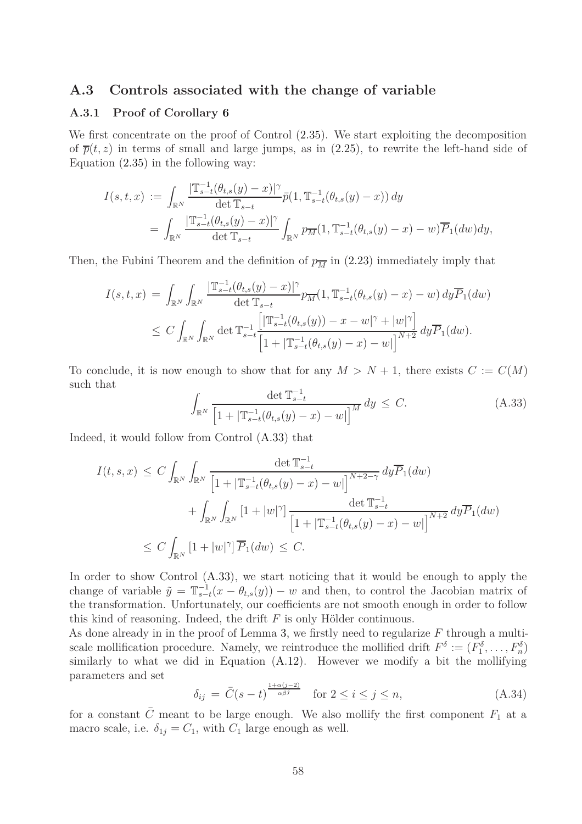#### **A.3 Controls associated with the change of variable**

#### **A.3.1 Proof of Corollary [6](#page-22-4)**

We first concentrate on the proof of Control [\(2.35\)](#page-22-3). We start exploiting the decomposition of  $\bar{p}(t, z)$  in terms of small and large jumps, as in [\(2.25\)](#page-17-3), to rewrite the left-hand side of Equation [\(2.35\)](#page-22-3) in the following way:

$$
I(s,t,x) := \int_{\mathbb{R}^N} \frac{|\mathbb{T}_{s-t}^{-1}(\theta_{t,s}(y) - x)|^{\gamma}}{\det \mathbb{T}_{s-t}} \bar{p}(1, \mathbb{T}_{s-t}^{-1}(\theta_{t,s}(y) - x)) dy
$$
  
= 
$$
\int_{\mathbb{R}^N} \frac{|\mathbb{T}_{s-t}^{-1}(\theta_{t,s}(y) - x)|^{\gamma}}{\det \mathbb{T}_{s-t}} \int_{\mathbb{R}^N} p_{\overline{M}}(1, \mathbb{T}_{s-t}^{-1}(\theta_{t,s}(y) - x) - w) \overline{P}_1(dw) dy,
$$

Then, the Fubini Theorem and the definition of  $p_{\overline{M}}$  in [\(2.23\)](#page-17-2) immediately imply that

$$
I(s,t,x) = \int_{\mathbb{R}^N} \int_{\mathbb{R}^N} \frac{|\mathbb{T}_{s-t}^{-1}(\theta_{t,s}(y) - x)|^{\gamma}}{\det \mathbb{T}_{s-t}} p_M(1, \mathbb{T}_{s-t}^{-1}(\theta_{t,s}(y) - x) - w) dy \overline{P}_1(dw)
$$
  

$$
\leq C \int_{\mathbb{R}^N} \int_{\mathbb{R}^N} \det \mathbb{T}_{s-t}^{-1} \frac{\left[|\mathbb{T}_{s-t}^{-1}(\theta_{t,s}(y)) - x - w|^{\gamma} + |w|^{\gamma}\right]}{\left[1 + |\mathbb{T}_{s-t}^{-1}(\theta_{t,s}(y) - x) - w|\right]^{N+2}} dy \overline{P}_1(dw).
$$

To conclude, it is now enough to show that for any  $M > N + 1$ , there exists  $C := C(M)$ such that

<span id="page-57-0"></span>
$$
\int_{\mathbb{R}^N} \frac{\det \mathbb{T}_{s-t}^{-1}}{\left[1 + |\mathbb{T}_{s-t}^{-1}(\theta_{t,s}(y) - x) - w|\right]^M} dy \le C.
$$
\n(A.33)

Indeed, it would follow from Control [\(A.33\)](#page-57-0) that

$$
I(t, s, x) \leq C \int_{\mathbb{R}^N} \int_{\mathbb{R}^N} \frac{\det \mathbb{T}_{s-t}^{-1}}{\left[1 + |\mathbb{T}_{s-t}^{-1}(\theta_{t,s}(y) - x) - w|\right]^{N+2-\gamma}} dy \overline{P}_1(dw)
$$
  
+ 
$$
\int_{\mathbb{R}^N} \int_{\mathbb{R}^N} \left[1 + |w|^\gamma\right] \frac{\det \mathbb{T}_{s-t}^{-1}}{\left[1 + |\mathbb{T}_{s-t}^{-1}(\theta_{t,s}(y) - x) - w|\right]^{N+2}} dy \overline{P}_1(dw)
$$
  

$$
\leq C \int_{\mathbb{R}^N} \left[1 + |w|^\gamma\right] \overline{P}_1(dw) \leq C.
$$

In order to show Control  $(A.33)$ , we start noticing that it would be enough to apply the change of variable  $\tilde{y} = \mathbb{T}_{s-t}^{-1}(x - \theta_{t,s}(y)) - w$  and then, to control the Jacobian matrix of the transformation. Unfortunately, our coefficients are not smooth enough in order to follow this kind of reasoning. Indeed, the drift *F* is only Hölder continuous.

As done already in in the proof of Lemma [3,](#page-21-0) we firstly need to regularize *F* through a multiscale mollification procedure. Namely, we reintroduce the mollified drift  $F^{\delta} := (F_1^{\delta}, \ldots, F_n^{\delta})$ similarly to what we did in Equation [\(A.12\)](#page-49-4). However we modify a bit the mollifying parameters and set

<span id="page-57-1"></span>
$$
\delta_{ij} = \bar{C}(s-t)^{\frac{1+\alpha(j-2)}{\alpha\beta^j}} \quad \text{for } 2 \le i \le j \le n,
$$
\n(A.34)

for a constant  $\bar{C}$  meant to be large enough. We also mollify the first component  $F_1$  at a macro scale, i.e.  $\delta_{1j} = C_1$ , with  $C_1$  large enough as well.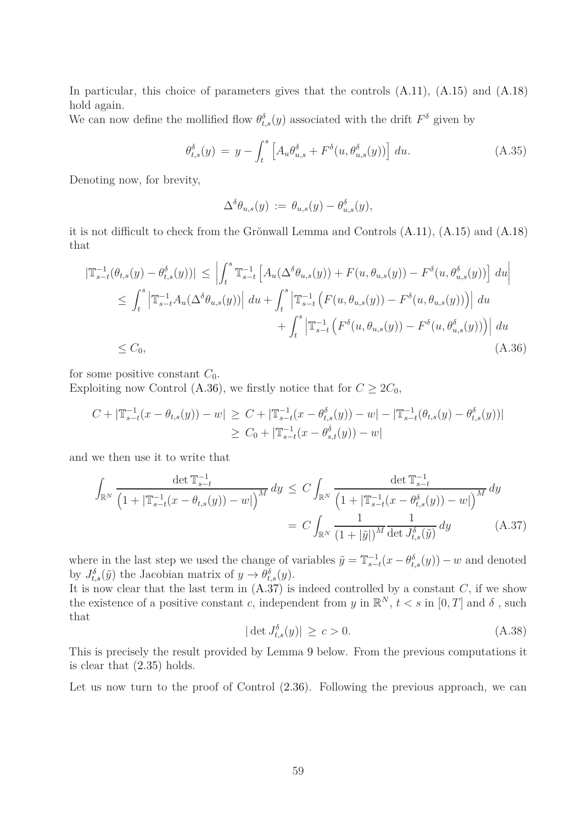In particular, this choice of parameters gives that the controls  $(A.11)$ ,  $(A.15)$  and  $(A.18)$ hold again.

We can now define the mollified flow  $\theta_{t,s}^{\delta}(y)$  associated with the drift  $F^{\delta}$  given by

$$
\theta_{t,s}^{\delta}(y) = y - \int_{t}^{s} \left[ A_u \theta_{u,s}^{\delta} + F^{\delta}(u, \theta_{u,s}^{\delta}(y)) \right] du.
$$
 (A.35)

Denoting now, for brevity,

<span id="page-58-0"></span>
$$
\Delta^{\delta} \theta_{u,s}(y) := \theta_{u,s}(y) - \theta_{u,s}^{\delta}(y),
$$

it is not difficult to check from the Grönwall Lemma and Controls [\(A.11\)](#page-48-3), [\(A.15\)](#page-49-3) and [\(A.18\)](#page-49-2) that

$$
|\mathbb{T}_{s-t}^{-1}(\theta_{t,s}(y) - \theta_{t,s}^{\delta}(y))| \leq \left| \int_{t}^{s} \mathbb{T}_{s-t}^{-1} \left[ A_{u}(\Delta^{\delta}\theta_{u,s}(y)) + F(u, \theta_{u,s}(y)) - F^{\delta}(u, \theta_{u,s}^{\delta}(y)) \right] du \right|
$$
  
\n
$$
\leq \int_{t}^{s} \left| \mathbb{T}_{s-t}^{-1} A_{u}(\Delta^{\delta}\theta_{u,s}(y)) \right| du + \int_{t}^{s} \left| \mathbb{T}_{s-t}^{-1} \left( F(u, \theta_{u,s}(y)) - F^{\delta}(u, \theta_{u,s}(y)) \right) \right| du
$$
  
\n
$$
+ \int_{t}^{s} \left| \mathbb{T}_{s-t}^{-1} \left( F^{\delta}(u, \theta_{u,s}(y)) - F^{\delta}(u, \theta_{u,s}^{\delta}(y)) \right) \right| du
$$
  
\n
$$
\leq C_{0}, \tag{A.36}
$$

for some positive constant  $C_0$ .

Exploiting now Control [\(A.36\)](#page-58-0), we firstly notice that for  $C \geq 2C_0$ ,

$$
C + |\mathbb{T}_{s-t}^{-1}(x - \theta_{t,s}(y)) - w| \geq C + |\mathbb{T}_{s-t}^{-1}(x - \theta_{t,s}^{\delta}(y)) - w| - |\mathbb{T}_{s-t}^{-1}(\theta_{t,s}(y) - \theta_{t,s}^{\delta}(y))|
$$
  

$$
\geq C_0 + |\mathbb{T}_{s-t}^{-1}(x - \theta_{s,t}^{\delta}(y)) - w|
$$

and we then use it to write that

$$
\int_{\mathbb{R}^N} \frac{\det \mathbb{T}_{s-t}^{-1}}{\left(1 + |\mathbb{T}_{s-t}^{-1}(x - \theta_{t,s}(y)) - w|\right)^M} dy \le C \int_{\mathbb{R}^N} \frac{\det \mathbb{T}_{s-t}^{-1}}{\left(1 + |\mathbb{T}_{s-t}^{-1}(x - \theta_{t,s}^{\delta}(y)) - w|\right)^M} dy
$$
\n
$$
= C \int_{\mathbb{R}^N} \frac{1}{\left(1 + |\tilde{y}|\right)^M} \frac{1}{\det J_{t,s}^{\delta}(\tilde{y})} dy \tag{A.37}
$$

where in the last step we used the change of variables  $\tilde{y} = \mathbb{T}_{s-t}^{-1}(x - \theta_{t,s}^{\delta}(y)) - w$  and denoted by  $J_{t,s}^{\delta}(\tilde{y})$  the Jacobian matrix of  $y \to \theta_{t,s}^{\delta}(y)$ .

It is now clear that the last term in [\(A.37\)](#page-58-1) is indeed controlled by a constant *C*, if we show the existence of a positive constant *c*, independent from *y* in  $\mathbb{R}^N$ ,  $t < s$  in  $[0, T]$  and  $\delta$ , such that

<span id="page-58-2"></span><span id="page-58-1"></span>
$$
|\det J_{t,s}^{\delta}(y)| \ge c > 0. \tag{A.38}
$$

This is precisely the result provided by Lemma [9](#page-59-0) below. From the previous computations it is clear that [\(2.35\)](#page-22-3) holds.

Let us now turn to the proof of Control  $(2.36)$ . Following the previous approach, we can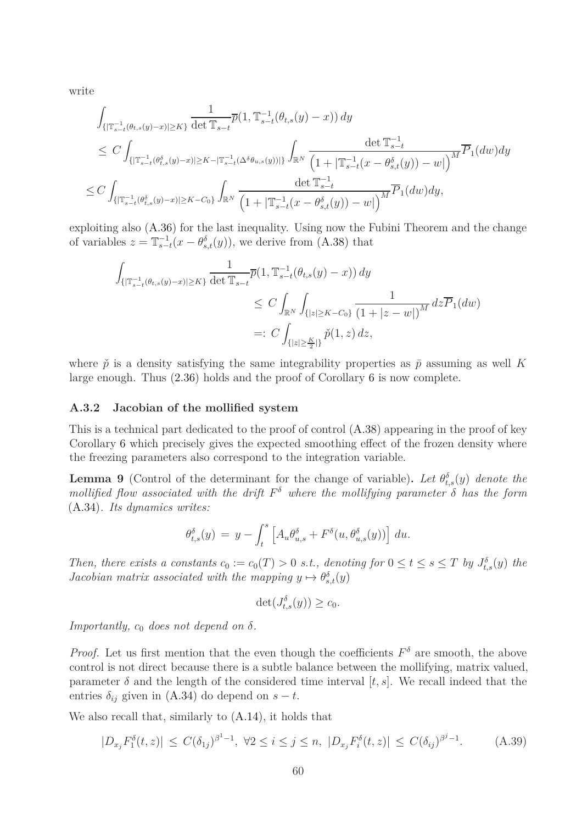write

$$
\int_{\{|\mathbb{T}_{s-t}^{-1}(\theta_{t,s}(y)-x)|\geq K\}} \frac{1}{\det \mathbb{T}_{s-t}} \overline{p}(1, \mathbb{T}_{s-t}^{-1}(\theta_{t,s}(y)-x)) dy
$$
\n
$$
\leq C \int_{\{|\mathbb{T}_{s-t}^{-1}(\theta_{t,s}^{\delta}(y)-x)|\geq K - |\mathbb{T}_{s-t}^{-1}(\Delta^{\delta}\theta_{u,s}(y))|\}} \int_{\mathbb{R}^N} \frac{\det \mathbb{T}_{s-t}^{-1}}{\left(1 + |\mathbb{T}_{s-t}^{-1}(x-\theta_{s,t}^{\delta}(y))-w|\right)^M} \overline{P}_1(dw) dy
$$
\n
$$
\leq C \int_{\{|\mathbb{T}_{s-t}^{-1}(\theta_{t,s}^{\delta}(y)-x)|\geq K - C_0\}} \int_{\mathbb{R}^N} \frac{\det \mathbb{T}_{s-t}^{-1}}{\left(1 + |\mathbb{T}_{s-t}^{-1}(x-\theta_{s,t}^{\delta}(y))-w|\right)^M} \overline{P}_1(dw) dy,
$$

exploiting also [\(A.36\)](#page-58-0) for the last inequality. Using now the Fubini Theorem and the change of variables  $z = \mathbb{T}_{s-t}^{-1}(x - \theta_{s,t}^{\delta}(y))$ , we derive from [\(A.38\)](#page-58-2) that

$$
\int_{\{|\mathbb{T}_{s-t}^{-1}(\theta_{t,s}(y)-x)|\geq K\}} \frac{1}{\det \mathbb{T}_{s-t}} \overline{p}(1, \mathbb{T}_{s-t}^{-1}(\theta_{t,s}(y)-x)) dy
$$
\n
$$
\leq C \int_{\mathbb{R}^N} \int_{\{|z|\geq K-C_0\}} \frac{1}{(1+|z-w|)^M} dz \overline{P}_1(dw)
$$
\n
$$
=: C \int_{\{|z|\geq \frac{K}{2}|\}} \check{p}(1,z) dz,
$$

where  $\check{p}$  is a density satisfying the same integrability properties as  $\bar{p}$  assuming as well K large enough. Thus [\(2.36\)](#page-23-1) holds and the proof of Corollary [6](#page-22-4) is now complete.

#### **A.3.2 Jacobian of the mollified system**

This is a technical part dedicated to the proof of control [\(A.38\)](#page-58-2) appearing in the proof of key Corollary [6](#page-22-4) which precisely gives the expected smoothing effect of the frozen density where the freezing parameters also correspond to the integration variable.

<span id="page-59-0"></span>**Lemma 9** (Control of the determinant for the change of variable). Let  $\theta_{t,s}^{\delta}(y)$  denote the *mollified flow associated with the drift*  $F^{\delta}$  *where the mollifying parameter*  $\delta$  *has the form* [\(A.34\)](#page-57-1)*. Its dynamics writes:*

$$
\theta_{t,s}^{\delta}(y) = y - \int_{t}^{s} \left[ A_u \theta_{u,s}^{\delta} + F^{\delta}(u, \theta_{u,s}^{\delta}(y)) \right] du.
$$

*Then, there exists a constants*  $c_0 := c_0(T) > 0$  *s.t., denoting for*  $0 \le t \le s \le T$  *by*  $J_{t,s}^{\delta}(y)$  *the Jacobian matrix associated with the mapping*  $y \mapsto \theta_{s,t}^{\delta}(y)$ 

$$
\det(J_{t,s}^{\delta}(y)) \ge c_0.
$$

*Importantly,*  $c_0$  *does not depend on*  $\delta$ *.* 

*Proof.* Let us first mention that the even though the coefficients  $F^{\delta}$  are smooth, the above control is not direct because there is a subtle balance between the mollifying, matrix valued, parameter  $\delta$  and the length of the considered time interval [ $t, s$ ]. We recall indeed that the entries  $\delta_{ij}$  given in [\(A.34\)](#page-57-1) do depend on  $s - t$ .

We also recall that, similarly to [\(A.14\)](#page-49-1), it holds that

$$
|D_{x_j} F_1^{\delta}(t, z)| \le C(\delta_{1j})^{\beta^1 - 1}, \ \forall 2 \le i \le j \le n, \ |D_{x_j} F_i^{\delta}(t, z)| \le C(\delta_{ij})^{\beta^j - 1}.
$$
 (A.39)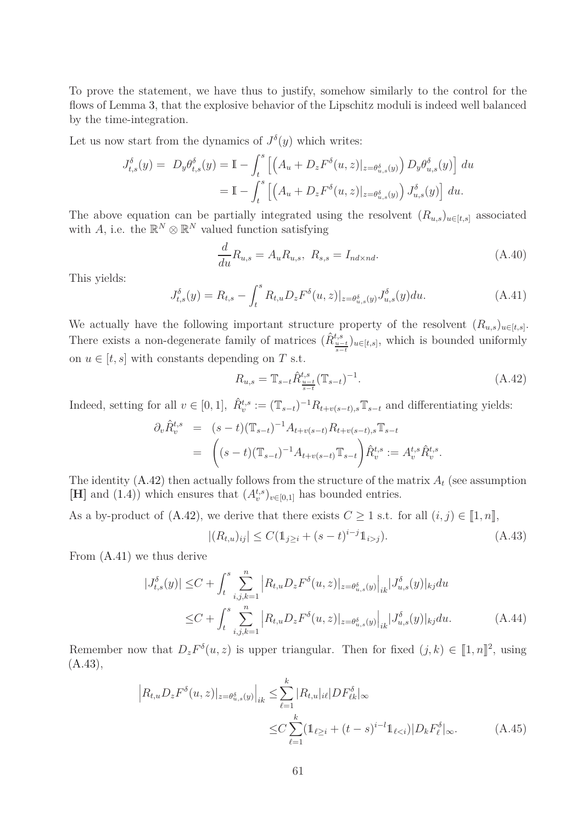To prove the statement, we have thus to justify, somehow similarly to the control for the flows of Lemma [3,](#page-21-0) that the explosive behavior of the Lipschitz moduli is indeed well balanced by the time-integration.

Let us now start from the dynamics of  $J^{\delta}(y)$  which writes:

$$
J_{t,s}^{\delta}(y) = D_y \theta_{t,s}^{\delta}(y) = \mathbb{I} - \int_t^s \left[ \left( A_u + D_z F^{\delta}(u, z) |_{z = \theta_{u,s}^{\delta}(y)} \right) D_y \theta_{u,s}^{\delta}(y) \right] du
$$
  

$$
= \mathbb{I} - \int_t^s \left[ \left( A_u + D_z F^{\delta}(u, z) |_{z = \theta_{u,s}^{\delta}(y)} \right) J_{u,s}^{\delta}(y) \right] du.
$$

The above equation can be partially integrated using the resolvent  $(R_{u,s})_{u\in[t,s]}$  associated with *A*, i.e. the  $\mathbb{R}^N \otimes \mathbb{R}^N$  valued function satisfying

$$
\frac{d}{du}R_{u,s} = A_u R_{u,s}, \ R_{s,s} = I_{nd \times nd}.
$$
\n(A.40)

This yields:

<span id="page-60-1"></span>
$$
J_{t,s}^{\delta}(y) = R_{t,s} - \int_{t}^{s} R_{t,u} D_z F^{\delta}(u,z)|_{z = \theta_{u,s}^{\delta}(y)} J_{u,s}^{\delta}(y) du.
$$
 (A.41)

We actually have the following important structure property of the resolvent  $(R_{u,s})_{u \in [t,s]}$ . There exists a non-degenerate family of matrices  $(\hat{R}_{\frac{u-t}{s-t}}^{t,s})_{u\in[t,s]}$ , which is bounded uniformly on  $u \in [t, s]$  with constants depending on *T* s.t.

<span id="page-60-0"></span>
$$
R_{u,s} = \mathbb{T}_{s-t} \hat{R}_{\frac{u-t}{s-t}}^{t,s} (\mathbb{T}_{s-t})^{-1}.
$$
 (A.42)

<span id="page-60-3"></span>*.*

Indeed, setting for all  $v \in [0, 1]$ ,  $\hat{R}_v^{t,s} := (\mathbb{T}_{s-t})^{-1} R_{t+v(s-t),s} \mathbb{T}_{s-t}$  and differentiating yields:

$$
\partial_v \hat{R}_v^{t,s} = (s-t)(\mathbb{T}_{s-t})^{-1} A_{t+v(s-t)} R_{t+v(s-t),s} \mathbb{T}_{s-t}
$$
  
= 
$$
\left( (s-t)(\mathbb{T}_{s-t})^{-1} A_{t+v(s-t)} \mathbb{T}_{s-t} \right) \hat{R}_v^{t,s} := A_v^{t,s} \hat{R}_v^{t,s}
$$

The identity  $(A.42)$  then actually follows from the structure of the matrix  $A_t$  (see assumption [**H**] and [\(1.4\)](#page-4-0)) which ensures that  $(A_v^{t,s})_{v \in [0,1]}$  has bounded entries.

As a by-product of  $(A.42)$ , we derive that there exists  $C \geq 1$  s.t. for all  $(i, j) \in [1, n],$ 

<span id="page-60-2"></span>
$$
|(R_{t,u})_{ij}| \le C(\mathbb{1}_{j\ge i} + (s-t)^{i-j}\mathbb{1}_{i>j}).
$$
\n(A.43)

From [\(A.41\)](#page-60-1) we thus derive

$$
|J_{t,s}^{\delta}(y)| \leq C + \int_{t}^{s} \sum_{i,j,k=1}^{n} \left| R_{t,u} D_{z} F^{\delta}(u,z) \right|_{z=\theta_{u,s}^{\delta}(y)} \Big|_{ik} |J_{u,s}^{\delta}(y)|_{kj} du
$$
  

$$
\leq C + \int_{t}^{s} \sum_{i,j,k=1}^{n} \left| R_{t,u} D_{z} F^{\delta}(u,z) \right|_{z=\theta_{u,s}^{\delta}(y)} \Big|_{ik} |J_{u,s}^{\delta}(y)|_{kj} du.
$$
 (A.44)

Remember now that  $D_z F^{\delta}(u, z)$  is upper triangular. Then for fixed  $(j, k) \in [1, n]^2$ , using  $(A.43),$  $(A.43),$ 

$$
\left| R_{t,u} D_z F^{\delta}(u, z) \right|_{z = \theta_{u,s}^{\delta}(y)} \Big|_{ik} \leq \sum_{\ell=1}^k |R_{t,u}|_{i\ell} |DF^{\delta}_{\ell k}|_{\infty} \leq C \sum_{\ell=1}^k (\mathbb{1}_{\ell \geq i} + (t - s)^{i - l} \mathbb{1}_{\ell < i}) |D_k F^{\delta}_{\ell}|_{\infty}.
$$
\n(A.45)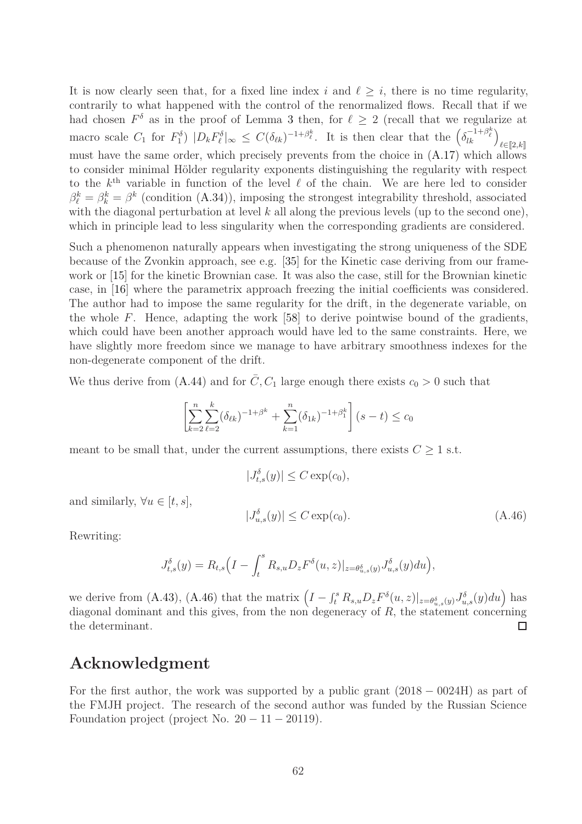It is now clearly seen that, for a fixed line index  $i$  and  $\ell > i$ , there is no time regularity, contrarily to what happened with the control of the renormalized flows. Recall that if we had chosen  $F^{\delta}$  as in the proof of Lemma [3](#page-21-0) then, for  $\ell \geq 2$  (recall that we regularize at macro scale  $C_1$  for  $F_1^{\delta}$   $|D_k F_{\ell}^{\delta}|_{\infty} \leq C(\delta_{\ell k})^{-1+\beta_{\ell}^{k}}$ . It is then clear that the  $(\delta_{lk}^{-1+\beta_{\ell}^{k}})_{\ell \in [2,k]}$ must have the same order, which precisely prevents from the choice in [\(A.17\)](#page-49-5) which allows to consider minimal Hölder regularity exponents distinguishing the regularity with respect to the *k* th variable in function of the level *ℓ* of the chain. We are here led to consider  $\beta_{\ell}^{k} = \beta_{k}^{k} = \beta^{k}$  (condition [\(A.34\)](#page-57-1)), imposing the strongest integrability threshold, associated with the diagonal perturbation at level *k* all along the previous levels (up to the second one), which in principle lead to less singularity when the corresponding gradients are considered.

Such a phenomenon naturally appears when investigating the strong uniqueness of the SDE because of the Zvonkin approach, see e.g. [\[35\]](#page-64-9) for the Kinetic case deriving from our framework or [\[15\]](#page-62-15) for the kinetic Brownian case. It was also the case, still for the Brownian kinetic case, in [\[16\]](#page-62-6) where the parametrix approach freezing the initial coefficients was considered. The author had to impose the same regularity for the drift, in the degenerate variable, on the whole *F*. Hence, adapting the work [\[58\]](#page-65-7) to derive pointwise bound of the gradients, which could have been another approach would have led to the same constraints. Here, we have slightly more freedom since we manage to have arbitrary smoothness indexes for the non-degenerate component of the drift.

We thus derive from [\(A.44\)](#page-60-3) and for  $\overline{C}$ ,  $C_1$  large enough there exists  $c_0 > 0$  such that

$$
\left[\sum_{k=2}^{n} \sum_{\ell=2}^{k} (\delta_{\ell k})^{-1+\beta^{k}} + \sum_{k=1}^{n} (\delta_{1k})^{-1+\beta_{1}^{k}}\right] (s-t) \leq c_{0}
$$

meant to be small that, under the current assumptions, there exists  $C \geq 1$  s.t.

$$
|J_{t,s}^{\delta}(y)| \le C \exp(c_0),
$$

and similarly,  $\forall u \in [t, s]$ ,

<span id="page-61-0"></span>
$$
|J_{u,s}^{\delta}(y)| \le C \exp(c_0). \tag{A.46}
$$

Rewriting:

$$
J_{t,s}^{\delta}(y) = R_{t,s} \Big( I - \int_t^s R_{s,u} D_z F^{\delta}(u,z) |_{z = \theta_{u,s}^{\delta}(y)} J_{u,s}^{\delta}(y) du \Big),
$$

we derive from [\(A.43\)](#page-60-2), [\(A.46\)](#page-61-0) that the matrix  $\left(I - \int_t^s R_{s,u} D_z F^{\delta}(u,z)\vert_{z=\theta_{u,s}^{\delta}(y)} J^{\delta}_{u,s}(y) du\right)$  has diagonal dominant and this gives, from the non degeneracy of *R*, the statement concerning the determinant.  $\Box$ 

### **Acknowledgment**

For the first author, the work was supported by a public grant (2018 − 0024H) as part of the FMJH project. The research of the second author was funded by the Russian Science Foundation project (project No.  $20 - 11 - 20119$ ).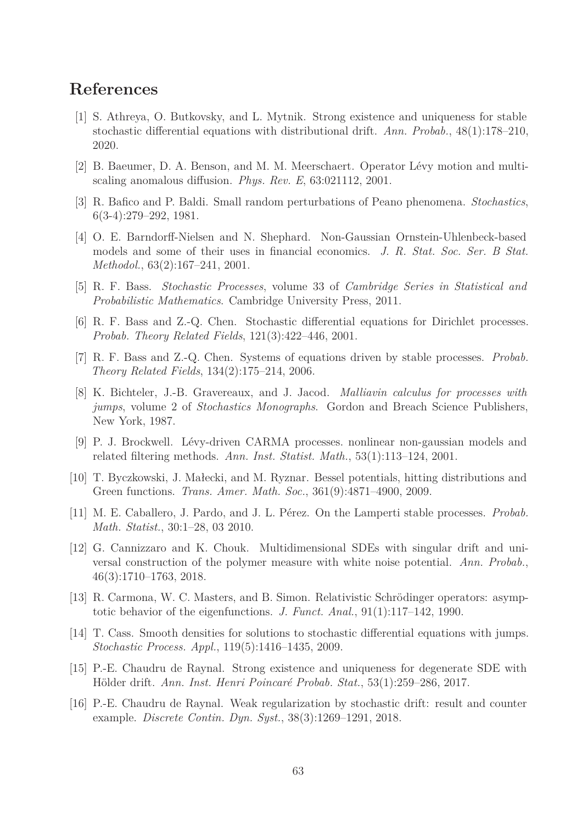# <span id="page-62-4"></span>**References**

- <span id="page-62-0"></span>[1] S. Athreya, O. Butkovsky, and L. Mytnik. Strong existence and uniqueness for stable stochastic differential equations with distributional drift. *Ann. Probab.*, 48(1):178–210, 2020.
- <span id="page-62-14"></span>[2] B. Baeumer, D. A. Benson, and M. M. Meerschaert. Operator Lévy motion and multiscaling anomalous diffusion. *Phys. Rev. E*, 63:021112, 2001.
- <span id="page-62-2"></span>[3] R. Bafico and P. Baldi. Small random perturbations of Peano phenomena. *Stochastics*, 6(3-4):279–292, 1981.
- [4] O. E. Barndorff-Nielsen and N. Shephard. Non-Gaussian Ornstein-Uhlenbeck-based models and some of their uses in financial economics. *J. R. Stat. Soc. Ser. B Stat. Methodol.*, 63(2):167–241, 2001.
- <span id="page-62-13"></span><span id="page-62-5"></span>[5] R. F. Bass. *Stochastic Processes*, volume 33 of *Cambridge Series in Statistical and Probabilistic Mathematics*. Cambridge University Press, 2011.
- <span id="page-62-9"></span>[6] R. F. Bass and Z.-Q. Chen. Stochastic differential equations for Dirichlet processes. *Probab. Theory Related Fields*, 121(3):422–446, 2001.
- <span id="page-62-7"></span>[7] R. F. Bass and Z.-Q. Chen. Systems of equations driven by stable processes. *Probab. Theory Related Fields*, 134(2):175–214, 2006.
- [8] K. Bichteler, J.-B. Gravereaux, and J. Jacod. *Malliavin calculus for processes with jumps*, volume 2 of *Stochastics Monographs*. Gordon and Breach Science Publishers, New York, 1987.
- <span id="page-62-11"></span><span id="page-62-1"></span>[9] P. J. Brockwell. Lévy-driven CARMA processes. nonlinear non-gaussian models and related filtering methods. *Ann. Inst. Statist. Math.*, 53(1):113–124, 2001.
- <span id="page-62-12"></span>[10] T. Byczkowski, J. Małecki, and M. Ryznar. Bessel potentials, hitting distributions and Green functions. *Trans. Amer. Math. Soc.*, 361(9):4871–4900, 2009.
- <span id="page-62-3"></span>[11] M. E. Caballero, J. Pardo, and J. L. Pérez. On the Lamperti stable processes. *Probab. Math. Statist.*, 30:1–28, 03 2010.
- [12] G. Cannizzaro and K. Chouk. Multidimensional SDEs with singular drift and universal construction of the polymer measure with white noise potential. *Ann. Probab.*, 46(3):1710–1763, 2018.
- <span id="page-62-10"></span><span id="page-62-8"></span>[13] R. Carmona, W. C. Masters, and B. Simon. Relativistic Schrödinger operators: asymptotic behavior of the eigenfunctions. *J. Funct. Anal.*, 91(1):117–142, 1990.
- <span id="page-62-15"></span>[14] T. Cass. Smooth densities for solutions to stochastic differential equations with jumps. *Stochastic Process. Appl.*, 119(5):1416–1435, 2009.
- <span id="page-62-6"></span>[15] P.-E. Chaudru de Raynal. Strong existence and uniqueness for degenerate SDE with Hölder drift. *Ann. Inst. Henri Poincaré Probab. Stat.*, 53(1):259–286, 2017.
- [16] P.-E. Chaudru de Raynal. Weak regularization by stochastic drift: result and counter example. *Discrete Contin. Dyn. Syst.*, 38(3):1269–1291, 2018.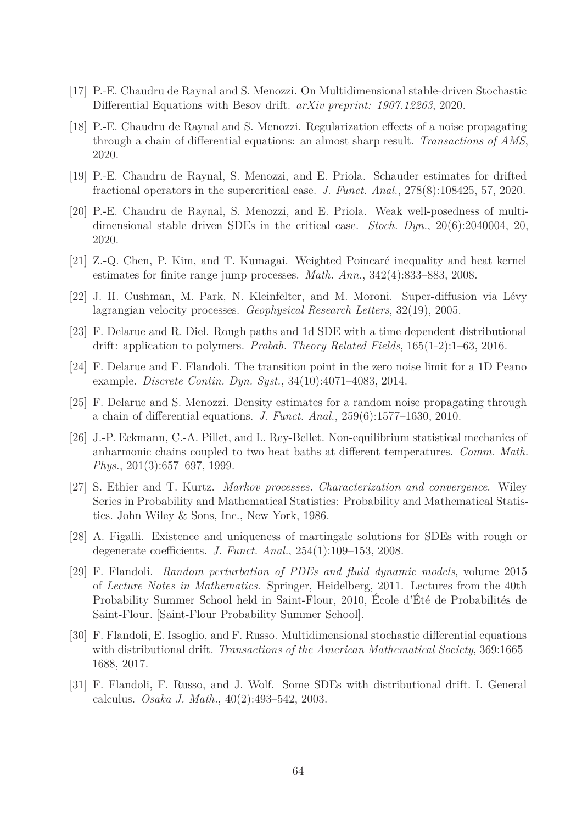- <span id="page-63-9"></span><span id="page-63-5"></span>[17] P.-E. Chaudru de Raynal and S. Menozzi. On Multidimensional stable-driven Stochastic Differential Equations with Besov drift. *arXiv preprint: 1907.12263*, 2020.
- [18] P.-E. Chaudru de Raynal and S. Menozzi. Regularization effects of a noise propagating through a chain of differential equations: an almost sharp result. *Transactions of AMS*, 2020.
- <span id="page-63-7"></span><span id="page-63-6"></span>[19] P.-E. Chaudru de Raynal, S. Menozzi, and E. Priola. Schauder estimates for drifted fractional operators in the supercritical case. *J. Funct. Anal.*, 278(8):108425, 57, 2020.
- <span id="page-63-13"></span>[20] P.-E. Chaudru de Raynal, S. Menozzi, and E. Priola. Weak well-posedness of multidimensional stable driven SDEs in the critical case. *Stoch. Dyn.*, 20(6):2040004, 20, 2020.
- <span id="page-63-0"></span>[21] Z.-Q. Chen, P. Kim, and T. Kumagai. Weighted Poincaré inequality and heat kernel estimates for finite range jump processes. *Math. Ann.*, 342(4):833–883, 2008.
- <span id="page-63-4"></span>[22] J. H. Cushman, M. Park, N. Kleinfelter, and M. Moroni. Super-diffusion via Lévy lagrangian velocity processes. *Geophysical Research Letters*, 32(19), 2005.
- <span id="page-63-14"></span>[23] F. Delarue and R. Diel. Rough paths and 1d SDE with a time dependent distributional drift: application to polymers. *Probab. Theory Related Fields*, 165(1-2):1–63, 2016.
- <span id="page-63-10"></span>[24] F. Delarue and F. Flandoli. The transition point in the zero noise limit for a 1D Peano example. *Discrete Contin. Dyn. Syst.*, 34(10):4071–4083, 2014.
- <span id="page-63-1"></span>[25] F. Delarue and S. Menozzi. Density estimates for a random noise propagating through a chain of differential equations. *J. Funct. Anal.*, 259(6):1577–1630, 2010.
- [26] J.-P. Eckmann, C.-A. Pillet, and L. Rey-Bellet. Non-equilibrium statistical mechanics of anharmonic chains coupled to two heat baths at different temperatures. *Comm. Math. Phys.*, 201(3):657–697, 1999.
- <span id="page-63-11"></span>[27] S. Ethier and T. Kurtz. *Markov processes. Characterization and convergence*. Wiley Series in Probability and Mathematical Statistics: Probability and Mathematical Statistics. John Wiley & Sons, Inc., New York, 1986.
- <span id="page-63-12"></span><span id="page-63-8"></span>[28] A. Figalli. Existence and uniqueness of martingale solutions for SDEs with rough or degenerate coefficients. *J. Funct. Anal.*, 254(1):109–153, 2008.
- [29] F. Flandoli. *Random perturbation of PDEs and fluid dynamic models*, volume 2015 of *Lecture Notes in Mathematics*. Springer, Heidelberg, 2011. Lectures from the 40th Probability Summer School held in Saint-Flour, 2010, École d'Été de Probabilités de Saint-Flour. [Saint-Flour Probability Summer School].
- <span id="page-63-3"></span>[30] F. Flandoli, E. Issoglio, and F. Russo. Multidimensional stochastic differential equations with distributional drift. *Transactions of the American Mathematical Society*, 369:1665– 1688, 2017.
- <span id="page-63-2"></span>[31] F. Flandoli, F. Russo, and J. Wolf. Some SDEs with distributional drift. I. General calculus. *Osaka J. Math.*, 40(2):493–542, 2003.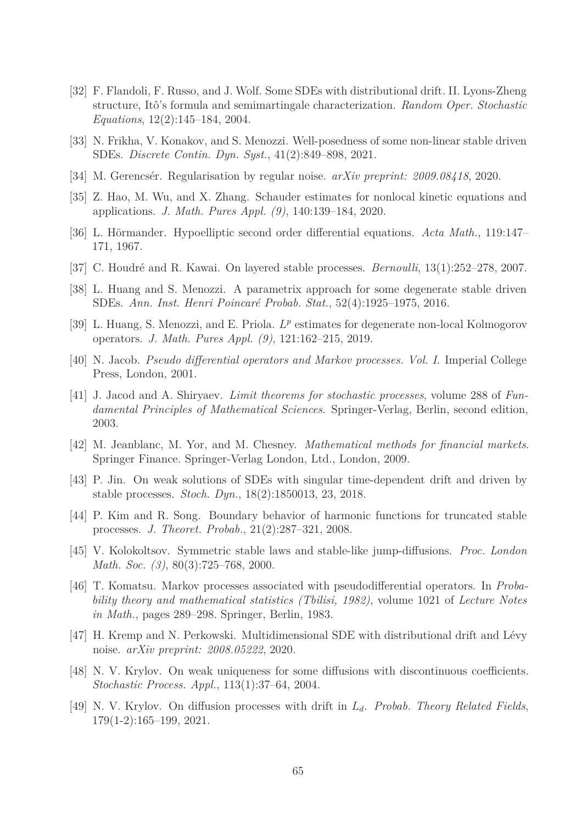- <span id="page-64-4"></span>[32] F. Flandoli, F. Russo, and J. Wolf. Some SDEs with distributional drift. II. Lyons-Zheng structure, Itô's formula and semimartingale characterization. *Random Oper. Stochastic Equations*, 12(2):145–184, 2004.
- <span id="page-64-16"></span><span id="page-64-7"></span>[33] N. Frikha, V. Konakov, and S. Menozzi. Well-posedness of some non-linear stable driven SDEs. *Discrete Contin. Dyn. Syst.*, 41(2):849–898, 2021.
- <span id="page-64-9"></span>[34] M. Gerencsér. Regularisation by regular noise. *arXiv preprint: 2009.08418*, 2020.
- <span id="page-64-6"></span>[35] Z. Hao, M. Wu, and X. Zhang. Schauder estimates for nonlocal kinetic equations and applications. *J. Math. Pures Appl. (9)*, 140:139–184, 2020.
- <span id="page-64-15"></span>[36] L. Hörmander. Hypoelliptic second order differential equations. *Acta Math.*, 119:147– 171, 1967.
- <span id="page-64-8"></span>[37] C. Houdré and R. Kawai. On layered stable processes. *Bernoulli*, 13(1):252–278, 2007.
- <span id="page-64-10"></span>[38] L. Huang and S. Menozzi. A parametrix approach for some degenerate stable driven SDEs. *Ann. Inst. Henri Poincaré Probab. Stat.*, 52(4):1925–1975, 2016.
- <span id="page-64-12"></span>[39] L. Huang, S. Menozzi, and E. Priola.  $L^p$  estimates for degenerate non-local Kolmogorov operators. *J. Math. Pures Appl. (9)*, 121:162–215, 2019.
- <span id="page-64-17"></span>[40] N. Jacob. *Pseudo differential operators and Markov processes. Vol. I*. Imperial College Press, London, 2001.
- [41] J. Jacod and A. Shiryaev. *Limit theorems for stochastic processes*, volume 288 of *Fundamental Principles of Mathematical Sciences*. Springer-Verlag, Berlin, second edition, 2003.
- <span id="page-64-2"></span><span id="page-64-0"></span>[42] M. Jeanblanc, M. Yor, and M. Chesney. *Mathematical methods for financial markets*. Springer Finance. Springer-Verlag London, Ltd., London, 2009.
- <span id="page-64-14"></span>[43] P. Jin. On weak solutions of SDEs with singular time-dependent drift and driven by stable processes. *Stoch. Dyn.*, 18(2):1850013, 23, 2018.
- <span id="page-64-13"></span>[44] P. Kim and R. Song. Boundary behavior of harmonic functions for truncated stable processes. *J. Theoret. Probab.*, 21(2):287–321, 2008.
- <span id="page-64-1"></span>[45] V. Kolokoltsov. Symmetric stable laws and stable-like jump-diffusions. *Proc. London Math. Soc. (3)*, 80(3):725–768, 2000.
- [46] T. Komatsu. Markov processes associated with pseudodifferential operators. In *Probability theory and mathematical statistics (Tbilisi, 1982)*, volume 1021 of *Lecture Notes in Math.*, pages 289–298. Springer, Berlin, 1983.
- <span id="page-64-11"></span><span id="page-64-5"></span>[47] H. Kremp and N. Perkowski. Multidimensional SDE with distributional drift and Lévy noise. *arXiv preprint: 2008.05222*, 2020.
- <span id="page-64-3"></span>[48] N. V. Krylov. On weak uniqueness for some diffusions with discontinuous coefficients. *Stochastic Process. Appl.*, 113(1):37–64, 2004.
- [49] N. V. Krylov. On diffusion processes with drift in *Ld*. *Probab. Theory Related Fields*, 179(1-2):165–199, 2021.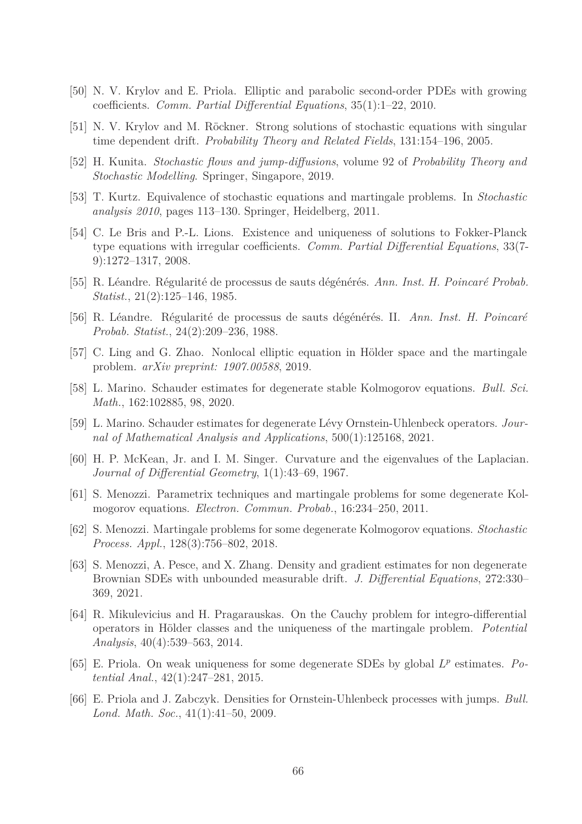- <span id="page-65-13"></span><span id="page-65-12"></span>[50] N. V. Krylov and E. Priola. Elliptic and parabolic second-order PDEs with growing coefficients. *Comm. Partial Differential Equations*, 35(1):1–22, 2010.
- <span id="page-65-3"></span>[51] N. V. Krylov and M. Röckner. Strong solutions of stochastic equations with singular time dependent drift. *Probability Theory and Related Fields*, 131:154–196, 2005.
- <span id="page-65-10"></span>[52] H. Kunita. *Stochastic flows and jump-diffusions*, volume 92 of *Probability Theory and Stochastic Modelling*. Springer, Singapore, 2019.
- <span id="page-65-11"></span>[53] T. Kurtz. Equivalence of stochastic equations and martingale problems. In *Stochastic analysis 2010*, pages 113–130. Springer, Heidelberg, 2011.
- [54] C. Le Bris and P.-L. Lions. Existence and uniqueness of solutions to Fokker-Planck type equations with irregular coefficients. *Comm. Partial Differential Equations*, 33(7- 9):1272–1317, 2008.
- <span id="page-65-5"></span><span id="page-65-4"></span>[55] R. Léandre. Régularité de processus de sauts dégénérés. *Ann. Inst. H. Poincaré Probab. Statist.*, 21(2):125–146, 1985.
- <span id="page-65-0"></span>[56] R. Léandre. Régularité de processus de sauts dégénérés. II. *Ann. Inst. H. Poincaré Probab. Statist.*, 24(2):209–236, 1988.
- <span id="page-65-7"></span>[57] C. Ling and G. Zhao. Nonlocal elliptic equation in Hölder space and the martingale problem. *arXiv preprint: 1907.00588*, 2019.
- <span id="page-65-6"></span>[58] L. Marino. Schauder estimates for degenerate stable Kolmogorov equations. *Bull. Sci. Math.*, 162:102885, 98, 2020.
- <span id="page-65-8"></span>[59] L. Marino. Schauder estimates for degenerate Lévy Ornstein-Uhlenbeck operators. *Journal of Mathematical Analysis and Applications*, 500(1):125168, 2021.
- <span id="page-65-14"></span>[60] H. P. McKean, Jr. and I. M. Singer. Curvature and the eigenvalues of the Laplacian. *Journal of Differential Geometry*, 1(1):43–69, 1967.
- <span id="page-65-15"></span>[61] S. Menozzi. Parametrix techniques and martingale problems for some degenerate Kolmogorov equations. *Electron. Commun. Probab.*, 16:234–250, 2011.
- <span id="page-65-16"></span>[62] S. Menozzi. Martingale problems for some degenerate Kolmogorov equations. *Stochastic Process. Appl.*, 128(3):756–802, 2018.
- [63] S. Menozzi, A. Pesce, and X. Zhang. Density and gradient estimates for non degenerate Brownian SDEs with unbounded measurable drift. *J. Differential Equations*, 272:330– 369, 2021.
- <span id="page-65-1"></span>[64] R. Mikulevicius and H. Pragarauskas. On the Cauchy problem for integro-differential operators in Hölder classes and the uniqueness of the martingale problem. *Potential Analysis*, 40(4):539–563, 2014.
- <span id="page-65-9"></span><span id="page-65-2"></span>[65] E. Priola. On weak uniqueness for some degenerate SDEs by global *L p* estimates. *Potential Anal.*, 42(1):247–281, 2015.
- [66] E. Priola and J. Zabczyk. Densities for Ornstein-Uhlenbeck processes with jumps. *Bull. Lond. Math. Soc.*, 41(1):41–50, 2009.